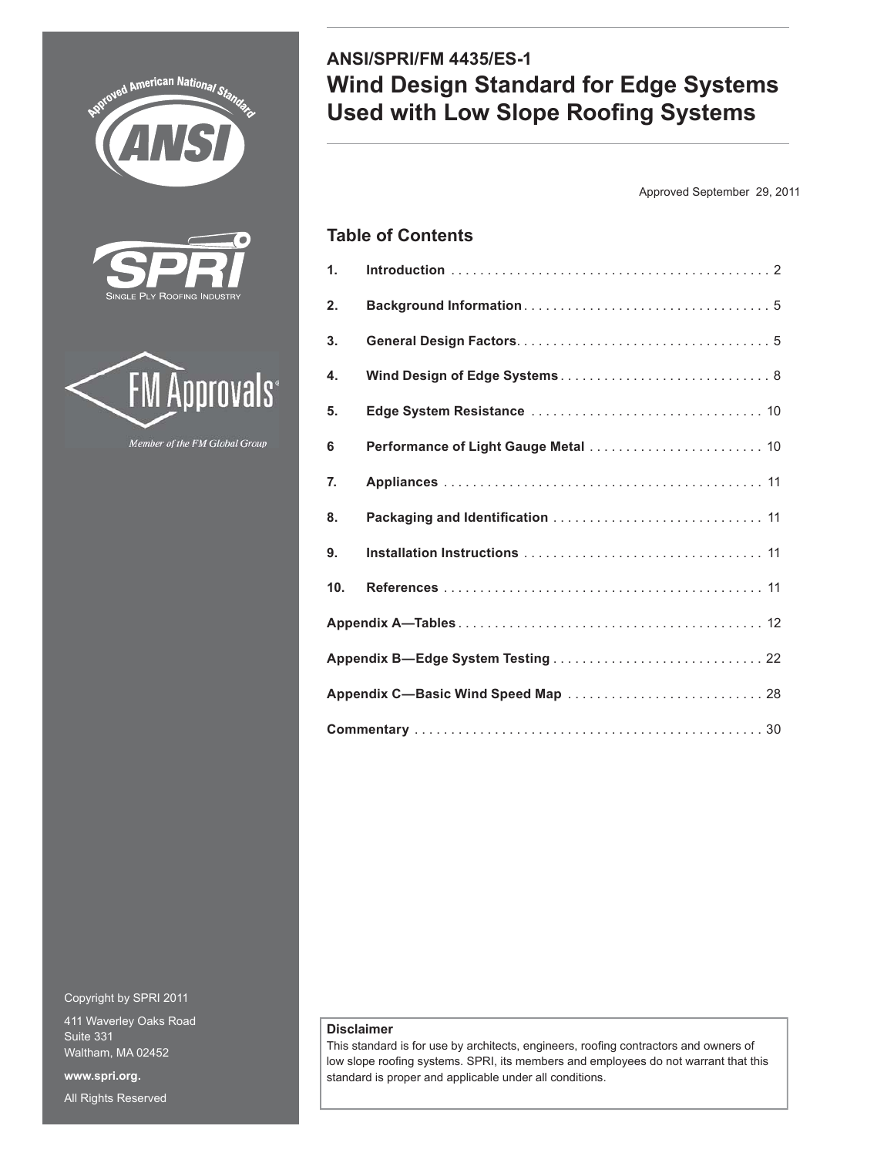





Member of the FM Global Group

Copyright by SPRI 2011

411 Waverley Oaks Road Suite 331 Waltham, MA 02452 **www.spri.org.** All Rights Reserved

# **ANSI/SPRI/FM 4435/ES-1 Wind Design Standard for Edge Systems Used with Low Slope Roofing Systems**

Approved September 29, 2011

# **Table of Contents**

| 1.  |                                      |  |  |  |  |  |
|-----|--------------------------------------|--|--|--|--|--|
| 2.  |                                      |  |  |  |  |  |
| 3.  |                                      |  |  |  |  |  |
| 4.  |                                      |  |  |  |  |  |
| 5.  |                                      |  |  |  |  |  |
| 6   | Performance of Light Gauge Metal  10 |  |  |  |  |  |
| 7.  |                                      |  |  |  |  |  |
| 8.  |                                      |  |  |  |  |  |
| 9.  |                                      |  |  |  |  |  |
| 10. |                                      |  |  |  |  |  |
|     |                                      |  |  |  |  |  |
|     |                                      |  |  |  |  |  |
|     |                                      |  |  |  |  |  |
|     |                                      |  |  |  |  |  |

# **Disclaimer**

This standard is for use by architects, engineers, roofing contractors and owners of low slope roofing systems. SPRI, its members and employees do not warrant that this standard is proper and applicable under all conditions.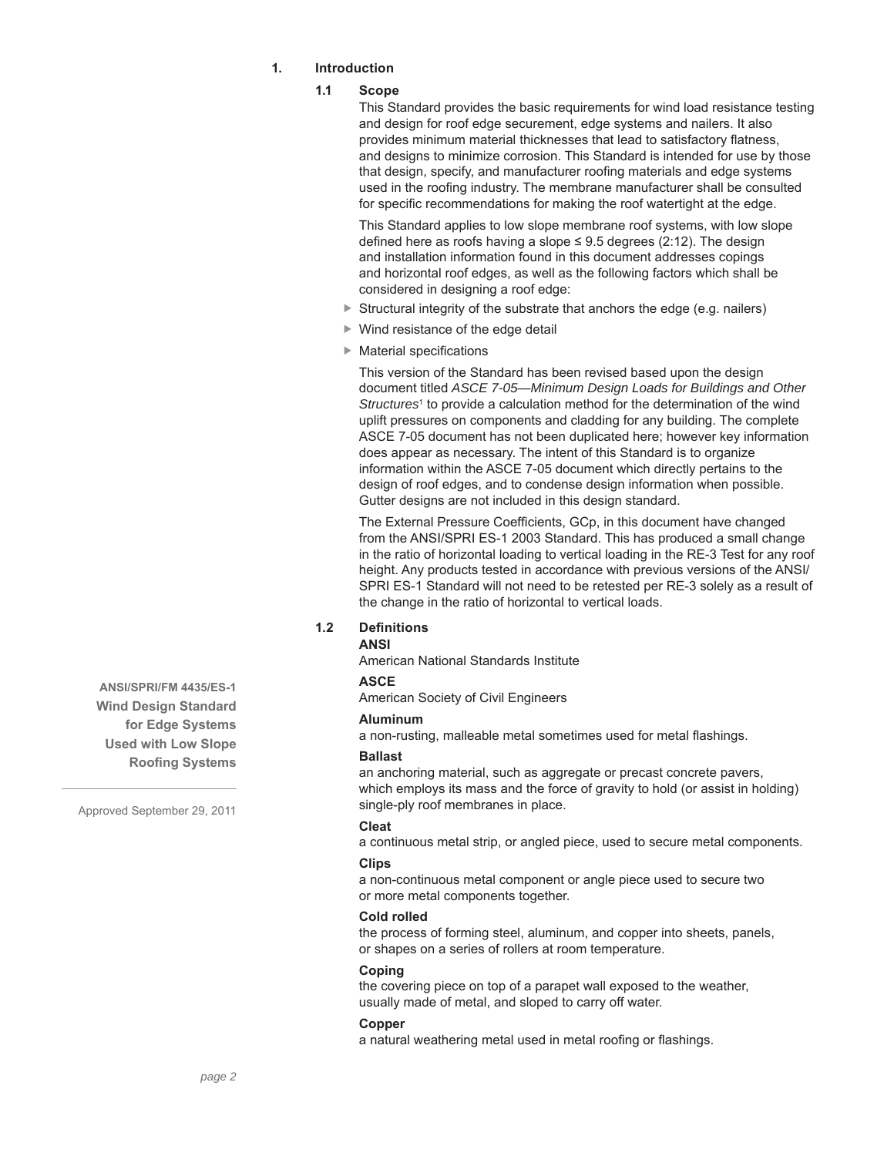# **1. Introduction**

# **1.1 Scope**

This Standard provides the basic requirements for wind load resistance testing and design for roof edge securement, edge systems and nailers. It also provides minimum material thicknesses that lead to satisfactory flatness. and designs to minimize corrosion. This Standard is intended for use by those that design, specify, and manufacturer roofing materials and edge systems used in the roofing industry. The membrane manufacturer shall be consulted for specific recommendations for making the roof watertight at the edge.

This Standard applies to low slope membrane roof systems, with low slope defined here as roofs having a slope  $\leq 9.5$  degrees (2:12). The design and installation information found in this document addresses copings and horizontal roof edges, as well as the following factors which shall be considered in designing a roof edge:

- $\triangleright$  Structural integrity of the substrate that anchors the edge (e.g. nailers)
- ▶ Wind resistance of the edge detail
- $\blacktriangleright$  Material specifications

This version of the Standard has been revised based upon the design document titled *ASCE 7-05—Minimum Design Loads for Buildings and Other*  Structures<sup>1</sup> to provide a calculation method for the determination of the wind uplift pressures on components and cladding for any building. The complete ASCE 7-05 document has not been duplicated here; however key information does appear as necessary. The intent of this Standard is to organize information within the ASCE 7-05 document which directly pertains to the design of roof edges, and to condense design information when possible. Gutter designs are not included in this design standard.

The External Pressure Coefficients, GCp, in this document have changed from the ANSI/SPRI ES-1 2003 Standard. This has produced a small change in the ratio of horizontal loading to vertical loading in the RE-3 Test for any roof height. Any products tested in accordance with previous versions of the ANSI/ SPRI ES-1 Standard will not need to be retested per RE-3 solely as a result of the change in the ratio of horizontal to vertical loads.

# **1.2 Defi nitions**

# **ANSI**

American National Standards Institute

# **ASCE**

American Society of Civil Engineers

#### **Aluminum**

a non-rusting, malleable metal sometimes used for metal flashings.

#### **Ballast**

an anchoring material, such as aggregate or precast concrete pavers, which employs its mass and the force of gravity to hold (or assist in holding) single-ply roof membranes in place.

# **Cleat**

a continuous metal strip, or angled piece, used to secure metal components.

#### **Clips**

a non-continuous metal component or angle piece used to secure two or more metal components together.

#### **Cold rolled**

the process of forming steel, aluminum, and copper into sheets, panels, or shapes on a series of rollers at room temperature.

#### **Coping**

the covering piece on top of a parapet wall exposed to the weather, usually made of metal, and sloped to carry off water.

#### **Copper**

a natural weathering metal used in metal roofing or flashings.

**ANSI/SPRI/FM 4435/ES-1 Wind Design Standard for Edge Systems Used with Low Slope Roofing Systems**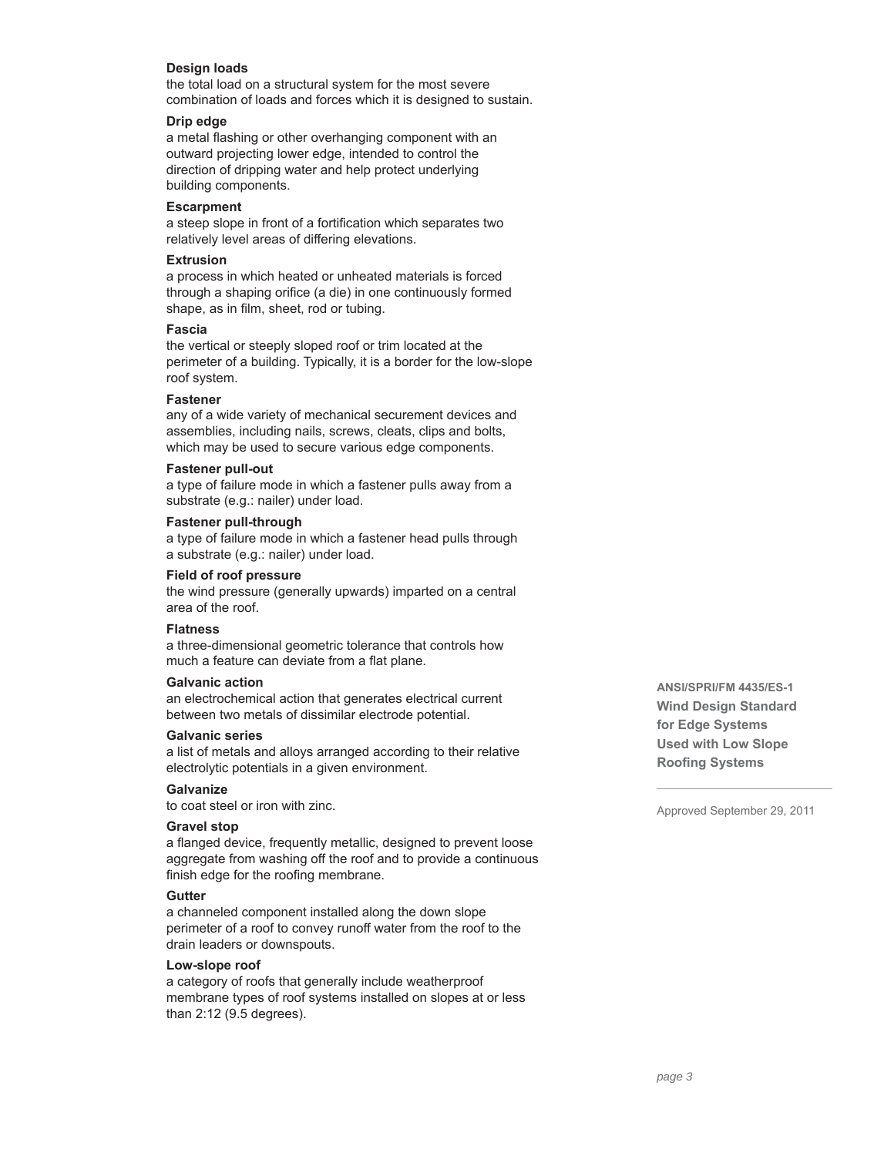# **Design loads**

the total load on a structural system for the most severe combination of loads and forces which it is designed to sustain.

## **Drip edge**

a metal flashing or other overhanging component with an outward projecting lower edge, intended to control the direction of dripping water and help protect underlying building components.

#### **Escarpment**

a steep slope in front of a fortification which separates two relatively level areas of differing elevations.

### **Extrusion**

a process in which heated or unheated materials is forced through a shaping orifice (a die) in one continuously formed shape, as in film, sheet, rod or tubing.

### **Fascia**

the vertical or steeply sloped roof or trim located at the perimeter of a building. Typically, it is a border for the low-slope roof system.

#### **Fastener**

any of a wide variety of mechanical securement devices and assemblies, including nails, screws, cleats, clips and bolts, which may be used to secure various edge components.

#### **Fastener pull-out**

a type of failure mode in which a fastener pulls away from a substrate (e.g.: nailer) under load.

#### **Fastener pull-through**

a type of failure mode in which a fastener head pulls through a substrate (e.g.: nailer) under load.

### **Field of roof pressure**

the wind pressure (generally upwards) imparted on a central area of the roof.

#### **Flatness**

a three-dimensional geometric tolerance that controls how much a feature can deviate from a flat plane.

### **Galvanic action**

an electrochemical action that generates electrical current between two metals of dissimilar electrode potential.

#### **Galvanic series**

a list of metals and alloys arranged according to their relative electrolytic potentials in a given environment.

### **Galvanize**

to coat steel or iron with zinc.

# **Gravel stop**

a flanged device, frequently metallic, designed to prevent loose aggregate from washing off the roof and to provide a continuous finish edge for the roofing membrane.

# **Gutter**

a channeled component installed along the down slope perimeter of a roof to convey runoff water from the roof to the drain leaders or downspouts.

### **Low-slope roof**

a category of roofs that generally include weatherproof membrane types of roof systems installed on slopes at or less than 2:12 (9.5 degrees).

**ANSI/SPRI/FM 4435/ES-1 Wind Design Standard for Edge Systems Used with Low Slope Roofing Systems**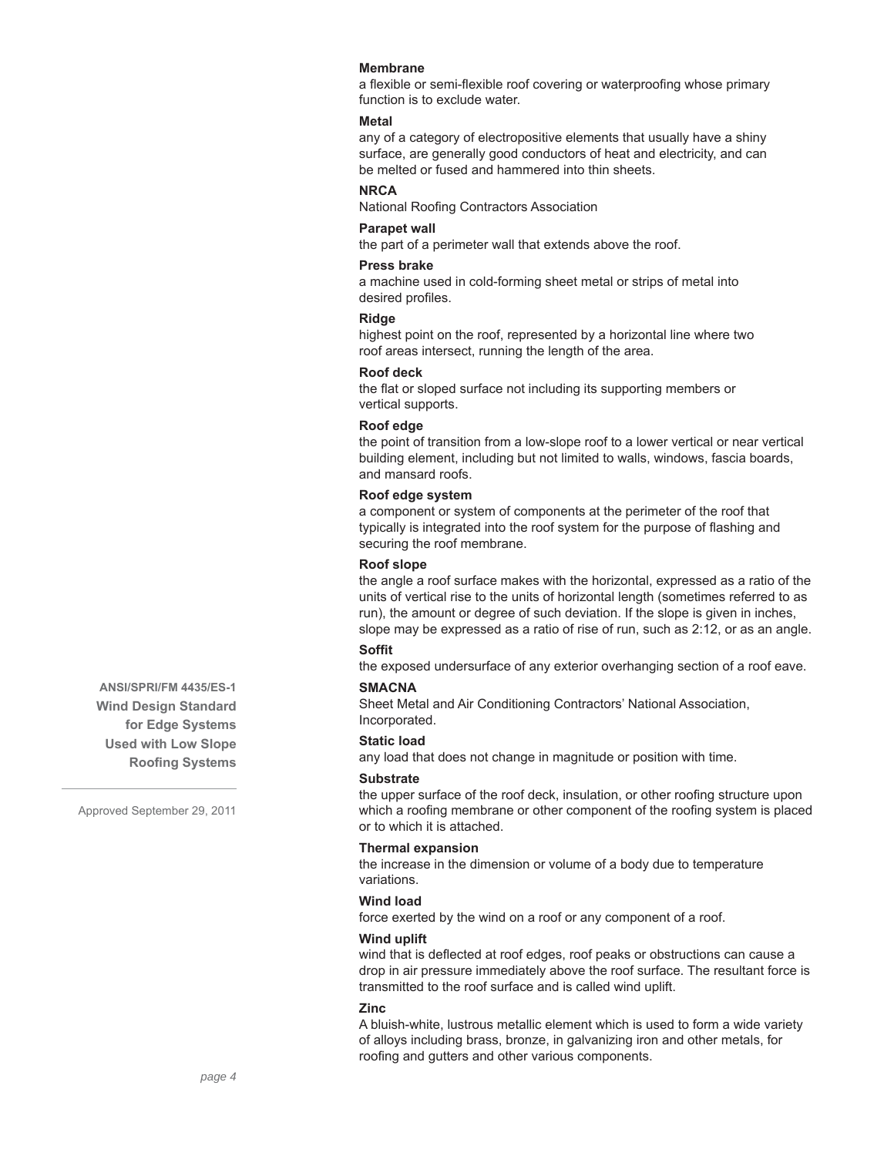### **Membrane**

a flexible or semi-flexible roof covering or waterproofing whose primary function is to exclude water.

### **Metal**

any of a category of electropositive elements that usually have a shiny surface, are generally good conductors of heat and electricity, and can be melted or fused and hammered into thin sheets.

# **NRCA**

National Roofing Contractors Association

# **Parapet wall**

the part of a perimeter wall that extends above the roof.

### **Press brake**

a machine used in cold-forming sheet metal or strips of metal into desired profiles.

### **Ridge**

highest point on the roof, represented by a horizontal line where two roof areas intersect, running the length of the area.

## **Roof deck**

the flat or sloped surface not including its supporting members or vertical supports.

#### **Roof edge**

the point of transition from a low-slope roof to a lower vertical or near vertical building element, including but not limited to walls, windows, fascia boards, and mansard roofs.

### **Roof edge system**

a component or system of components at the perimeter of the roof that typically is integrated into the roof system for the purpose of flashing and securing the roof membrane.

### **Roof slope**

the angle a roof surface makes with the horizontal, expressed as a ratio of the units of vertical rise to the units of horizontal length (sometimes referred to as run), the amount or degree of such deviation. If the slope is given in inches, slope may be expressed as a ratio of rise of run, such as 2:12, or as an angle.

# **Soffit**

the exposed undersurface of any exterior overhanging section of a roof eave.

#### **SMACNA**

Sheet Metal and Air Conditioning Contractors' National Association, Incorporated.

#### **Static load**

any load that does not change in magnitude or position with time.

#### **Substrate**

the upper surface of the roof deck, insulation, or other roofing structure upon which a roofing membrane or other component of the roofing system is placed or to which it is attached.

### **Thermal expansion**

the increase in the dimension or volume of a body due to temperature variations.

### **Wind load**

force exerted by the wind on a roof or any component of a roof.

### **Wind uplift**

wind that is deflected at roof edges, roof peaks or obstructions can cause a drop in air pressure immediately above the roof surface. The resultant force is transmitted to the roof surface and is called wind uplift.

#### **Zinc**

A bluish-white, lustrous metallic element which is used to form a wide variety of alloys including brass, bronze, in galvanizing iron and other metals, for roofing and gutters and other various components.

**ANSI/SPRI/FM 4435/ES-1 Wind Design Standard for Edge Systems Used with Low Slope Roofing Systems**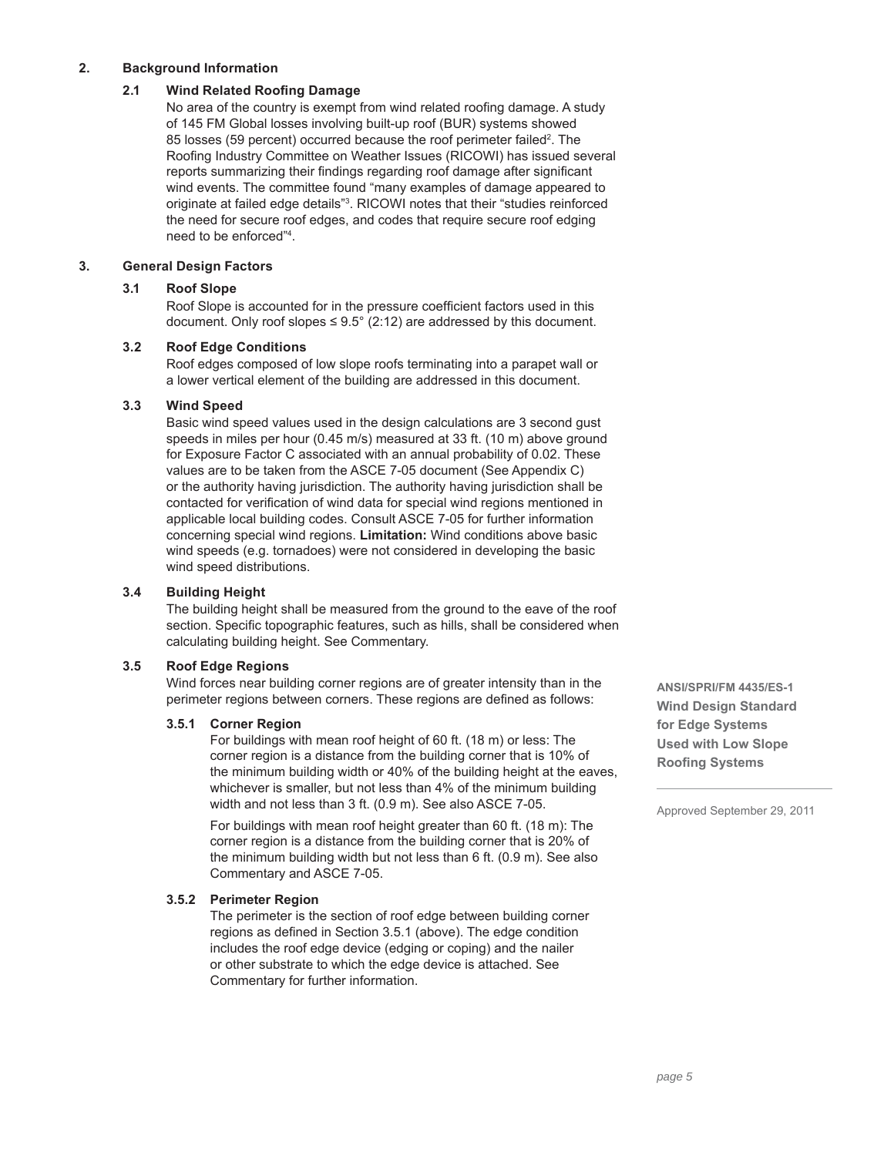# **2. Background Information**

# **2.1 Wind Related Roofing Damage**

No area of the country is exempt from wind related roofing damage. A study of 145 FM Global losses involving built-up roof (BUR) systems showed 85 losses (59 percent) occurred because the roof perimeter failed<sup>2</sup>. The Roofing Industry Committee on Weather Issues (RICOWI) has issued several reports summarizing their findings regarding roof damage after significant wind events. The committee found "many examples of damage appeared to originate at failed edge details"3 . RICOWI notes that their "studies reinforced the need for secure roof edges, and codes that require secure roof edging need to be enforced"4 .

# **3. General Design Factors**

# **3.1 Roof Slope**

Roof Slope is accounted for in the pressure coefficient factors used in this document. Only roof slopes  $\leq 9.5^{\circ}$  (2:12) are addressed by this document.

# **3.2 Roof Edge Conditions**

Roof edges composed of low slope roofs terminating into a parapet wall or a lower vertical element of the building are addressed in this document.

### **3.3 Wind Speed**

Basic wind speed values used in the design calculations are 3 second gust speeds in miles per hour (0.45 m/s) measured at 33 ft. (10 m) above ground for Exposure Factor C associated with an annual probability of 0.02. These values are to be taken from the ASCE 7-05 document (See Appendix C) or the authority having jurisdiction. The authority having jurisdiction shall be contacted for verification of wind data for special wind regions mentioned in applicable local building codes. Consult ASCE 7-05 for further information concerning special wind regions. **Limitation:** Wind conditions above basic wind speeds (e.g. tornadoes) were not considered in developing the basic wind speed distributions.

# **3.4 Building Height**

The building height shall be measured from the ground to the eave of the roof section. Specific topographic features, such as hills, shall be considered when calculating building height. See Commentary.

### **3.5 Roof Edge Regions**

Wind forces near building corner regions are of greater intensity than in the perimeter regions between corners. These regions are defined as follows:

# **3.5.1 Corner Region**

For buildings with mean roof height of 60 ft. (18 m) or less: The corner region is a distance from the building corner that is 10% of the minimum building width or 40% of the building height at the eaves, whichever is smaller, but not less than 4% of the minimum building width and not less than 3 ft. (0.9 m). See also ASCE 7-05.

For buildings with mean roof height greater than 60 ft. (18 m): The corner region is a distance from the building corner that is 20% of the minimum building width but not less than 6 ft. (0.9 m). See also Commentary and ASCE 7-05.

# **3.5.2 Perimeter Region**

The perimeter is the section of roof edge between building corner regions as defined in Section 3.5.1 (above). The edge condition includes the roof edge device (edging or coping) and the nailer or other substrate to which the edge device is attached. See Commentary for further information.

**ANSI/SPRI/FM 4435/ES-1 Wind Design Standard for Edge Systems Used with Low Slope Roofing Systems**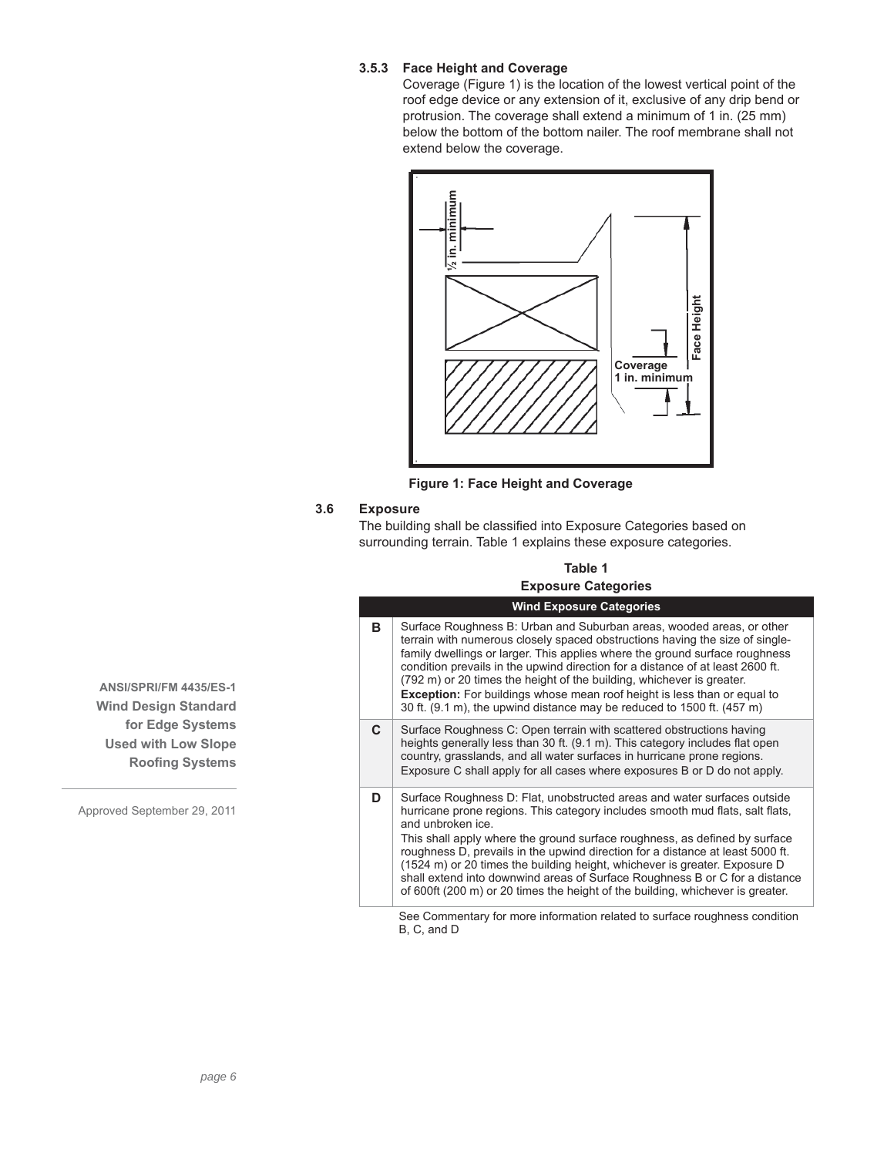# **3.5.3 Face Height and Coverage**

Coverage (Figure 1) is the location of the lowest vertical point of the roof edge device or any extension of it, exclusive of any drip bend or protrusion. The coverage shall extend a minimum of 1 in. (25 mm) below the bottom of the bottom nailer. The roof membrane shall not extend below the coverage.



**Figure 1: Face Height and Coverage**

# **3.6 Exposure**

| Table 1                    |
|----------------------------|
| <b>Exposure Categories</b> |

|                 | $\lambda$ in. minimum<br>Face Height<br>Coverage<br>1 in. minimu                                                                                                                                                                                                                                                                                                                                                                                                                                                                                                                              |
|-----------------|-----------------------------------------------------------------------------------------------------------------------------------------------------------------------------------------------------------------------------------------------------------------------------------------------------------------------------------------------------------------------------------------------------------------------------------------------------------------------------------------------------------------------------------------------------------------------------------------------|
|                 | Figure 1: Face Height and Coverage                                                                                                                                                                                                                                                                                                                                                                                                                                                                                                                                                            |
| <b>Exposure</b> | The building shall be classified into Exposure Categories based on<br>surrounding terrain. Table 1 explains these exposure categories.                                                                                                                                                                                                                                                                                                                                                                                                                                                        |
|                 | Table 1                                                                                                                                                                                                                                                                                                                                                                                                                                                                                                                                                                                       |
|                 | <b>Exposure Categories</b>                                                                                                                                                                                                                                                                                                                                                                                                                                                                                                                                                                    |
|                 | <b>Wind Exposure Categories</b>                                                                                                                                                                                                                                                                                                                                                                                                                                                                                                                                                               |
| в               | Surface Roughness B: Urban and Suburban areas, wooded areas, or other<br>terrain with numerous closely spaced obstructions having the size of single-<br>family dwellings or larger. This applies where the ground surface roughness<br>condition prevails in the upwind direction for a distance of at least 2600 ft.<br>(792 m) or 20 times the height of the building, whichever is greater.<br><b>Exception:</b> For buildings whose mean roof height is less than or equal to<br>30 ft. (9.1 m), the upwind distance may be reduced to 1500 ft. (457 m)                                  |
| C               | Surface Roughness C: Open terrain with scattered obstructions having<br>heights generally less than 30 ft. (9.1 m). This category includes flat open<br>country, grasslands, and all water surfaces in hurricane prone regions.<br>Exposure C shall apply for all cases where exposures B or D do not apply.                                                                                                                                                                                                                                                                                  |
| D               | Surface Roughness D: Flat, unobstructed areas and water surfaces outside<br>hurricane prone regions. This category includes smooth mud flats, salt flats,<br>and unbroken ice.<br>This shall apply where the ground surface roughness, as defined by surface<br>roughness D, prevails in the upwind direction for a distance at least 5000 ft.<br>(1524 m) or 20 times the building height, whichever is greater. Exposure D<br>shall extend into downwind areas of Surface Roughness B or C for a distance<br>of 600ft (200 m) or 20 times the height of the building, whichever is greater. |
|                 | See Commentary for more information related to surface roughness condition<br>B, C, and D                                                                                                                                                                                                                                                                                                                                                                                                                                                                                                     |

**ANSI/SPRI/FM 4435/ES-1 Wind Design Standard for Edge Systems Used with Low Slope Roofing Systems**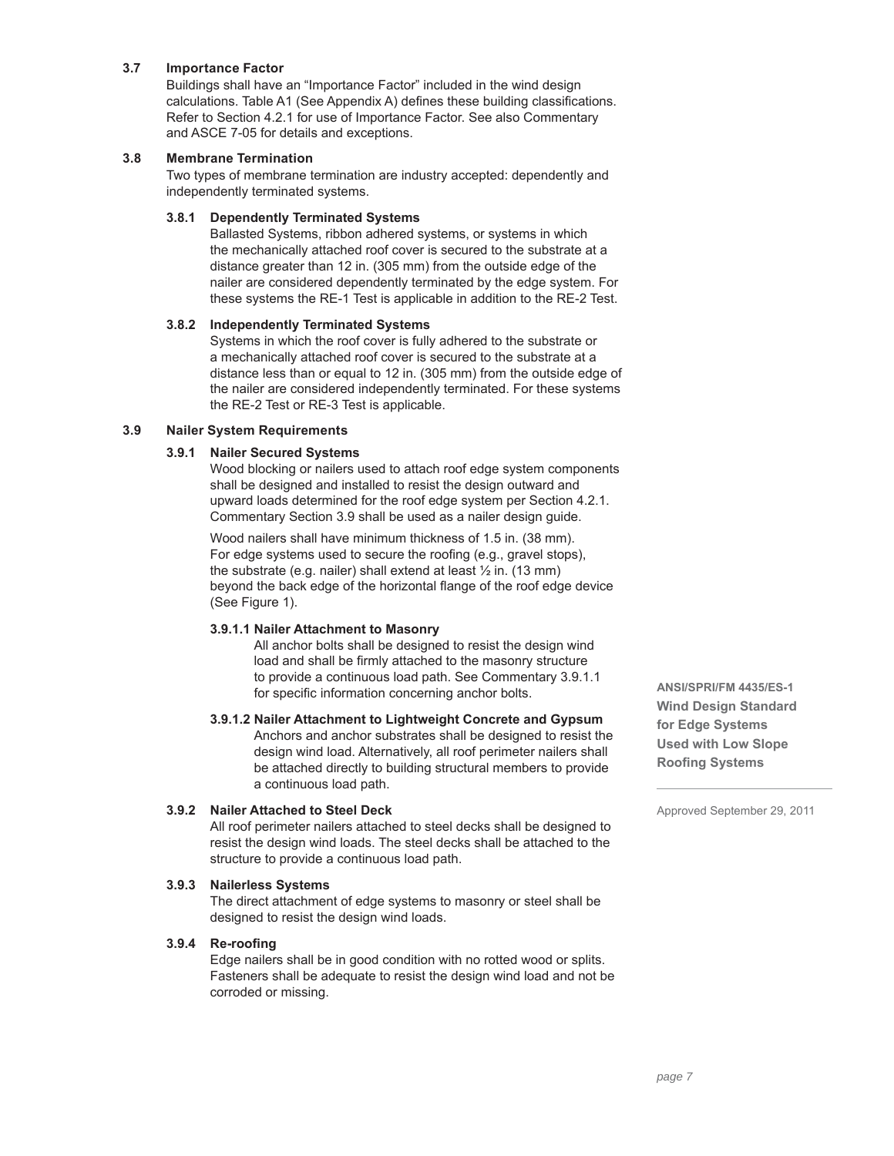# **3.7 Importance Factor**

Buildings shall have an "Importance Factor" included in the wind design calculations. Table A1 (See Appendix A) defines these building classifications. Refer to Section 4.2.1 for use of Importance Factor. See also Commentary and ASCE 7-05 for details and exceptions.

### **3.8 Membrane Termination**

Two types of membrane termination are industry accepted: dependently and independently terminated systems.

### **3.8.1 Dependently Terminated Systems**

Ballasted Systems, ribbon adhered systems, or systems in which the mechanically attached roof cover is secured to the substrate at a distance greater than 12 in. (305 mm) from the outside edge of the nailer are considered dependently terminated by the edge system. For these systems the RE-1 Test is applicable in addition to the RE-2 Test.

### **3.8.2 Independently Terminated Systems**

Systems in which the roof cover is fully adhered to the substrate or a mechanically attached roof cover is secured to the substrate at a distance less than or equal to 12 in. (305 mm) from the outside edge of the nailer are considered independently terminated. For these systems the RE-2 Test or RE-3 Test is applicable.

### **3.9 Nailer System Requirements**

### **3.9.1 Nailer Secured Systems**

Wood blocking or nailers used to attach roof edge system components shall be designed and installed to resist the design outward and upward loads determined for the roof edge system per Section 4.2.1. Commentary Section 3.9 shall be used as a nailer design guide.

Wood nailers shall have minimum thickness of 1.5 in. (38 mm). For edge systems used to secure the roofing (e.g., gravel stops), the substrate (e.g. nailer) shall extend at least ½ in. (13 mm) beyond the back edge of the horizontal flange of the roof edge device (See Figure 1).

### **3.9.1.1 Nailer Attachment to Masonry**

All anchor bolts shall be designed to resist the design wind load and shall be firmly attached to the masonry structure to provide a continuous load path. See Commentary 3.9.1.1 for specific information concerning anchor bolts.

# **3.9.1.2 Nailer Attachment to Lightweight Concrete and Gypsum**

Anchors and anchor substrates shall be designed to resist the design wind load. Alternatively, all roof perimeter nailers shall be attached directly to building structural members to provide a continuous load path.

# **3.9.2 Nailer Attached to Steel Deck**

All roof perimeter nailers attached to steel decks shall be designed to resist the design wind loads. The steel decks shall be attached to the structure to provide a continuous load path.

### **3.9.3 Nailerless Systems**

The direct attachment of edge systems to masonry or steel shall be designed to resist the design wind loads.

#### **3.9.4 Re-roofing**

Edge nailers shall be in good condition with no rotted wood or splits. Fasteners shall be adequate to resist the design wind load and not be corroded or missing.

**ANSI/SPRI/FM 4435/ES-1 Wind Design Standard for Edge Systems Used with Low Slope Roofing Systems**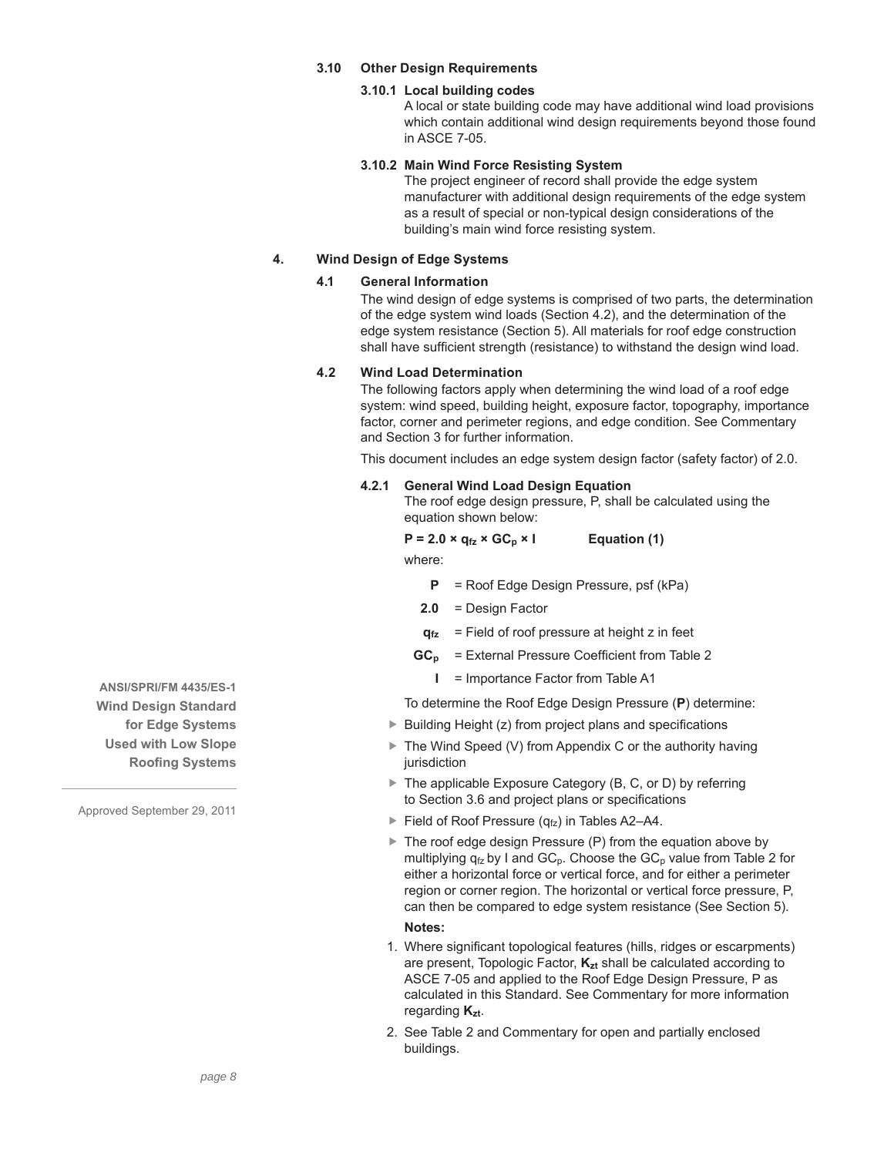# **3.10 Other Design Requirements**

### **3.10.1 Local building codes**

A local or state building code may have additional wind load provisions which contain additional wind design requirements beyond those found in ASCE 7-05.

### **3.10.2 Main Wind Force Resisting System**

The project engineer of record shall provide the edge system manufacturer with additional design requirements of the edge system as a result of special or non-typical design considerations of the building's main wind force resisting system.

# **4. Wind Design of Edge Systems**

### **4.1 General Information**

The wind design of edge systems is comprised of two parts, the determination of the edge system wind loads (Section 4.2), and the determination of the edge system resistance (Section 5). All materials for roof edge construction shall have sufficient strength (resistance) to withstand the design wind load.

# **4.2 Wind Load Determination**

The following factors apply when determining the wind load of a roof edge system: wind speed, building height, exposure factor, topography, importance factor, corner and perimeter regions, and edge condition. See Commentary and Section 3 for further information.

This document includes an edge system design factor (safety factor) of 2.0.

#### **4.2.1 General Wind Load Design Equation**

The roof edge design pressure, P, shall be calculated using the equation shown below:

 $P = 2.0 \times q_{fz} \times GC_p \times I$  Equation (1)

where:

**P** = Roof Edge Design Pressure, psf (kPa)

- **2.0** = Design Factor
- **q**<sub>fz</sub> = Field of roof pressure at height z in feet
- **GC<sub>p</sub>** = External Pressure Coefficient from Table 2
	- **I** = Importance Factor from Table A1

To determine the Roof Edge Design Pressure (**P**) determine:

- $\triangleright$  Building Height (z) from project plans and specifications
- ▶ The Wind Speed (V) from Appendix C or the authority having jurisdiction
- ▶ The applicable Exposure Category (B, C, or D) by referring to Section 3.6 and project plans or specifications
- Field of Roof Pressure  $(q_{fz})$  in Tables A2–A4.
- ▶ The roof edge design Pressure (P) from the equation above by multiplying  $q_{fz}$  by I and  $GC_p$ . Choose the  $GC_p$  value from Table 2 for either a horizontal force or vertical force, and for either a perimeter region or corner region. The horizontal or vertical force pressure, P, can then be compared to edge system resistance (See Section 5).

#### **Notes:**

- 1. Where significant topological features (hills, ridges or escarpments) are present, Topologic Factor,  $K_{zt}$  shall be calculated according to ASCE 7-05 and applied to the Roof Edge Design Pressure, P as calculated in this Standard. See Commentary for more information regarding **Kzt**.
- 2. See Table 2 and Commentary for open and partially enclosed buildings.

**ANSI/SPRI/FM 4435/ES-1 Wind Design Standard for Edge Systems Used with Low Slope Roofing Systems**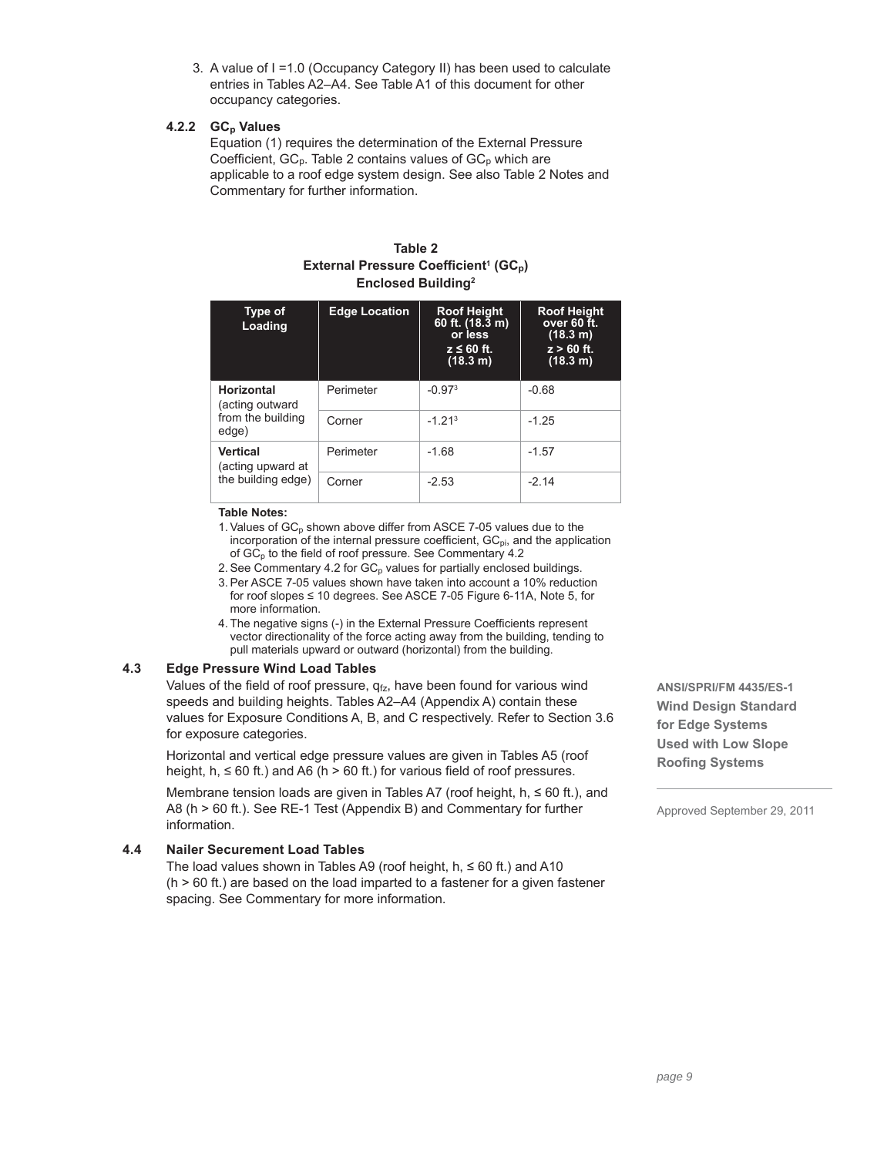3. A value of I =1.0 (Occupancy Category II) has been used to calculate entries in Tables A2–A4. See Table A1 of this document for other occupancy categories.

### 4.2.2 GC<sub>p</sub> Values

Equation (1) requires the determination of the External Pressure Coefficient,  $GC_p$ . Table 2 contains values of  $GC_p$  which are applicable to a roof edge system design. See also Table 2 Notes and Commentary for further information.

| Table 2                                                       |  |  |  |  |  |  |
|---------------------------------------------------------------|--|--|--|--|--|--|
| External Pressure Coefficient <sup>1</sup> (GC <sub>p</sub> ) |  |  |  |  |  |  |
| <b>Enclosed Building</b> <sup>2</sup>                         |  |  |  |  |  |  |

| Type of<br>Loading                   | <b>Edge Location</b> | <b>Roof Height</b><br>60 ft. (18.3 m)<br>or less<br>$z \leq 60$ ft.<br>(18.3 m) | <b>Roof Height</b><br>over 60 ft.<br>(18.3 m)<br>$z > 60$ ft.<br>(18.3 m) |
|--------------------------------------|----------------------|---------------------------------------------------------------------------------|---------------------------------------------------------------------------|
| Horizontal<br>(acting outward        | Perimeter            | $-0.973$                                                                        | $-0.68$                                                                   |
| from the building<br>edge)           | Corner               | $-1, 213$                                                                       | $-1.25$                                                                   |
| <b>Vertical</b><br>(acting upward at | Perimeter            | $-1.68$                                                                         | $-1.57$                                                                   |
| the building edge)                   | Corner               | $-2.53$                                                                         | $-214$                                                                    |

#### **Table Notes:**

- 1. Values of  $GC_p$  shown above differ from ASCE 7-05 values due to the incorporation of the internal pressure coefficient,  $GC_{pi}$ , and the application of  $GC_p$  to the field of roof pressure. See Commentary 4.2
- 2. See Commentary 4.2 for  $GC_p$  values for partially enclosed buildings.
- 3. Per ASCE 7-05 values shown have taken into account a 10% reduction for roof slopes ≤ 10 degrees. See ASCE 7-05 Figure 6-11A, Note 5, for more information.
- 4. The negative signs (-) in the External Pressure Coefficients represent vector directionality of the force acting away from the building, tending to pull materials upward or outward (horizontal) from the building.

# **4.3 Edge Pressure Wind Load Tables**

Values of the field of roof pressure,  $q_{fz}$ , have been found for various wind speeds and building heights. Tables A2–A4 (Appendix A) contain these values for Exposure Conditions A, B, and C respectively. Refer to Section 3.6 for exposure categories.

Horizontal and vertical edge pressure values are given in Tables A5 (roof height, h,  $\leq 60$  ft.) and A6 (h > 60 ft.) for various field of roof pressures.

Membrane tension loads are given in Tables A7 (roof height, h, ≤ 60 ft.), and A8 (h > 60 ft.). See RE-1 Test (Appendix B) and Commentary for further information.

# **4.4 Nailer Securement Load Tables**

The load values shown in Tables A9 (roof height,  $h$ ,  $\leq 60$  ft.) and A10  $(h > 60$  ft.) are based on the load imparted to a fastener for a given fastener spacing. See Commentary for more information.

**ANSI/SPRI/FM 4435/ES-1 Wind Design Standard for Edge Systems Used with Low Slope Roofing Systems**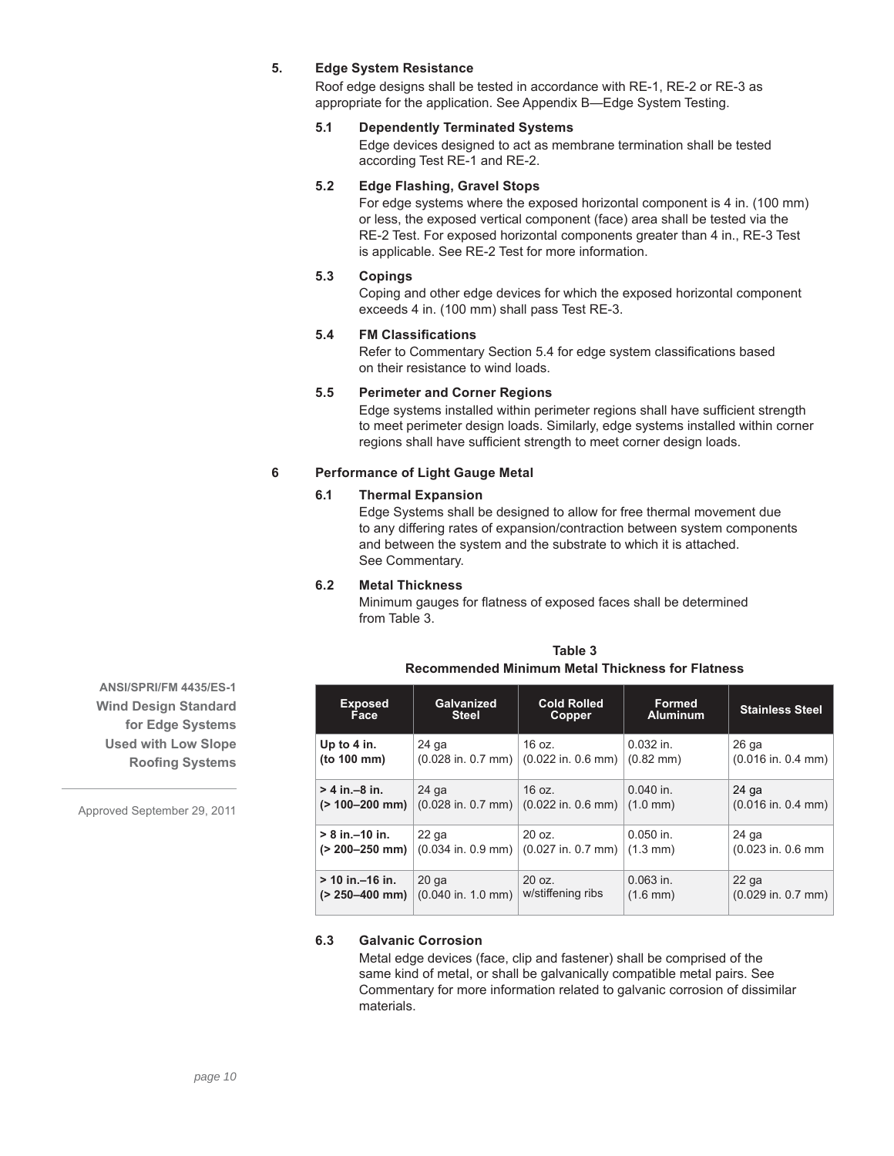# **5. Edge System Resistance**

Roof edge designs shall be tested in accordance with RE-1, RE-2 or RE-3 as appropriate for the application. See Appendix B—Edge System Testing.

# **5.1 Dependently Terminated Systems**

Edge devices designed to act as membrane termination shall be tested according Test RE-1 and RE-2.

# **5.2 Edge Flashing, Gravel Stops**

For edge systems where the exposed horizontal component is 4 in. (100 mm) or less, the exposed vertical component (face) area shall be tested via the RE-2 Test. For exposed horizontal components greater than 4 in., RE-3 Test is applicable. See RE-2 Test for more information.

# **5.3 Copings**

Coping and other edge devices for which the exposed horizontal component exceeds 4 in. (100 mm) shall pass Test RE-3.

## **5.4 FM Classifi cations**

Refer to Commentary Section 5.4 for edge system classifications based on their resistance to wind loads.

### **5.5 Perimeter and Corner Regions**

Edge systems installed within perimeter regions shall have sufficient strength to meet perimeter design loads. Similarly, edge systems installed within corner regions shall have sufficient strength to meet corner design loads.

### **6 Performance of Light Gauge Metal**

### **6.1 Thermal Expansion**

Edge Systems shall be designed to allow for free thermal movement due to any differing rates of expansion/contraction between system components and between the system and the substrate to which it is attached. See Commentary.

# **6.2 Metal Thickness**

Minimum gauges for flatness of exposed faces shall be determined from Table 3.

| <b>Exposed</b>       | Galvanized           | <b>Cold Rolled</b>     | <b>Formed</b>        | <b>Stainless Steel</b> |
|----------------------|----------------------|------------------------|----------------------|------------------------|
| Face                 | <b>Steel</b>         | Copper                 | <b>Aluminum</b>      |                        |
| Up to 4 in.          | 24 ga                | 16 oz.                 | $0.032$ in.          | 26 ga                  |
| (to 100 mm)          | $(0.028$ in. 0.7 mm) | $(0.022$ in. $0.6$ mm) | $(0.82 \text{ mm})$  | $(0.016$ in. 0.4 mm)   |
| $> 4$ in $-8$ in.    | $24$ ga              | 16 oz.                 | $0.040$ in.          | 24 ga                  |
| $(> 100 - 200$ mm)   | $(0.028$ in. 0.7 mm) | $(0.022$ in. 0.6 mm)   | $(1.0 \text{ mm})$   | $(0.016$ in. 0.4 mm)   |
| $> 8$ in. $-10$ in.  | 22 ga                | 20 oz.                 | $0.050$ in.          | $24$ ga                |
| $(> 200 - 250$ mm)   | $(0.034$ in. 0.9 mm) | $(0.027$ in. 0.7 mm)   | $(1.3 \, \text{mm})$ | (0.023 in. 0.6 mm      |
| $> 10$ in. $-16$ in. | $20$ ga              | 20 oz.                 | $0.063$ in.          | $22$ ga                |
| $(> 250 - 400$ mm)   | $(0.040$ in. 1.0 mm) | w/stiffening ribs      | $(1.6 \, \text{mm})$ | $(0.029$ in. 0.7 mm)   |

# **Table 3 Recommended Minimum Metal Thickness for Flatness**

# **6.3 Galvanic Corrosion**

Metal edge devices (face, clip and fastener) shall be comprised of the same kind of metal, or shall be galvanically compatible metal pairs. See Commentary for more information related to galvanic corrosion of dissimilar materials.

**ANSI/SPRI/FM 4435/ES-1 Wind Design Standard for Edge Systems Used with Low Slope Roofing Systems**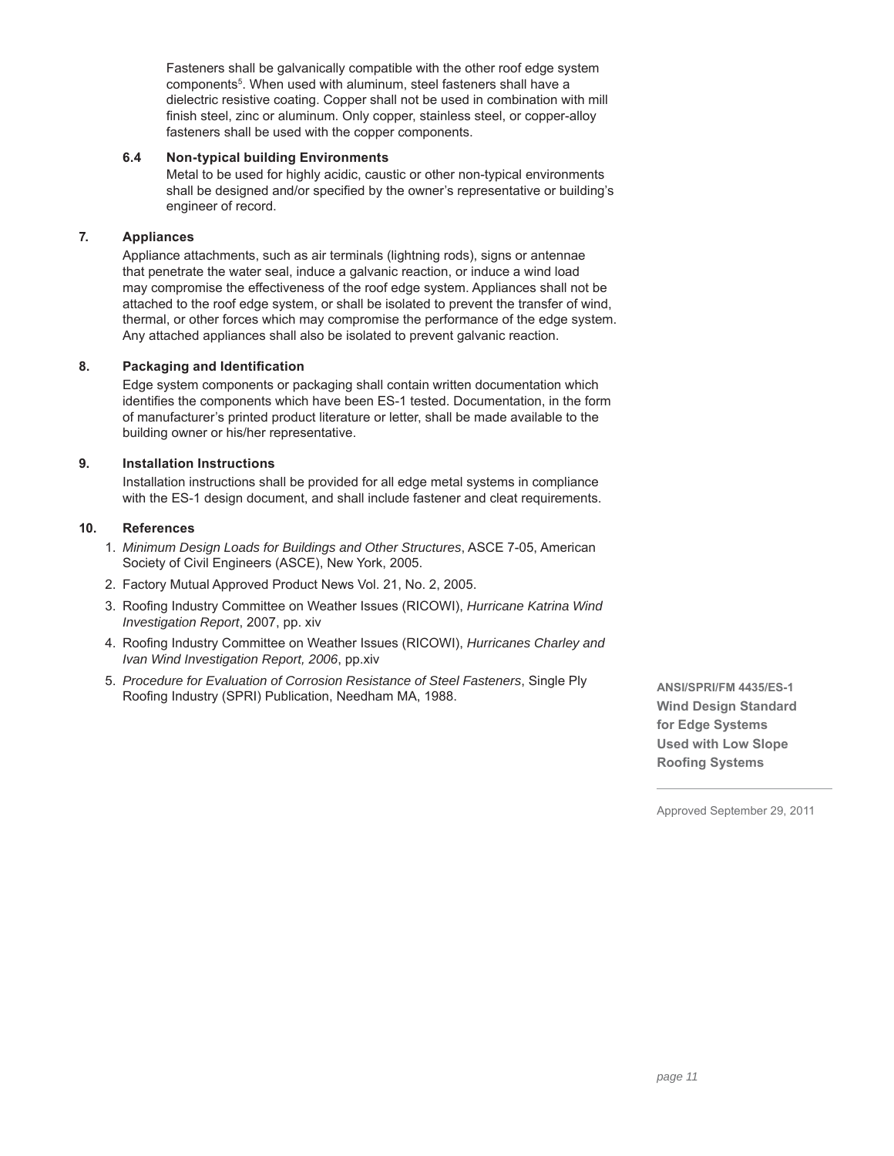Fasteners shall be galvanically compatible with the other roof edge system components<sup>5</sup>. When used with aluminum, steel fasteners shall have a dielectric resistive coating. Copper shall not be used in combination with mill finish steel, zinc or aluminum. Only copper, stainless steel, or copper-alloy fasteners shall be used with the copper components.

# **6.4 Non-typical building Environments**

Metal to be used for highly acidic, caustic or other non-typical environments shall be designed and/or specified by the owner's representative or building's engineer of record.

# **7. Appliances**

Appliance attachments, such as air terminals (lightning rods), signs or antennae that penetrate the water seal, induce a galvanic reaction, or induce a wind load may compromise the effectiveness of the roof edge system. Appliances shall not be attached to the roof edge system, or shall be isolated to prevent the transfer of wind, thermal, or other forces which may compromise the performance of the edge system. Any attached appliances shall also be isolated to prevent galvanic reaction.

# **8.** Packaging and Identification

Edge system components or packaging shall contain written documentation which identifies the components which have been ES-1 tested. Documentation, in the form of manufacturer's printed product literature or letter, shall be made available to the building owner or his/her representative.

# **9. Installation Instructions**

Installation instructions shall be provided for all edge metal systems in compliance with the ES-1 design document, and shall include fastener and cleat requirements.

# **10. References**

- 1. *Minimum Design Loads for Buildings and Other Structures*, ASCE 7-05, American Society of Civil Engineers (ASCE), New York, 2005.
- 2. Factory Mutual Approved Product News Vol. 21, No. 2, 2005.
- 3. Roofing Industry Committee on Weather Issues (RICOWI), *Hurricane Katrina Wind Investigation Report*, 2007, pp. xiv
- 4. Roofing Industry Committee on Weather Issues (RICOWI), *Hurricanes Charley and Ivan Wind Investigation Report, 2006*, pp.xiv
- 5. *Procedure for Evaluation of Corrosion Resistance of Steel Fasteners*, Single Ply Roofing Industry (SPRI) Publication, Needham MA, 1988.

**ANSI/SPRI/FM 4435/ES-1 Wind Design Standard for Edge Systems Used with Low Slope Roofing Systems**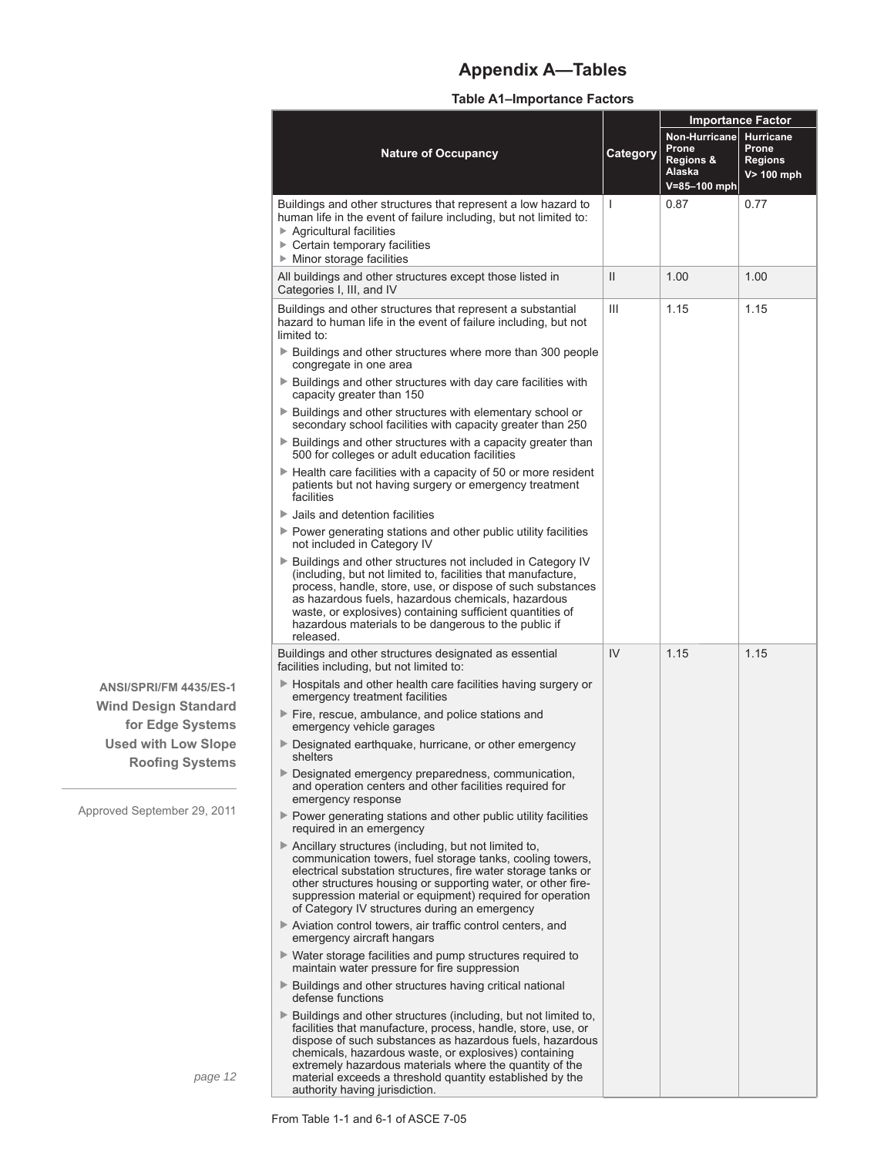# **Appendix A—Tables**

# **Table A1–Importance Factors**

|                     |                                                                                                                                                                                                                                                                                                                                                                                                                                    |               | <b>Importance Factor</b>                                             |                                                              |  |
|---------------------|------------------------------------------------------------------------------------------------------------------------------------------------------------------------------------------------------------------------------------------------------------------------------------------------------------------------------------------------------------------------------------------------------------------------------------|---------------|----------------------------------------------------------------------|--------------------------------------------------------------|--|
|                     | <b>Nature of Occupancy</b>                                                                                                                                                                                                                                                                                                                                                                                                         | Category      | Non-Hurricane<br>Prone<br>Regions &<br><u>Alaska</u><br>V=85-100 mph | <b>Hurricane</b><br>Prone<br><b>Regions</b><br>$V > 100$ mph |  |
|                     | Buildings and other structures that represent a low hazard to<br>human life in the event of failure including, but not limited to:<br>$\triangleright$ Agricultural facilities<br>► Certain temporary facilities<br>$\triangleright$ Minor storage facilities                                                                                                                                                                      | T             | 0.87                                                                 | 0.77                                                         |  |
|                     | All buildings and other structures except those listed in<br>Categories I, III, and IV                                                                                                                                                                                                                                                                                                                                             | $\mathbf{II}$ | 1.00                                                                 | 1.00                                                         |  |
|                     | Buildings and other structures that represent a substantial<br>hazard to human life in the event of failure including, but not<br>limited to:                                                                                                                                                                                                                                                                                      | Ш             | 1.15                                                                 | 1.15                                                         |  |
|                     | ▶ Buildings and other structures where more than 300 people<br>congregate in one area                                                                                                                                                                                                                                                                                                                                              |               |                                                                      |                                                              |  |
|                     | Buildings and other structures with day care facilities with<br>capacity greater than 150<br>▶ Buildings and other structures with elementary school or                                                                                                                                                                                                                                                                            |               |                                                                      |                                                              |  |
|                     | secondary school facilities with capacity greater than 250<br>▶ Buildings and other structures with a capacity greater than                                                                                                                                                                                                                                                                                                        |               |                                                                      |                                                              |  |
|                     | 500 for colleges or adult education facilities<br>$\blacktriangleright$ Health care facilities with a capacity of 50 or more resident                                                                                                                                                                                                                                                                                              |               |                                                                      |                                                              |  |
|                     | patients but not having surgery or emergency treatment<br>facilities                                                                                                                                                                                                                                                                                                                                                               |               |                                                                      |                                                              |  |
|                     | $\blacktriangleright$ Jails and detention facilities<br>▶ Power generating stations and other public utility facilities                                                                                                                                                                                                                                                                                                            |               |                                                                      |                                                              |  |
|                     | not included in Category IV                                                                                                                                                                                                                                                                                                                                                                                                        |               |                                                                      |                                                              |  |
|                     | ▶ Buildings and other structures not included in Category IV<br>(including, but not limited to, facilities that manufacture,<br>process, handle, store, use, or dispose of such substances<br>as hazardous fuels, hazardous chemicals, hazardous<br>waste, or explosives) containing sufficient quantities of<br>hazardous materials to be dangerous to the public if<br>released.                                                 |               |                                                                      |                                                              |  |
|                     | Buildings and other structures designated as essential<br>facilities including, but not limited to:                                                                                                                                                                                                                                                                                                                                | IV            | 1.15                                                                 | 1.15                                                         |  |
| 135/ES-1<br>landard | ▶ Hospitals and other health care facilities having surgery or<br>emergency treatment facilities                                                                                                                                                                                                                                                                                                                                   |               |                                                                      |                                                              |  |
| ystems              | Fire, rescue, ambulance, and police stations and<br>emergency vehicle garages                                                                                                                                                                                                                                                                                                                                                      |               |                                                                      |                                                              |  |
| v Slope<br>ystems   | ▶ Designated earthquake, hurricane, or other emergency<br>shelters                                                                                                                                                                                                                                                                                                                                                                 |               |                                                                      |                                                              |  |
|                     | ▶ Designated emergency preparedness, communication,<br>and operation centers and other facilities required for<br>emergency response                                                                                                                                                                                                                                                                                               |               |                                                                      |                                                              |  |
| 29, 2011            | ▶ Power generating stations and other public utility facilities<br>required in an emergency                                                                                                                                                                                                                                                                                                                                        |               |                                                                      |                                                              |  |
|                     | $\triangleright$ Ancillary structures (including, but not limited to,<br>communication towers, fuel storage tanks, cooling towers,<br>electrical substation structures, fire water storage tanks or<br>other structures housing or supporting water, or other fire-<br>suppression material or equipment) required for operation<br>of Category IV structures during an emergency                                                  |               |                                                                      |                                                              |  |
|                     | Aviation control towers, air traffic control centers, and<br>emergency aircraft hangars                                                                                                                                                                                                                                                                                                                                            |               |                                                                      |                                                              |  |
|                     | ► Water storage facilities and pump structures required to<br>maintain water pressure for fire suppression                                                                                                                                                                                                                                                                                                                         |               |                                                                      |                                                              |  |
|                     | ▶ Buildings and other structures having critical national<br>defense functions                                                                                                                                                                                                                                                                                                                                                     |               |                                                                      |                                                              |  |
| page 12             | $\blacktriangleright$ Buildings and other structures (including, but not limited to,<br>facilities that manufacture, process, handle, store, use, or<br>dispose of such substances as hazardous fuels, hazardous<br>chemicals, hazardous waste, or explosives) containing<br>extremely hazardous materials where the quantity of the<br>material exceeds a threshold quantity established by the<br>authority having jurisdiction. |               |                                                                      |                                                              |  |

**ANSI/SPRI/FM 4435/ES-1 Wind Design Standard for Edge Systems Used with Low Slope Roofing Systems**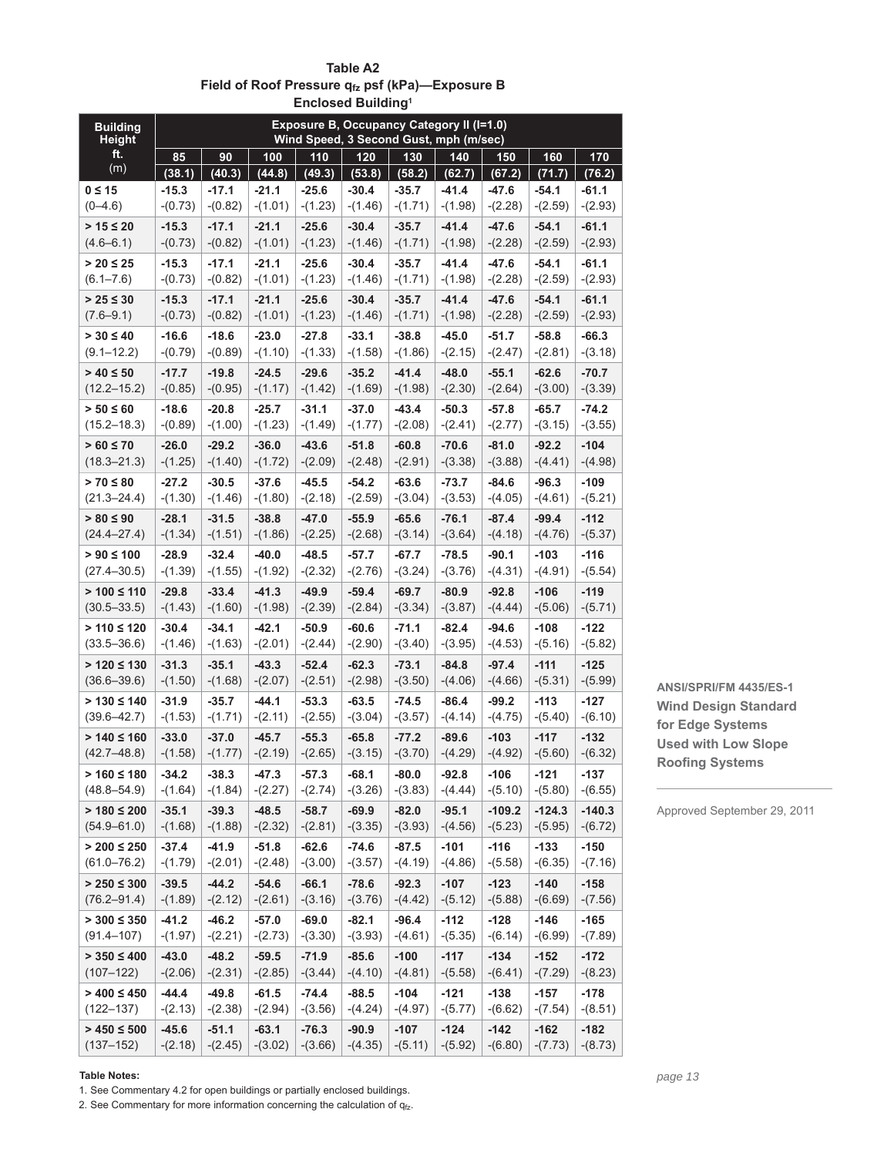| <b>Building</b><br><b>Height</b>    | <b>Exposure B, Occupancy Category II (I=1.0)</b><br>Wind Speed, 3 Second Gust, mph (m/sec) |                      |                      |                      |                      |                      |                      |                      |                      |                      |
|-------------------------------------|--------------------------------------------------------------------------------------------|----------------------|----------------------|----------------------|----------------------|----------------------|----------------------|----------------------|----------------------|----------------------|
| ft.                                 | 85                                                                                         | 90                   | 100                  | 110                  | 120                  | 130                  | 140                  | 150                  | 160                  | 170                  |
| (m)                                 | (38.1)                                                                                     | (40.3)               | (44.8)               | (49.3)               | (53.8)               | (58.2)               | (62.7)               | (67.2)               | (71.7)               | (76.2)               |
| $0 \leq 15$                         | $-15.3$                                                                                    | $-17.1$              | $-21.1$              | $-25.6$              | $-30.4$              | $-35.7$              | $-41.4$              | $-47.6$              | $-54.1$              | $-61.1$              |
| $(0 - 4.6)$                         | $-(0.73)$                                                                                  | $-(0.82)$            | $-(1.01)$            | $-(1.23)$            | $-(1.46)$            | $-(1.71)$            | $-(1.98)$            | $-(2.28)$            | $-(2.59)$            | $-(2.93)$            |
| $> 15 \le 20$                       | $-15.3$                                                                                    | $-17.1$              | $-21.1$              | $-25.6$              | $-30.4$              | $-35.7$              | $-41.4$              | $-47.6$              | $-54.1$              | $-61.1$              |
| $(4.6 - 6.1)$                       | $-(0.73)$                                                                                  | $-(0.82)$            | $-(1.01)$            | $-(1.23)$            | $-(1.46)$            | $-(1.71)$            | $-(1.98)$            | $-(2.28)$            | $-(2.59)$            | $-(2.93)$            |
| $> 20 \le 25$<br>$(6.1 - 7.6)$      | $-15.3$<br>$-(0.73)$                                                                       | $-17.1$<br>$-(0.82)$ | $-21.1$<br>$-(1.01)$ | $-25.6$<br>$-(1.23)$ | $-30.4$<br>$-(1.46)$ | $-35.7$<br>$-(1.71)$ | $-41.4$<br>$-(1.98)$ | $-47.6$<br>$-(2.28)$ | $-54.1$<br>$-(2.59)$ | $-61.1$<br>$-(2.93)$ |
|                                     |                                                                                            |                      |                      |                      |                      |                      |                      |                      |                      |                      |
| $> 25 \le 30$<br>$(7.6 - 9.1)$      | $-15.3$<br>$-(0.73)$                                                                       | $-17.1$<br>$-(0.82)$ | $-21.1$<br>$-(1.01)$ | $-25.6$<br>$-(1.23)$ | $-30.4$<br>$-(1.46)$ | $-35.7$<br>$-(1.71)$ | $-41.4$<br>$-(1.98)$ | $-47.6$<br>$-(2.28)$ | $-54.1$<br>$-(2.59)$ | $-61.1$<br>$-(2.93)$ |
| $> 30 \le 40$                       | $-16.6$                                                                                    | $-18.6$              | $-23.0$              | $-27.8$              | $-33.1$              | $-38.8$              | $-45.0$              | $-51.7$              | $-58.8$              | $-66.3$              |
| $(9.1 - 12.2)$                      | $-(0.79)$                                                                                  | $-(0.89)$            | $-(1.10)$            | $-(1.33)$            | $-(1.58)$            | $-(1.86)$            | $-(2.15)$            | $-(2.47)$            | $-(2.81)$            | $-(3.18)$            |
| $> 40 \le 50$                       | $-17.7$                                                                                    | $-19.8$              | $-24.5$              | $-29.6$              | $-35.2$              | $-41.4$              | $-48.0$              | $-55.1$              | $-62.6$              | $-70.7$              |
| $(12.2 - 15.2)$                     | $-(0.85)$                                                                                  | $-(0.95)$            | $-(1.17)$            | $-(1.42)$            | $-(1.69)$            | $-(1.98)$            | $-(2.30)$            | $-(2.64)$            | $-(3.00)$            | $-(3.39)$            |
| $> 50 \le 60$                       | $-18.6$                                                                                    | $-20.8$              | $-25.7$              | $-31.1$              | $-37.0$              | $-43.4$              | $-50.3$              | $-57.8$              | $-65.7$              | $-74.2$              |
| $(15.2 - 18.3)$                     | $-(0.89)$                                                                                  | $-(1.00)$            | $-(1.23)$            | $-(1.49)$            | $-(1.77)$            | $-(2.08)$            | $-(2.41)$            | $-(2.77)$            | $-(3.15)$            | $-(3.55)$            |
| $> 60 \le 70$                       | $-26.0$                                                                                    | $-29.2$              | $-36.0$              | $-43.6$              | $-51.8$              | $-60.8$              | $-70.6$              | $-81.0$              | $-92.2$              | $-104$               |
| $(18.3 - 21.3)$                     | $-(1.25)$                                                                                  | $-(1.40)$            | $-(1.72)$            | $-(2.09)$            | $-(2.48)$            | $-(2.91)$            | $-(3.38)$            | $-(3.88)$            | $-(4.41)$            | $-(4.98)$            |
| $> 70 \le 80$                       | $-27.2$                                                                                    | $-30.5$              | $-37.6$              | $-45.5$              | $-54.2$              | $-63.6$              | $-73.7$              | $-84.6$              | $-96.3$              | $-109$               |
| $(21.3 - 24.4)$                     | $-(1.30)$                                                                                  | $-(1.46)$            | $-(1.80)$            | $-(2.18)$            | $-(2.59)$            | $-(3.04)$            | $-(3.53)$            | $-(4.05)$            | $-(4.61)$            | $-(5.21)$            |
| $> 80 \le 90$                       | $-28.1$                                                                                    | $-31.5$              | $-38.8$              | $-47.0$              | $-55.9$              | $-65.6$              | $-76.1$              | $-87.4$              | $-99.4$              | $-112$               |
| $(24.4 - 27.4)$                     | $-(1.34)$                                                                                  | $-(1.51)$            | $-(1.86)$            | $-(2.25)$            | $-(2.68)$            | $-(3.14)$            | $-(3.64)$            | $-(4.18)$            | $-(4.76)$            | $-(5.37)$            |
| $> 90 \le 100$                      | $-28.9$                                                                                    | $-32.4$              | $-40.0$              | $-48.5$              | $-57.7$              | $-67.7$              | $-78.5$              | $-90.1$              | $-103$               | $-116$               |
| $(27.4 - 30.5)$                     | $-(1.39)$                                                                                  | $-(1.55)$            | $-(1.92)$            | $-(2.32)$            | $-(2.76)$            | $-(3.24)$            | $-(3.76)$            | $-(4.31)$            | $-(4.91)$            | $-(5.54)$            |
| $> 100 \le 110$<br>$(30.5 - 33.5)$  | $-29.8$<br>$-(1.43)$                                                                       | $-33.4$<br>$-(1.60)$ | $-41.3$<br>$-(1.98)$ | $-49.9$<br>$-(2.39)$ | $-59.4$<br>$-(2.84)$ | $-69.7$<br>$-(3.34)$ | $-80.9$<br>$-(3.87)$ | $-92.8$<br>$-(4.44)$ | $-106$<br>$-(5.06)$  | $-119$<br>$-(5.71)$  |
| $> 110 \le 120$                     | $-30.4$                                                                                    | $-34.1$              | $-42.1$              | $-50.9$              | $-60.6$              | $-71.1$              | $-82.4$              | $-94.6$              | $-108$               | $-122$               |
| $(33.5 - 36.6)$                     | $-(1.46)$                                                                                  | $-(1.63)$            | $-(2.01)$            | $-(2.44)$            | $-(2.90)$            | $-(3.40)$            | $-(3.95)$            | $-(4.53)$            | $-(5.16)$            | $-(5.82)$            |
| $> 120 \le 130$                     | $-31.3$                                                                                    | $-35.1$              | $-43.3$              | $-52.4$              | $-62.3$              | $-73.1$              | $-84.8$              | $-97.4$              | $-111$               | $-125$               |
| $(36.6 - 39.6)$                     | $-(1.50)$                                                                                  | $-(1.68)$            | $-(2.07)$            | $-(2.51)$            | $-(2.98)$            | $-(3.50)$            | $-(4.06)$            | $-(4.66)$            | $-(5.31)$            | $-(5.99)$            |
| $> 130 \le 140$                     | $-31.9$                                                                                    | $-35.7$              | $-44.1$              | $-53.3$              | $-63.5$              | $-74.5$              | $-86.4$              | $-99.2$              | $-113$               | $-127$               |
| $(39.6 - 42.7)$                     | $-(1.53)$                                                                                  | $-(1.71)$            | $-(2.11)$            | $-(2.55)$            | $-(3.04)$            | $-(3.57)$            | $-(4.14)$            | $-(4.75)$            | $-(5.40)$            | $-(6.10)$            |
| $> 140 \le 160$                     | $-33.0$                                                                                    | $-37.0$              | $-45.7$              | $-55.3$              | $-65.8$              | $-77.2$              | $-89.6$              | $-103$               | $-117$               | $-132$               |
| $(42.7 - 48.8)$                     | $-(1.58)$                                                                                  | $-(1.77)$            | $-(2.19)$            | $-(2.65)$            | $-(3.15)$            | $-(3.70)$            | $-(4.29)$            | $-(4.92)$            | $-(5.60)$            | $-(6.32)$            |
| $> 160 \le 180$                     | $-34.2$                                                                                    | $-38.3$              | $-47.3$              | -57.3                | $-68.1$              | $-80.0$              | $-92.8$              | $-106$               | $-121$               | -137                 |
| $(48.8 - 54.9)$                     | $-(1.64)$                                                                                  | $-(1.84)$            | $-(2.27)$            | $-(2.74)$            | $-(3.26)$            | $-(3.83)$            | $-(4.44)$            | $-(5.10)$            | $-(5.80)$            | $-(6.55)$            |
| $> 180 \le 200$                     | $-35.1$                                                                                    | $-39.3$              | $-48.5$              | $-58.7$              | $-69.9$              | $-82.0$              | $-95.1$              | $-109.2$             | $-124.3$             | $-140.3$             |
| $(54.9 - 61.0)$                     | $-(1.68)$                                                                                  | $-(1.88)$            | $-(2.32)$            | $-(2.81)$            | $-(3.35)$            | $-(3.93)$            | $-(4.56)$            | $-(5.23)$            | $-(5.95)$            | $-(6.72)$            |
| $> 200 \le 250$                     | $-37.4$                                                                                    | $-41.9$<br>$-(2.01)$ | $-51.8$              | $-62.6$<br>$-(3.00)$ | -74.6                | -87.5<br>$-(4.19)$   | $-101$               | $-116$               | $-133$               | -150                 |
| $(61.0 - 76.2)$                     | $-(1.79)$                                                                                  |                      | $-(2.48)$            |                      | $-(3.57)$            |                      | $-(4.86)$            | $-(5.58)$            | $-(6.35)$            | $-(7.16)$            |
| $> 250 \leq 300$<br>$(76.2 - 91.4)$ | $-39.5$<br>$-(1.89)$                                                                       | $-44.2$<br>$-(2.12)$ | $-54.6$<br>$-(2.61)$ | $-66.1$<br>$-(3.16)$ | $-78.6$<br>$-(3.76)$ | $-92.3$<br>$-(4.42)$ | $-107$<br>$-(5.12)$  | $-123$<br>$-(5.88)$  | -140<br>$-(6.69)$    | $-158$<br>$-(7.56)$  |
|                                     |                                                                                            |                      | $-57.0$              | $-69.0$              | $-82.1$              | $-96.4$              | $-112$               | $-128$               | $-146$               |                      |
| $> 300 \le 350$<br>$(91.4 - 107)$   | $-41.2$<br>$-(1.97)$                                                                       | $-46.2$<br>$-(2.21)$ | $-(2.73)$            | $-(3.30)$            | $-(3.93)$            | $-(4.61)$            | $-(5.35)$            | $-(6.14)$            | $-(6.99)$            | -165<br>$-(7.89)$    |
| $> 350 \le 400$                     | $-43.0$                                                                                    | $-48.2$              | $-59.5$              | $-71.9$              | $-85.6$              | $-100$               | $-117$               | $-134$               | $-152$               | $-172$               |
| $(107 - 122)$                       | $-(2.06)$                                                                                  | $-(2.31)$            | $-(2.85)$            | $-(3.44)$            | $-(4.10)$            | $-(4.81)$            | $-(5.58)$            | $-(6.41)$            | $-(7.29)$            | $-(8.23)$            |
| $> 400 \le 450$                     | -44.4                                                                                      | -49.8                | $-61.5$              | -74.4                | $-88.5$              | -104                 | $-121$               | $-138$               | $-157$               | $-178$               |
| $(122 - 137)$                       | $-(2.13)$                                                                                  | $-(2.38)$            | $-(2.94)$            | $-(3.56)$            | $-(4.24)$            | $-(4.97)$            | $-(5.77)$            | $-(6.62)$            | $-(7.54)$            | $-(8.51)$            |
| $> 450 \le 500$                     | $-45.6$                                                                                    | $-51.1$              | $-63.1$              | $-76.3$              | $-90.9$              | $-107$               | $-124$               | $-142$               | $-162$               | $-182$               |
| $(137 - 152)$                       | $-(2.18)$                                                                                  | $-(2.45)$            | $-(3.02)$            | $-(3.66)$            | $-(4.35)$            | $-(5.11)$            | $-(5.92)$            | $-(6.80)$            | $-(7.73)$            | $-(8.73)$            |

# **Table A2** Field of Roof Pressure q<sub>fz</sub> psf (kPa)-Exposure B **Enclosed Building1**

**ANSI/SPRI/FM 4435/ES-1 Wind Design Standard for Edge Systems Used with Low Slope Roofing Systems** 

Approved September 29, 2011

#### **Table Notes:**

1. See Commentary 4.2 for open buildings or partially enclosed buildings.

2. See Commentary for more information concerning the calculation of  $q_{fz}$ .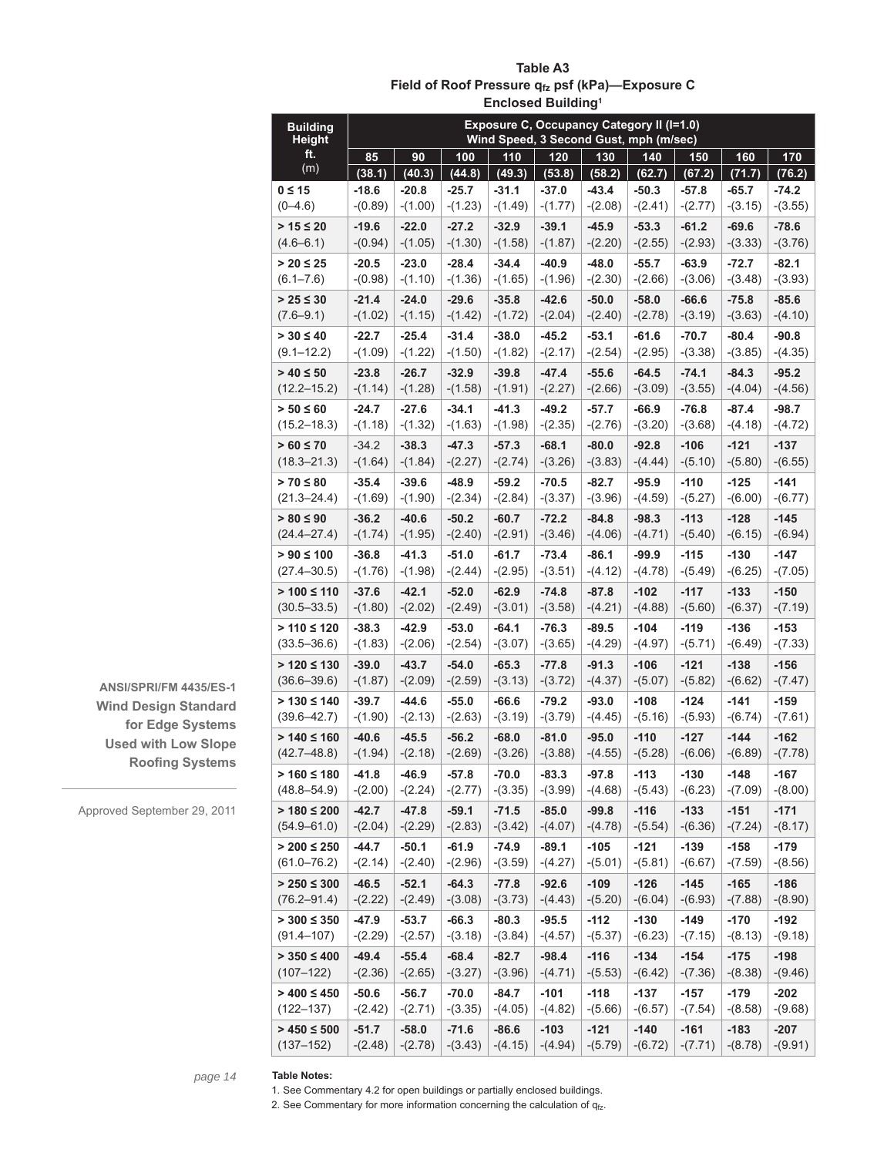| <b>Building</b><br><b>Height</b>   | <b>Exposure C, Occupancy Category II (I=1.0)</b><br>Wind Speed, 3 Second Gust, mph (m/sec) |                      |                      |                      |                      |                      |                      |                      |                      |                      |
|------------------------------------|--------------------------------------------------------------------------------------------|----------------------|----------------------|----------------------|----------------------|----------------------|----------------------|----------------------|----------------------|----------------------|
| ft.                                | 85                                                                                         | 90                   | 100                  | 110                  | 120                  | 130                  | 140                  | 150                  | 160                  | 170                  |
| (m)                                | (38.1)                                                                                     | (40.3)               | (44.8)               | (49.3)               | (53.8)               | (58.2)               | (62.7)               | (67.2)               | (71.7)               | (76.2)               |
| $0 \leq 15$                        | $-18.6$                                                                                    | $-20.8$              | $-25.7$              | $-31.1$              | $-37.0$              | $-43.4$              | $-50.3$              | $-57.8$              | $-65.7$              | $-74.2$              |
| $(0 - 4.6)$                        | $-(0.89)$                                                                                  | $-(1.00)$            | $-(1.23)$            | $-(1.49)$            | $-(1.77)$            | $-(2.08)$            | $-(2.41)$            | $-(2.77)$            | $-(3.15)$            | $-(3.55)$            |
| $> 15 \le 20$                      | $-19.6$                                                                                    | $-22.0$              | $-27.2$              | $-32.9$              | $-39.1$              | $-45.9$              | $-53.3$              | $-61.2$              | $-69.6$              | $-78.6$              |
| $(4.6 - 6.1)$                      | $-(0.94)$                                                                                  | $-(1.05)$            | $-(1.30)$            | $-(1.58)$            | $-(1.87)$            | $-(2.20)$            | $-(2.55)$            | $-(2.93)$            | $-(3.33)$            | $-(3.76)$            |
| $> 20 \le 25$<br>$(6.1 - 7.6)$     | $-20.5$<br>$-(0.98)$                                                                       | $-23.0$<br>$-(1.10)$ | $-28.4$<br>$-(1.36)$ | $-34.4$<br>$-(1.65)$ | $-40.9$<br>$-(1.96)$ | $-48.0$<br>$-(2.30)$ | $-55.7$<br>$-(2.66)$ | $-63.9$<br>$-(3.06)$ | $-72.7$<br>$-(3.48)$ | $-82.1$<br>$-(3.93)$ |
| $> 25 \le 30$                      | $-21.4$                                                                                    | $-24.0$              | $-29.6$              | $-35.8$              | $-42.6$              |                      | $-58.0$              | $-66.6$              | $-75.8$              |                      |
| $(7.6 - 9.1)$                      | $-(1.02)$                                                                                  | $-(1.15)$            | $-(1.42)$            | $-(1.72)$            | $-(2.04)$            | $-50.0$<br>$-(2.40)$ | $-(2.78)$            | $-(3.19)$            | $-(3.63)$            | $-85.6$<br>$-(4.10)$ |
| $> 30 \le 40$                      | $-22.7$                                                                                    | $-25.4$              | $-31.4$              | $-38.0$              | $-45.2$              | $-53.1$              | $-61.6$              | $-70.7$              | $-80.4$              | $-90.8$              |
| $(9.1 - 12.2)$                     | $-(1.09)$                                                                                  | $-(1.22)$            | $-(1.50)$            | $-(1.82)$            | $-(2.17)$            | $-(2.54)$            | $-(2.95)$            | $-(3.38)$            | $-(3.85)$            | $-(4.35)$            |
| $> 40 \le 50$                      | $-23.8$                                                                                    | $-26.7$              | $-32.9$              | $-39.8$              | $-47.4$              | $-55.6$              | $-64.5$              | $-74.1$              | $-84.3$              | $-95.2$              |
| $(12.2 - 15.2)$                    | $-(1.14)$                                                                                  | $-(1.28)$            | $-(1.58)$            | $-(1.91)$            | $-(2.27)$            | $-(2.66)$            | $-(3.09)$            | $-(3.55)$            | $-(4.04)$            | $-(4.56)$            |
| $> 50 \le 60$                      | $-24.7$                                                                                    | $-27.6$              | $-34.1$              | $-41.3$              | $-49.2$              | $-57.7$              | $-66.9$              | $-76.8$              | -87.4                | $-98.7$              |
| $(15.2 - 18.3)$                    | $-(1.18)$                                                                                  | $-(1.32)$            | $-(1.63)$            | $-(1.98)$            | $-(2.35)$            | $-(2.76)$            | $-(3.20)$            | $-(3.68)$            | $-(4.18)$            | $-(4.72)$            |
| $> 60 \le 70$                      | $-34.2$                                                                                    | $-38.3$              | $-47.3$              | $-57.3$              | $-68.1$              | $-80.0$              | $-92.8$              | $-106$               | $-121$               | $-137$               |
| $(18.3 - 21.3)$                    | $-(1.64)$                                                                                  | $-(1.84)$            | $-(2.27)$            | $-(2.74)$            | $-(3.26)$            | $-(3.83)$            | $-(4.44)$            | $-(5.10)$            | $-(5.80)$            | $-(6.55)$            |
| $> 70 \le 80$                      | $-35.4$                                                                                    | $-39.6$              | $-48.9$              | $-59.2$              | $-70.5$              | $-82.7$              | $-95.9$              | $-110$               | $-125$               | $-141$               |
| $(21.3 - 24.4)$                    | $-(1.69)$                                                                                  | $-(1.90)$            | $-(2.34)$            | $-(2.84)$            | $-(3.37)$            | $-(3.96)$            | $-(4.59)$            | $-(5.27)$            | $-(6.00)$            | $-(6.77)$            |
| $> 80 \le 90$<br>$(24.4 - 27.4)$   | $-36.2$<br>$-(1.74)$                                                                       | $-40.6$<br>$-(1.95)$ | $-50.2$<br>$-(2.40)$ | $-60.7$<br>$-(2.91)$ | $-72.2$<br>$-(3.46)$ | $-84.8$<br>$-(4.06)$ | $-98.3$<br>$-(4.71)$ | $-113$<br>$-(5.40)$  | $-128$<br>$-(6.15)$  | $-145$<br>$-(6.94)$  |
| $> 90 \le 100$                     | $-36.8$                                                                                    | $-41.3$              | $-51.0$              | $-61.7$              | $-73.4$              | $-86.1$              | -99.9                | $-115$               | $-130$               | $-147$               |
| $(27.4 - 30.5)$                    | $-(1.76)$                                                                                  | $-(1.98)$            | $-(2.44)$            | $-(2.95)$            | $-(3.51)$            | $-(4.12)$            | $-(4.78)$            | $-(5.49)$            | $-(6.25)$            | $-(7.05)$            |
| $> 100 \le 110$                    | $-37.6$                                                                                    | $-42.1$              | $-52.0$              | $-62.9$              | $-74.8$              | $-87.8$              | $-102$               | $-117$               | $-133$               | $-150$               |
| $(30.5 - 33.5)$                    | $-(1.80)$                                                                                  | $-(2.02)$            | $-(2.49)$            | $-(3.01)$            | $-(3.58)$            | $-(4.21)$            | $-(4.88)$            | $-(5.60)$            | $-(6.37)$            | $-(7.19)$            |
| $> 110 \le 120$                    | $-38.3$                                                                                    | $-42.9$              | -53.0                | $-64.1$              | $-76.3$              | $-89.5$              | $-104$               | $-119$               | -136                 | $-153$               |
| $(33.5 - 36.6)$                    | $-(1.83)$                                                                                  | $-(2.06)$            | $-(2.54)$            | $-(3.07)$            | $-(3.65)$            | $-(4.29)$            | $-(4.97)$            | $-(5.71)$            | $-(6.49)$            | $-(7.33)$            |
| $> 120 \le 130$                    | $-39.0$                                                                                    | $-43.7$              | $-54.0$              | $-65.3$              | $-77.8$              | $-91.3$              | $-106$               | $-121$               | $-138$               | $-156$               |
| $(36.6 - 39.6)$                    | $-(1.87)$                                                                                  | $-(2.09)$            | $-(2.59)$            | $-(3.13)$            | $-(3.72)$            | $-(4.37)$            | $-(5.07)$            | $-(5.82)$            | $-(6.62)$            | $-(7.47)$            |
| $> 130 \le 140$                    | $-39.7$                                                                                    | $-44.6$              | $-55.0$              | $-66.6$              | $-79.2$              | $-93.0$              | $-108$               | $-124$               | $-141$               | $-159$               |
| $(39.6 - 42.7)$                    | $-(1.90)$                                                                                  | $-(2.13)$            | $-(2.63)$            | $-(3.19)$            | $-(3.79)$            | $-(4.45)$            | $-(5.16)$            | $-(5.93)$            | $-(6.74)$            | $-(7.61)$            |
| $> 140 \le 160$<br>$(42.7 - 48.8)$ | $-40.6$<br>$-(1.94)$                                                                       | $-45.5$<br>$-(2.18)$ | $-56.2$<br>$-(2.69)$ | $-68.0$<br>$-(3.26)$ | $-81.0$<br>$-(3.88)$ | $-95.0$<br>$-(4.55)$ | $-110$<br>$-(5.28)$  | $-127$<br>$-(6.06)$  | $-144$<br>$-(6.89)$  | $-162$<br>$-(7.78)$  |
| $> 160 \le 180$                    | $-41.8$                                                                                    | $-46.9$              | $-57.8$              | $-70.0$              | $-83.3$              | $-97.8$              | $-113$               | $-130$               | $-148$               | $-167$               |
| $(48.8 - 54.9)$                    | $-(2.00)$                                                                                  | $-(2.24)$            | $-(2.77)$            | $-(3.35)$            | $-(3.99)$            | $-(4.68)$            | $-(5.43)$            | $-(6.23)$            | $-(7.09)$            | $-(8.00)$            |
| $> 180 \le 200$                    | $-42.7$                                                                                    | $-47.8$              | $-59.1$              | $-71.5$              | $-85.0$              | $-99.8$              | $-116$               | $-133$               | $-151$               | $-171$               |
| $(54.9 - 61.0)$                    | $-(2.04)$                                                                                  | $-(2.29)$            | $-(2.83)$            | $-(3.42)$            | $-(4.07)$            | $-(4.78)$            | $-(5.54)$            | $-(6.36)$            | $-(7.24)$            | $-(8.17)$            |
| $> 200 \le 250$                    | $-44.7$                                                                                    | $-50.1$              | $-61.9$              | $-74.9$              | $-89.1$              | $-105$               | $-121$               | $-139$               | $-158$               | $-179$               |
| $(61.0 - 76.2)$                    | $-(2.14)$                                                                                  | $-(2.40)$            | $-(2.96)$            | $-(3.59)$            | $-(4.27)$            | $-(5.01)$            | $-(5.81)$            | $-(6.67)$            | $-(7.59)$            | $-(8.56)$            |
| $> 250 \le 300$                    | $-46.5$                                                                                    | $-52.1$              | $-64.3$              | $-77.8$              | $-92.6$              | $-109$               | $-126$               | $-145$               | $-165$               | $-186$               |
| $(76.2 - 91.4)$                    | $-(2.22)$                                                                                  | $-(2.49)$            | $-(3.08)$            | $-(3.73)$            | $-(4.43)$            | $-(5.20)$            | $-(6.04)$            | $-(6.93)$            | $-(7.88)$            | $-(8.90)$            |
| $> 300 \le 350$                    | $-47.9$                                                                                    | $-53.7$              | $-66.3$              | $-80.3$              | $-95.5$              | -112                 | $-130$               | $-149$               | $-170$               | -192                 |
| $(91.4 - 107)$                     | $-(2.29)$                                                                                  | $-(2.57)$            | $-(3.18)$            | $-(3.84)$            | $-(4.57)$            | $-(5.37)$            | $-(6.23)$            | $-(7.15)$            | $-(8.13)$            | $-(9.18)$            |
| $> 350 \le 400$<br>$(107 - 122)$   | $-49.4$<br>$-(2.36)$                                                                       | $-55.4$<br>$-(2.65)$ | $-68.4$<br>$-(3.27)$ | $-82.7$<br>$-(3.96)$ | -98.4<br>$-(4.71)$   | $-116$<br>$-(5.53)$  | $-134$<br>$-(6.42)$  | $-154$<br>$-(7.36)$  | $-175$<br>$-(8.38)$  | -198<br>$-(9.46)$    |
| $> 400 \le 450$                    | $-50.6$                                                                                    | -56.7                | -70.0                | -84.7                | -101                 | -118                 | -137                 | -157                 | -179                 | $-202$               |
| $(122 - 137)$                      | $-(2.42)$                                                                                  | $-(2.71)$            | $-(3.35)$            | $-(4.05)$            | $-(4.82)$            | $-(5.66)$            | $-(6.57)$            | $-(7.54)$            | $-(8.58)$            | $-(9.68)$            |
| $> 450 \le 500$                    | $-51.7$                                                                                    | $-58.0$              | $-71.6$              | $-86.6$              | $-103$               | $-121$               | $-140$               | $-161$               | $-183$               | $-207$               |
| $(137 - 152)$                      | $-(2.48)$                                                                                  | $-(2.78)$            | $-(3.43)$            | $-(4.15)$            | $-(4.94)$            | $-(5.79)$            | $-(6.72)$            | $-(7.71)$            | $-(8.78)$            | $-(9.91)$            |

# **Table A3 Field of Roof Pressure qfz psf (kPa)—Exposure C Enclosed Building1**

**ANSI/SPRI/FM 4435/ES-1 Wind Design Standard for Edge Systems Used with Low Slope Roofing Systems** 

Approved September 29, 2011

*page 14*

**Table Notes:** 1. See Commentary 4.2 for open buildings or partially enclosed buildings.

2. See Commentary for more information concerning the calculation of  $q_{fz}$ .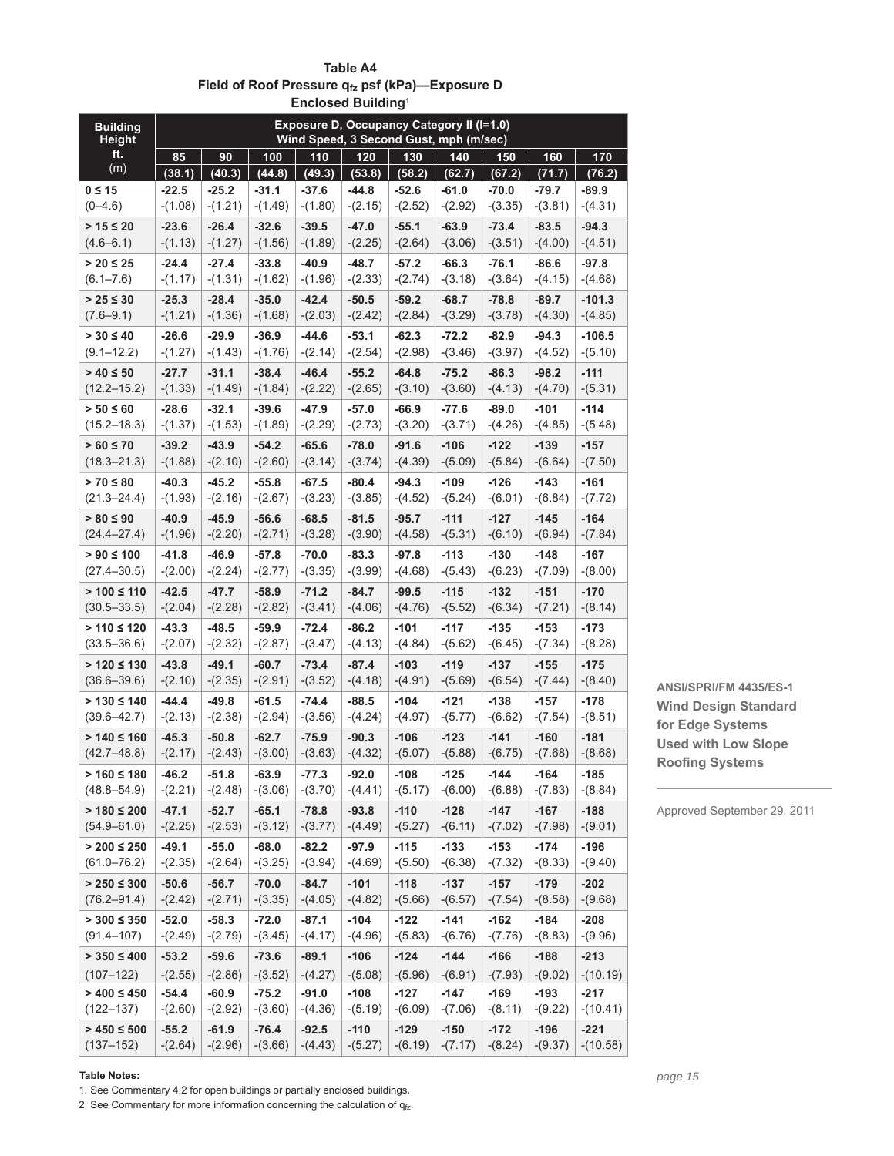|                                    |                      |                      |                      | Liiciosed Duildilig  |                      |                      |                                                                                     |                     |                     |                     |
|------------------------------------|----------------------|----------------------|----------------------|----------------------|----------------------|----------------------|-------------------------------------------------------------------------------------|---------------------|---------------------|---------------------|
| <b>Building</b><br><b>Height</b>   |                      |                      |                      |                      |                      |                      | Exposure D, Occupancy Category II (I=1.0)<br>Wind Speed, 3 Second Gust, mph (m/sec) |                     |                     |                     |
| ft.                                | 85                   | 90                   | 100                  | 110                  | 120                  | 130                  | 140                                                                                 | 150                 | 160                 | 170                 |
| (m)                                | (38.1)               | (40.3)               | (44.8)               | (49.3)               | (53.8)               | (58.2)               | (62.7)                                                                              | (67.2)              | (71.7)              | (76.2)              |
| $0 \leq 15$                        | $-22.5$              | $-25.2$              | $-31.1$              | $-37.6$              | $-44.8$              | $-52.6$              | $-61.0$                                                                             | $-70.0$             | $-79.7$             | $-89.9$             |
| $(0 - 4.6)$                        | $-(1.08)$            | $-(1.21)$            | $-(1.49)$            | $-(1.80)$            | $-(2.15)$            | $-(2.52)$            | $-(2.92)$                                                                           | $-(3.35)$           | $-(3.81)$           | $-(4.31)$           |
| $> 15 \le 20$                      | $-23.6$              | $-26.4$              | $-32.6$              | $-39.5$              | $-47.0$              | $-55.1$              | $-63.9$                                                                             | $-73.4$             | $-83.5$             | $-94.3$             |
| $(4.6 - 6.1)$                      | $-(1.13)$            | $-(1.27)$            | $-(1.56)$            | $-(1.89)$            | $-(2.25)$            | $-(2.64)$            | $-(3.06)$                                                                           | $-(3.51)$           | $-(4.00)$           | $-(4.51)$           |
| $> 20 \le 25$                      | $-24.4$              | $-27.4$              | $-33.8$              | $-40.9$              | $-48.7$              | $-57.2$              | $-66.3$                                                                             | $-76.1$             | $-86.6$             | $-97.8$             |
| $(6.1 - 7.6)$                      | $-(1.17)$            | $-(1.31)$            | $-(1.62)$            | $-(1.96)$            | $-(2.33)$            | $-(2.74)$            | $-(3.18)$                                                                           | $-(3.64)$           | $-(4.15)$           | $-(4.68)$           |
| $> 25 \le 30$                      | $-25.3$              | $-28.4$              | $-35.0$              | $-42.4$              | $-50.5$              | $-59.2$              | $-68.7$                                                                             | $-78.8$             | $-89.7$             | $-101.3$            |
| $(7.6 - 9.1)$                      | $-(1.21)$            | $-(1.36)$            | $-(1.68)$            | $-(2.03)$            | $-(2.42)$            | $-(2.84)$            | $-(3.29)$                                                                           | $-(3.78)$           | $-(4.30)$           | $-(4.85)$           |
| $> 30 \le 40$                      | $-26.6$              | $-29.9$              | $-36.9$              | $-44.6$              | $-53.1$              | $-62.3$              | $-72.2$                                                                             | $-82.9$             | $-94.3$             | $-106.5$            |
| $(9.1 - 12.2)$                     | $-(1.27)$            | $-(1.43)$            | $-(1.76)$            | $-(2.14)$            | $-(2.54)$            | $-(2.98)$            | $-(3.46)$                                                                           | $-(3.97)$           | $-(4.52)$           | $-(5.10)$           |
| $> 40 \le 50$                      | $-27.7$              | $-31.1$              | $-38.4$              | $-46.4$              | $-55.2$              | $-64.8$              | $-75.2$                                                                             | $-86.3$             | $-98.2$             | $-111$              |
| $(12.2 - 15.2)$                    | $-(1.33)$            | $-(1.49)$            | $-(1.84)$            | $-(2.22)$            | $-(2.65)$            | $-(3.10)$            | $-(3.60)$                                                                           | $-(4.13)$           | $-(4.70)$           | $-(5.31)$           |
| $> 50 \le 60$                      | $-28.6$              | $-32.1$              | $-39.6$              | $-47.9$              | $-57.0$              | $-66.9$              | $-77.6$                                                                             | $-89.0$             | $-101$              | $-114$              |
| $(15.2 - 18.3)$                    | $-(1.37)$            | $-(1.53)$            | $-(1.89)$            | $-(2.29)$            | $-(2.73)$            | $-(3.20)$            | $-(3.71)$                                                                           | $-(4.26)$           | $-(4.85)$           | $-(5.48)$           |
| $> 60 \le 70$<br>$(18.3 - 21.3)$   | $-39.2$<br>$-(1.88)$ | $-43.9$<br>$-(2.10)$ | $-54.2$<br>$-(2.60)$ | $-65.6$<br>$-(3.14)$ | $-78.0$<br>$-(3.74)$ | $-91.6$<br>$-(4.39)$ | $-106$<br>$-(5.09)$                                                                 | $-122$<br>$-(5.84)$ | $-139$<br>$-(6.64)$ | $-157$<br>$-(7.50)$ |
| $> 70 \le 80$                      | $-40.3$              | $-45.2$              | $-55.8$              | $-67.5$              | $-80.4$              | $-94.3$              | $-109$                                                                              | $-126$              | $-143$              | -161                |
| $(21.3 - 24.4)$                    | $-(1.93)$            | $-(2.16)$            | $-(2.67)$            | $-(3.23)$            | $-(3.85)$            | $-(4.52)$            | $-(5.24)$                                                                           | $-(6.01)$           | $-(6.84)$           | $-(7.72)$           |
| $> 80 \le 90$                      | $-40.9$              | $-45.9$              | $-56.6$              | $-68.5$              | $-81.5$              | $-95.7$              | $-111$                                                                              | $-127$              | $-145$              | $-164$              |
| $(24.4 - 27.4)$                    | $-(1.96)$            | $-(2.20)$            | $-(2.71)$            | $-(3.28)$            | $-(3.90)$            | $-(4.58)$            | $-(5.31)$                                                                           | $-(6.10)$           | $-(6.94)$           | $-(7.84)$           |
| $> 90 \le 100$                     | $-41.8$              | $-46.9$              | $-57.8$              | $-70.0$              | $-83.3$              | $-97.8$              | $-113$                                                                              | $-130$              | $-148$              | $-167$              |
| $(27.4 - 30.5)$                    | $-(2.00)$            | $-(2.24)$            | $-(2.77)$            | $-(3.35)$            | $-(3.99)$            | $-(4.68)$            | $-(5.43)$                                                                           | $-(6.23)$           | $-(7.09)$           | $-(8.00)$           |
| $> 100 \le 110$                    | $-42.5$              | $-47.7$              | $-58.9$              | $-71.2$              | $-84.7$              | $-99.5$              | $-115$                                                                              | $-132$              | $-151$              | $-170$              |
| $(30.5 - 33.5)$                    | $-(2.04)$            | $-(2.28)$            | $-(2.82)$            | $-(3.41)$            | $-(4.06)$            | $-(4.76)$            | $-(5.52)$                                                                           | $-(6.34)$           | $-(7.21)$           | $-(8.14)$           |
| $> 110 \le 120$                    | $-43.3$              | $-48.5$              | $-59.9$              | $-72.4$              | $-86.2$              | $-101$               | $-117$                                                                              | $-135$              | $-153$              | $-173$              |
| $(33.5 - 36.6)$                    | $-(2.07)$            | $-(2.32)$            | $-(2.87)$            | $-(3.47)$            | $-(4.13)$            | $-(4.84)$            | $-(5.62)$                                                                           | $-(6.45)$           | $-(7.34)$           | $-(8.28)$           |
| $> 120 \le 130$                    | $-43.8$              | $-49.1$              | $-60.7$              | $-73.4$              | $-87.4$              | $-103$               | $-119$                                                                              | $-137$              | $-155$              | $-175$              |
| $(36.6 - 39.6)$                    | $-(2.10)$            | $-(2.35)$            | $-(2.91)$            | $-(3.52)$            | $-(4.18)$            | $-(4.91)$            | $-(5.69)$                                                                           | $-(6.54)$           | $-(7.44)$           | $-(8.40)$           |
| $> 130 \le 140$                    | $-44.4$              | $-49.8$              | $-61.5$              | $-74.4$              | $-88.5$              | $-104$               | $-121$                                                                              | $-138$              | $-157$              | $-178$              |
| $(39.6 - 42.7)$                    | $-(2.13)$            | $-(2.38)$            | $-(2.94)$            | $-(3.56)$            | $-(4.24)$            | $-(4.97)$            | $-(5.77)$                                                                           | $-(6.62)$           | $-(7.54)$           | $-(8.51)$           |
| $> 140 \le 160$                    | $-45.3$              | $-50.8$              | $-62.7$              | $-75.9$              | $-90.3$              | $-106$               | $-123$                                                                              | $-141$              | $-160$              | $-181$              |
| $(42.7 - 48.8)$                    | $-(2.17)$            | $-(2.43)$            | $-(3.00)$            | $-(3.63)$            | $-(4.32)$            | $-(5.07)$            | $-(5.88)$                                                                           | $-(6.75)$           | $-(7.68)$           | $-(8.68)$           |
| $> 160 \le 180$<br>$(48.8 - 54.9)$ | $-46.2$<br>$-(2.21)$ | $-51.8$              | $-63.9$<br>$-(3.06)$ | $-77.3$<br>$-(3.70)$ | $-92.0$<br>$-(4.41)$ | $-108$<br>$-(5.17)$  | $-125$<br>$-(6.00)$                                                                 | $-144$<br>$-(6.88)$ | $-164$<br>$-(7.83)$ | $-185$<br>$-(8.84)$ |
|                                    |                      | $-(2.48)$            |                      |                      |                      |                      |                                                                                     |                     |                     |                     |
| $> 180 \le 200$<br>$(54.9 - 61.0)$ | $-47.1$<br>$-(2.25)$ | $-52.7$<br>$-(2.53)$ | $-65.1$<br>$-(3.12)$ | $-78.8$<br>$-(3.77)$ | $-93.8$<br>$-(4.49)$ | $-110$<br>$-(5.27)$  | $-128$<br>$-(6.11)$                                                                 | $-147$<br>$-(7.02)$ | $-167$<br>$-(7.98)$ | $-188$<br>$-(9.01)$ |
| $> 200 \le 250$                    | -49.1                | $-55.0$              | $-68.0$              | $-82.2$              | -97.9                | $-115$               | $-133$                                                                              | $-153$              | $-174$              | $-196$              |
| $(61.0 - 76.2)$                    | $-(2.35)$            | $-(2.64)$            | $-(3.25)$            | $-(3.94)$            | $-(4.69)$            | $-(5.50)$            | $-(6.38)$                                                                           | $-(7.32)$           | $-(8.33)$           | $-(9.40)$           |
| $> 250 \leq 300$                   | $-50.6$              | $-56.7$              | $-70.0$              | -84.7                | $-101$               | $-118$               | $-137$                                                                              | $-157$              | $-179$              | $-202$              |
| $(76.2 - 91.4)$                    | $-(2.42)$            | $-(2.71)$            | $-(3.35)$            | $-(4.05)$            | $-(4.82)$            | $-(5.66)$            | $-(6.57)$                                                                           | $-(7.54)$           | $-(8.58)$           | $-(9.68)$           |
| $> 300 \le 350$                    | $-52.0$              | $-58.3$              | -72.0                | $-87.1$              | $-104$               | $-122$               | $-141$                                                                              | $-162$              | $-184$              | $-208$              |
| $(91.4 - 107)$                     | $-(2.49)$            | $-(2.79)$            | $-(3.45)$            | $-(4.17)$            | $-(4.96)$            | $-(5.83)$            | $-(6.76)$                                                                           | $-(7.76)$           | $-(8.83)$           | $-(9.96)$           |
| $> 350 \le 400$                    | $-53.2$              | $-59.6$              | $-73.6$              | $-89.1$              | $-106$               | $-124$               | $-144$                                                                              | $-166$              | $-188$              | $-213$              |
| $(107 - 122)$                      | $-(2.55)$            | $-(2.86)$            | $-(3.52)$            | $-(4.27)$            | $-(5.08)$            | $-(5.96)$            | $-(6.91)$                                                                           | $-(7.93)$           | $-(9.02)$           | $-(10.19)$          |
| $> 400 \le 450$                    | $-54.4$              | $-60.9$              | $-75.2$              | $-91.0$              | $-108$               | $-127$               | $-147$                                                                              | $-169$              | $-193$              | $-217$              |
| $(122 - 137)$                      | $-(2.60)$            | $-(2.92)$            | $-(3.60)$            | $-(4.36)$            | $-(5.19)$            | $-(6.09)$            | $-(7.06)$                                                                           | $-(8.11)$           | $-(9.22)$           | $-(10.41)$          |
| $> 450 \le 500$                    | $-55.2$              | $-61.9$              | $-76.4$              | $-92.5$              | $-110$               | $-129$               | $-150$                                                                              | $-172$              | $-196$              | $-221$              |
| $(137 - 152)$                      | $-(2.64)$            | $-(2.96)$            | $-(3.66)$            | $-(4.43)$            | $-(5.27)$            | $-(6.19)$            | $-(7.17)$                                                                           | $-(8.24)$           | $-(9.37)$           | $-(10.58)$          |

**Table A4** Field of Roof Pressure q<sub>tz</sub> psf (kPa)-Exposure D **Enclosed Building1**

**ANSI/SPRI/FM 4435/ES-1 Wind Design Standard for Edge Systems Used with Low Slope Roofing Systems** 

Approved September 29, 2011

#### **Table Notes:**

1. See Commentary 4.2 for open buildings or partially enclosed buildings.

2. See Commentary for more information concerning the calculation of  $q_{fz}$ .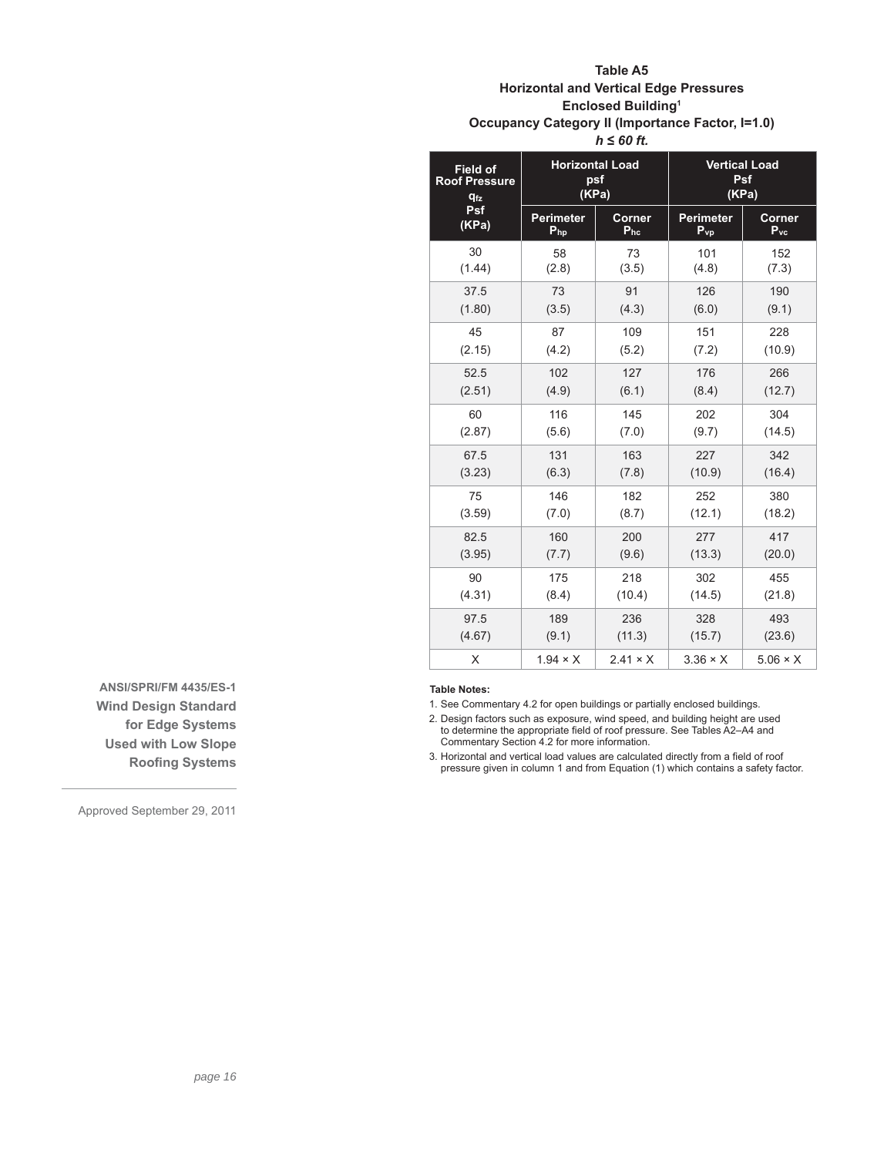# **Table A5 Horizontal and Vertical Edge Pressures Enclosed Building1 Occupancy Category II (Importance Factor, I=1.0)** *h ≤ 60 ft.*

| <b>Field of</b><br><b>Roof Pressure</b><br><b>qfz</b> | <b>Horizontal Load</b> | psf<br>(KPa)    | <b>Vertical Load</b><br><b>Psf</b><br>(KPa) |                 |  |
|-------------------------------------------------------|------------------------|-----------------|---------------------------------------------|-----------------|--|
| Psf                                                   | <b>Perimeter</b>       | Corner          | Perimeter                                   | Corner          |  |
| (KPa)                                                 | $P_{hp}$               | $P_{hc}$        | $P_{VD}$                                    | $P_{\text{vc}}$ |  |
| 30                                                    | 58                     | 73              | 101                                         | 152             |  |
| (1.44)                                                | (2.8)                  | (3.5)           | (4.8)                                       | (7.3)           |  |
| 37.5                                                  | 73                     | 91              | 126                                         | 190             |  |
| (1.80)                                                | (3.5)                  | (4.3)           | (6.0)                                       | (9.1)           |  |
| 45                                                    | 87                     | 109             | 151                                         | 228             |  |
| (2.15)                                                | (4.2)                  | (5.2)           | (7.2)                                       | (10.9)          |  |
| 52.5                                                  | 102                    | 127             | 176                                         | 266             |  |
| (2.51)                                                | (4.9)                  | (6.1)           | (8.4)                                       | (12.7)          |  |
| 60                                                    | 116                    | 145             | 202                                         | 304             |  |
| (2.87)                                                | (5.6)                  | (7.0)           | (9.7)                                       | (14.5)          |  |
| 67.5                                                  | 131                    | 163             | 227                                         | 342             |  |
| (3.23)                                                | (6.3)                  | (7.8)           | (10.9)                                      | (16.4)          |  |
| 75                                                    | 146                    | 182             | 252                                         | 380             |  |
| (3.59)                                                | (7.0)                  | (8.7)           | (12.1)                                      | (18.2)          |  |
| 82.5                                                  | 160                    | 200             | 277                                         | 417             |  |
| (3.95)                                                | (7.7)                  | (9.6)           | (13.3)                                      | (20.0)          |  |
| 90                                                    | 175                    | 218             | 302                                         | 455             |  |
| (4.31)                                                | (8.4)                  | (10.4)          | (14.5)                                      | (21.8)          |  |
| 97.5                                                  | 189                    | 236             | 328                                         | 493             |  |
| (4.67)                                                | (9.1)                  | (11.3)          | (15.7)                                      | (23.6)          |  |
| X                                                     | $1.94 \times X$        | $2.41 \times X$ | $3.36 \times X$                             | $5.06 \times X$ |  |

**Table Notes:**

1. See Commentary 4.2 for open buildings or partially enclosed buildings.

2. Design factors such as exposure, wind speed, and building height are used to determine the appropriate field of roof pressure. See Tables A2–A4 and<br>Commentary Section 4.2 for more information.

3. Horizontal and vertical load values are calculated directly from a field of roof pressure given in column 1 and from Equation (1) which contains a safety factor.

**ANSI/SPRI/FM 4435/ES-1 Wind Design Standard for Edge Systems Used with Low Slope Roofing Systems**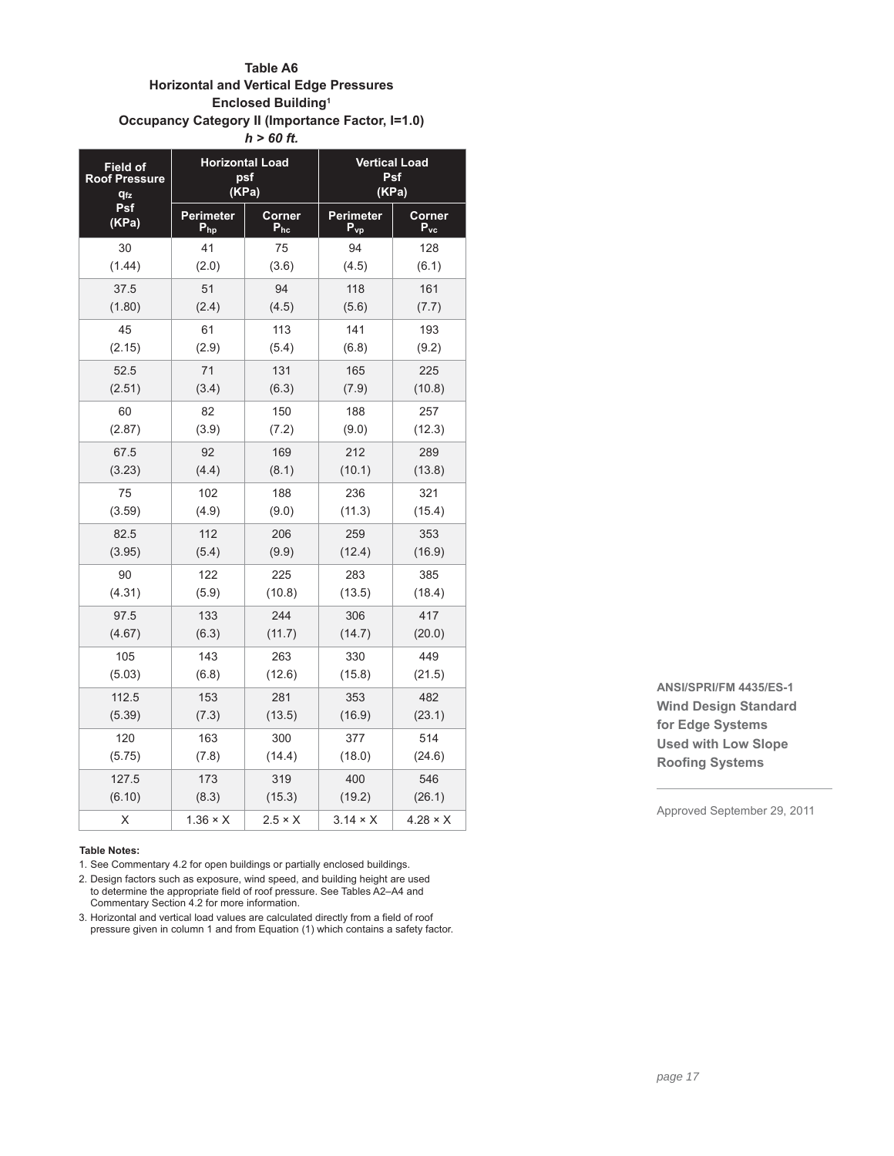# **Table A6 Horizontal and Vertical Edge Pressures Enclosed Building1 Occupancy Category II (Importance Factor, I=1.0)** *h > 60 ft.*

| <b>Field of</b>       |                 | <b>Horizontal Load</b> | <b>Vertical Load</b> |                            |  |
|-----------------------|-----------------|------------------------|----------------------|----------------------------|--|
| <b>Roof Pressure</b>  |                 | psf                    | Psf                  |                            |  |
| <b>q<sub>fz</sub></b> |                 | (KPa)                  | (KPa)                |                            |  |
| Psf                   | Perimeter       | Corner                 | <b>Perimeter</b>     | Corner                     |  |
| (KPa)                 | $P_{hp}$        | $P_{hc}$               | $P_{vp}$             | $\mathsf{P}_{\mathsf{vc}}$ |  |
| 30                    | 41              | 75                     | 94                   | 128                        |  |
| (1.44)                | (2.0)           | (3.6)                  | (4.5)                | (6.1)                      |  |
| 37.5                  | 51              | 94                     | 118                  | 161                        |  |
| (1.80)                | (2.4)           | (4.5)                  | (5.6)                | (7.7)                      |  |
| 45                    | 61              | 113                    | 141                  | 193                        |  |
| (2.15)                | (2.9)           | (5.4)                  | (6.8)                | (9.2)                      |  |
| 52.5                  | 71              | 131                    | 165                  | 225                        |  |
| (2.51)                | (3.4)           | (6.3)                  | (7.9)                | (10.8)                     |  |
| 60                    | 82              | 150                    | 188                  | 257                        |  |
| (2.87)                | (3.9)           | (7.2)                  | (9.0)                | (12.3)                     |  |
| 67.5                  | 92              | 169                    | 212                  | 289                        |  |
| (3.23)                | (4.4)           | (8.1)                  | (10.1)               | (13.8)                     |  |
| 75                    | 102             | 188                    | 236                  | 321                        |  |
| (3.59)                | (4.9)           | (9.0)                  | (11.3)               | (15.4)                     |  |
| 82.5                  | 112             | 206                    | 259                  | 353                        |  |
| (3.95)                | (5.4)           | (9.9)                  | (12.4)               | (16.9)                     |  |
| 90                    | 122             | 225                    | 283                  | 385                        |  |
| (4.31)                | (5.9)           | (10.8)                 | (13.5)               | (18.4)                     |  |
| 97.5                  | 133             | 244                    | 306                  | 417                        |  |
| (4.67)                | (6.3)           | (11.7)                 | (14.7)               | (20.0)                     |  |
| 105                   | 143             | 263                    | 330                  | 449                        |  |
| (5.03)                | (6.8)           | (12.6)                 | (15.8)               | (21.5)                     |  |
| 112.5                 | 153             | 281                    | 353                  | 482                        |  |
| (5.39)                | (7.3)           | (13.5)                 | (16.9)               | (23.1)                     |  |
| 120                   | 163             | 300                    | 377                  | 514                        |  |
| (5.75)                | (7.8)           | (14.4)                 | (18.0)               | (24.6)                     |  |
| 127.5                 | 173             | 319                    | 400                  | 546                        |  |
| (6.10)                | (8.3)           | (15.3)                 | (19.2)               | (26.1)                     |  |
| X                     | $1.36 \times X$ | $2.5 \times X$         | $3.14 \times X$      | $4.28 \times X$            |  |

#### **Table Notes:**

1. See Commentary 4.2 for open buildings or partially enclosed buildings.

- 2. Design factors such as exposure, wind speed, and building height are used to determine the appropriate field of roof pressure. See Tables A2–A4 and Commentary Section 4.2 for more information.
- 3. Horizontal and vertical load values are calculated directly from a field of roof pressure given in column 1 and from Equation (1) which contains a safety factor.

**ANSI/SPRI/FM 4435/ES-1 Wind Design Standard for Edge Systems Used with Low Slope Roofing Systems**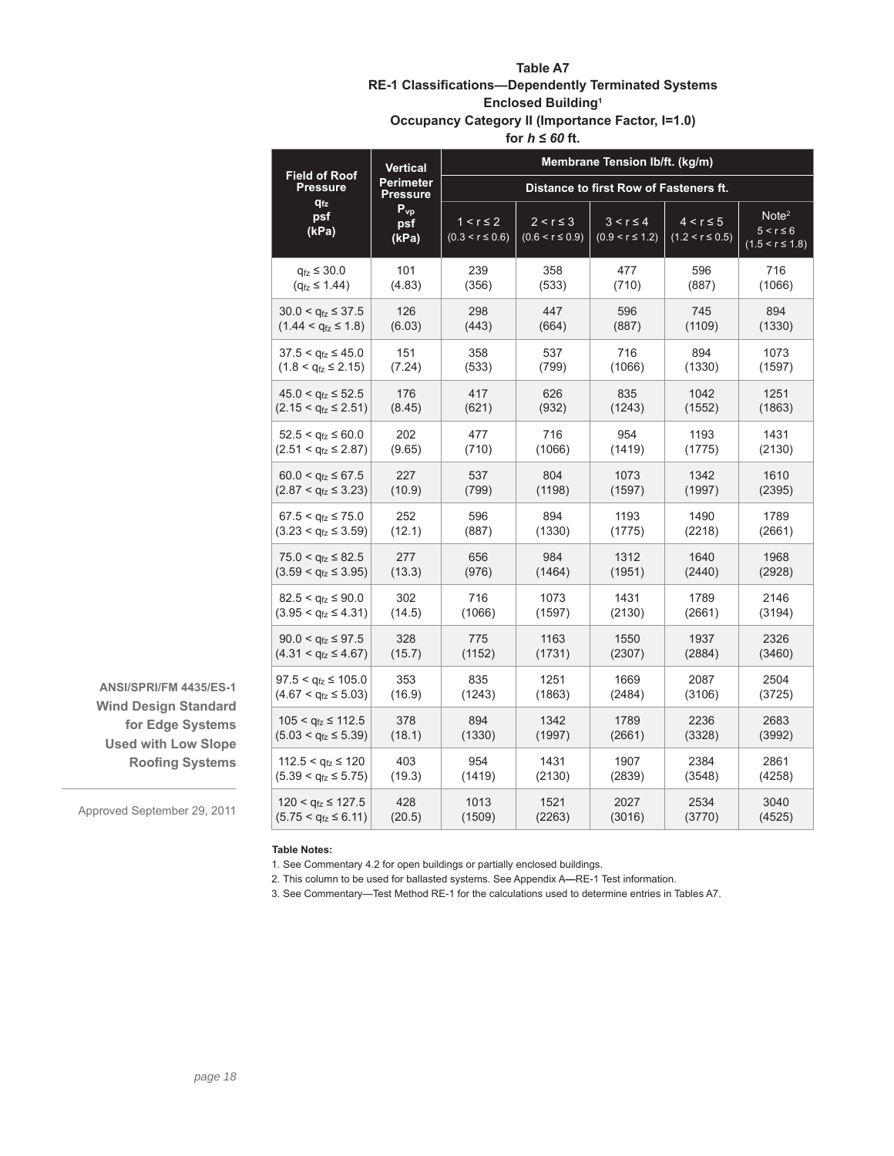# **Table A7 RE-1 Classifications-Dependently Terminated Systems**

# **Enclosed Building1**

**Occupancy Category II (Importance Factor, I=1.0)**

for  $h \leq 60$  ft.

|                                                                        | <b>Vertical</b>               | Membrane Tension Ib/ft. (kg/m)         |                                       |                                       |                                       |                                                            |
|------------------------------------------------------------------------|-------------------------------|----------------------------------------|---------------------------------------|---------------------------------------|---------------------------------------|------------------------------------------------------------|
| <b>Field of Roof</b><br><b>Pressure</b>                                | Perimeter<br>Pressure         | Distance to first Row of Fasteners ft. |                                       |                                       |                                       |                                                            |
| $q_{tz}$<br>psf<br>(kPa)                                               | $P_{vp}$<br>psf<br>(kPa)      | $1 < r \leq 2$<br>$(0.3 < r \le 0.6)$  | $2 < r \leq 3$<br>$(0.6 < r \le 0.9)$ | $3 < r \leq 4$<br>$(0.9 < r \le 1.2)$ | $4 < r \leq 5$<br>$(1.2 < r \le 0.5)$ | Note <sup>2</sup><br>$5 < r \leq 6$<br>$(1.5 < r \le 1.8)$ |
| $q_{fz} \leq 30.0$                                                     | 101                           | 239                                    | 358                                   | 477                                   | 596                                   | 716                                                        |
| $(q_{\text{fz}} \leq 1.44)$                                            | (4.83)                        | (356)                                  | (533)                                 | (710)                                 | (887)                                 | (1066)                                                     |
| $30.0 < q_{\text{fz}} \leq 37.5$                                       | 126                           | 298                                    | 447                                   | 596                                   | 745                                   | 894                                                        |
| $(1.44 < q_{\text{fz}} \leq 1.8)$                                      | (6.03)                        | (443)                                  | (664)                                 | (887)                                 | (1109)                                | (1330)                                                     |
| $37.5 < q_{1z} \leq 45.0$                                              | 151                           | 358                                    | 537                                   | 716                                   | 894                                   | 1073                                                       |
| $(1.8 < q_{\text{fz}} \leq 2.15)$                                      | (7.24)                        | (533)                                  | (799)                                 | (1066)                                | (1330)                                | (1597)                                                     |
| $45.0 < q_{fz} \le 52.5$                                               | 176                           | 417                                    | 626                                   | 835                                   | 1042                                  | 1251                                                       |
| $(2.15 < q_{\text{fz}} \leq 2.51)$                                     | (8.45)                        | (621)                                  | (932)                                 | (1243)                                | (1552)                                | (1863)                                                     |
| $52.5 < q_{\text{fz}} \leq 60.0$                                       | 202                           | 477                                    | 716                                   | 954                                   | 1193                                  | 1431                                                       |
| $(2.51 < q_{fz} \le 2.87)$                                             | (9.65)                        | (710)                                  | (1066)                                | (1419)                                | (1775)                                | (2130)                                                     |
| $60.0 < q_{\text{fz}} \leq 67.5$<br>$(2.87 < q_{\text{fz}} \leq 3.23)$ | 227<br>537<br>(10.9)<br>(799) |                                        | 804<br>(1198)                         | 1073<br>(1597)                        | 1342<br>(1997)                        | 1610<br>(2395)                                             |
| $67.5 < q_{\text{fz}} \leq 75.0$<br>$(3.23 < q_{\text{fz}} \leq 3.59)$ | 252<br>(12.1)                 | 596<br>(887)                           | 894<br>1193<br>(1330)<br>(1775)       |                                       | 1490<br>(2218)                        | 1789<br>(2661)                                             |
| $75.0 < q_{fz} \leq 82.5$<br>$(3.59 < q_{\text{fz}} \leq 3.95)$        | 277<br>(13.3)                 | 984<br>656<br>(976)<br>(1464)          |                                       | 1312<br>(1951)                        | 1640<br>(2440)                        | 1968<br>(2928)                                             |
| $82.5 < q_{\text{fz}} \leq 90.0$                                       | 302                           | 716                                    | 1073                                  | 1431                                  | 1789                                  | 2146                                                       |
| $(3.95 < q_{\text{fz}} \leq 4.31)$                                     | (14.5)                        | (1066)                                 | (1597)                                | (2130)                                | (2661)                                | (3194)                                                     |
| $90.0 < q_{fz} \le 97.5$                                               | 328                           | 775                                    | 1163                                  | 1550                                  | 1937                                  | 2326                                                       |
| $(4.31 < q_{fz} \leq 4.67)$                                            | (15.7)                        | (1152)                                 | (1731)                                | (2307)                                | (2884)                                | (3460)                                                     |
| 97.5 < q <sub>fz</sub> ≤ 105.0                                         | 353                           | 835                                    | 1251                                  | 1669                                  | 2087                                  | 2504                                                       |
| $(4.67 < q_{fz} \le 5.03)$                                             | (16.9)                        | (1243)                                 | (1863)                                | (2484)                                | (3106)                                | (3725)                                                     |
| $105 < q_{\text{fz}} \leq 112.5$                                       | 378                           | 894                                    | 1342                                  | 1789                                  | 2236                                  | 2683                                                       |
| $(5.03 < q_{\text{fz}} \leq 5.39)$                                     | (18.1)                        | (1330)                                 | (1997)                                | (2661)                                | (3328)                                | (3992)                                                     |
| $112.5 < q_{tz} \le 120$                                               | 403                           | 954                                    | 1431                                  | 1907                                  | 2384                                  | 2861                                                       |
| $(5.39 < q_{\text{fz}} \leq 5.75)$                                     | (19.3)                        | (1419)                                 | (2130)                                | (2839)                                | (3548)                                | (4258)                                                     |
| $120 < q_{\text{fz}} \leq 127.5$                                       | 428                           | 1013                                   | 1521                                  | 2027                                  | 2534                                  | 3040                                                       |
| $(5.75 < q_{fz} \le 6.11)$                                             | (20.5)                        | (1509)                                 | (2263)                                | (3016)                                | (3770)                                | (4525)                                                     |

**ANSI/SPRI/FM 4435/ES-1 Wind Design Standard for Edge Systems Used with Low Slope Roofing Systems** 

Approved September 29, 2011

### **Table Notes:**

1. See Commentary 4.2 for open buildings or partially enclosed buildings.

2. This column to be used for ballasted systems. See Appendix A**—**RE-1 Test information.

3. See Commentary—Test Method RE-1 for the calculations used to determine entries in Tables A7.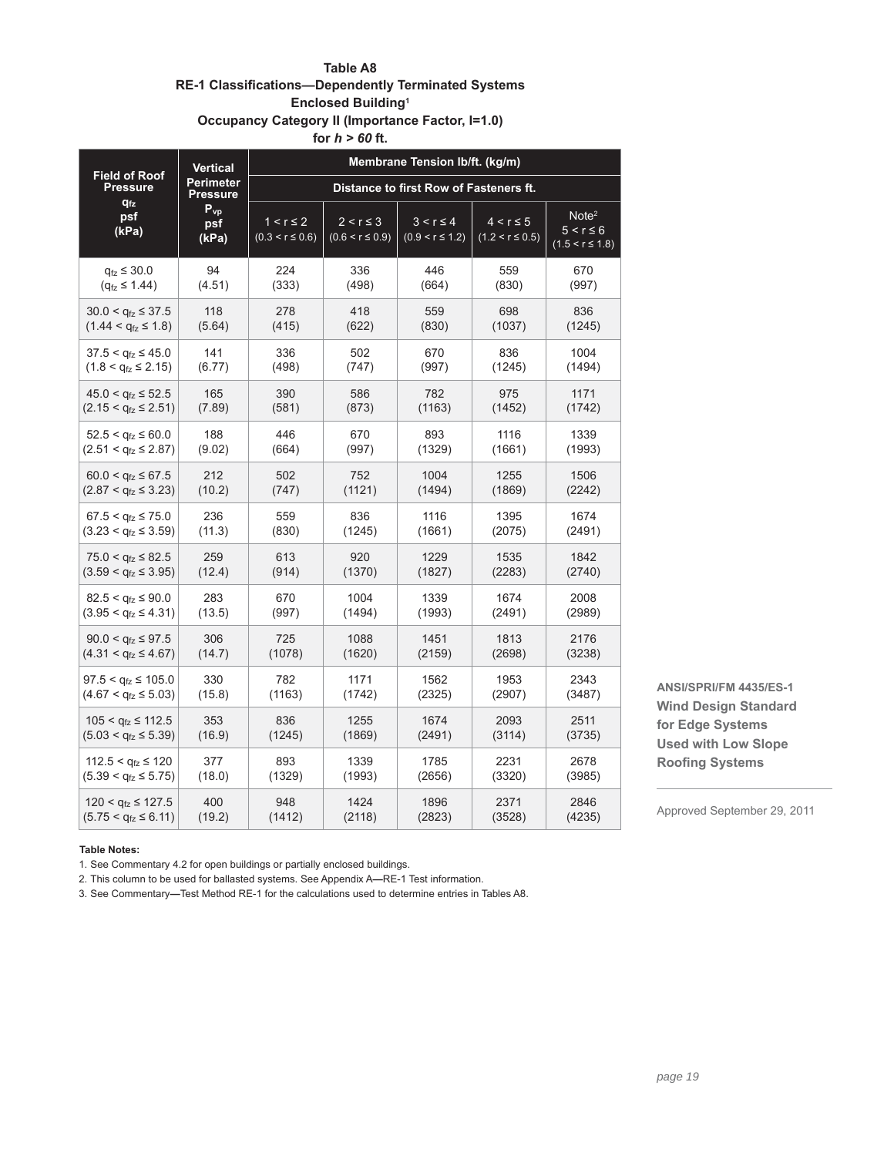# **Table A8 RE-1 Classifications-Dependently Terminated Systems Enclosed Building1 Occupancy Category II (Importance Factor, I=1.0)**

**for** *h > 60* **ft.**

|                                         | <b>Vertical</b>              | Membrane Tension Ib/ft. (kg/m)        |                                       |                                        |                                       |                                                            |
|-----------------------------------------|------------------------------|---------------------------------------|---------------------------------------|----------------------------------------|---------------------------------------|------------------------------------------------------------|
| <b>Field of Roof</b><br><b>Pressure</b> | Perimeter<br><b>Pressure</b> |                                       |                                       | Distance to first Row of Fasteners ft. |                                       |                                                            |
| <b>q<sub>fz</sub></b><br>psf<br>(kPa)   | $P_{vp}$<br>psf<br>(kPa)     | $1 < r \leq 2$<br>$(0.3 < r \le 0.6)$ | $2 < r \leq 3$<br>$(0.6 < r \le 0.9)$ | $3 < r \leq 4$<br>$(0.9 < r \le 1.2)$  | $4 < r \leq 5$<br>$(1.2 < r \le 0.5)$ | Note <sup>2</sup><br>$5 < r \leq 6$<br>$(1.5 < r \le 1.8)$ |
| $q_{\text{fz}} \leq 30.0$               | 94                           | 224                                   | 336                                   | 446                                    | 559                                   | 670                                                        |
| $(q_{\text{fz}} \leq 1.44)$             | (4.51)                       | (333)                                 | (498)                                 | (664)                                  | (830)                                 | (997)                                                      |
| $30.0 < q_{\text{fz}} \leq 37.5$        | 118                          | 278                                   | 418                                   | 559                                    | 698                                   | 836                                                        |
| $(1.44 < q_{1z} \le 1.8)$               | (5.64)                       | (415)                                 | (622)                                 | (830)                                  | (1037)                                | (1245)                                                     |
| $37.5 < q_{\text{fz}} \leq 45.0$        | 141                          | 336                                   | 502                                   | 670                                    | 836                                   | 1004                                                       |
| $(1.8 < q_{\text{fz}} \leq 2.15)$       | (6.77)                       | (498)                                 | (747)                                 | (997)                                  | (1245)                                | (1494)                                                     |
| $45.0 < q_{\text{fz}} \leq 52.5$        | 165                          | 390                                   | 586                                   | 782                                    | 975                                   | 1171                                                       |
| $(2.15 < q_{\text{fz}} \leq 2.51)$      | (7.89)                       | (581)                                 | (873)                                 | (1163)                                 | (1452)                                | (1742)                                                     |
| $52.5 < q_{\text{fz}} \leq 60.0$        | 188                          | 446                                   | 670                                   | 893                                    | 1116                                  | 1339                                                       |
| $(2.51 < q_{fz} \le 2.87)$              | (9.02)                       | (664)                                 | (997)                                 | (1329)                                 | (1661)                                | (1993)                                                     |
| $60.0 < q_{\text{fz}} \leq 67.5$        | 212                          | 502                                   | 752                                   | 1004                                   | 1255                                  | 1506                                                       |
| $(2.87 < q_{\text{fz}} \leq 3.23)$      | (10.2)                       | (747)                                 | (1121)                                | (1494)                                 | (1869)                                | (2242)                                                     |
| $67.5 < q_{\text{fz}} \leq 75.0$        | 236                          | 559                                   | 836                                   | 1116                                   | 1395                                  | 1674                                                       |
| $(3.23 < q_{\text{fz}} \leq 3.59)$      | (11.3)                       | (830)                                 | (1245)                                | (1661)                                 | (2075)                                | (2491)                                                     |
| $75.0 < q_{\text{fz}} \leq 82.5$        | 259                          | 613                                   | 920                                   | 1229                                   | 1535                                  | 1842                                                       |
| $(3.59 < q_{\text{fz}} \leq 3.95)$      | (12.4)                       | (914)                                 | (1370)                                | (1827)                                 | (2283)                                | (2740)                                                     |
| $82.5 < q_{1z} \leq 90.0$               | 283                          | 670                                   | 1004                                  | 1339                                   | 1674                                  | 2008                                                       |
| $(3.95 < q_{\text{fz}} \leq 4.31)$      | (13.5)                       | (997)                                 | (1494)                                | (1993)                                 | (2491)                                | (2989)                                                     |
| $90.0 < q_{\text{fz}} \leq 97.5$        | 306                          | 725                                   | 1088                                  | 1451                                   | 1813                                  | 2176                                                       |
| $(4.31 < q_{fz} \le 4.67)$              | (14.7)                       | (1078)                                | (1620)                                | (2159)                                 | (2698)                                | (3238)                                                     |
| $97.5 < q_{fz} \le 105.0$               | 330                          | 782                                   | 1171                                  | 1562                                   | 1953                                  | 2343                                                       |
| $(4.67 < q_{\text{fz}} \le 5.03)$       | (15.8)                       | (1163)                                | (1742)                                | (2325)                                 | (2907)                                | (3487)                                                     |
| $105 < q_{fz} \le 112.5$                | 353                          | 836                                   | 1255                                  | 1674                                   | 2093                                  | 2511                                                       |
| $(5.03 < q_{\text{fz}} \le 5.39)$       | (16.9)                       | (1245)                                | (1869)                                | (2491)                                 | (3114)                                | (3735)                                                     |
| $112.5 < q_{\text{fz}} \leq 120$        | 377                          | 893                                   | 1339                                  | 1785                                   | 2231                                  | 2678                                                       |
| $(5.39 < q_{fz} \le 5.75)$              | (18.0)                       | (1329)                                | (1993)                                | (2656)                                 | (3320)                                | (3985)                                                     |
| $120 < q_{\text{fz}} \leq 127.5$        | 400                          | 948                                   | 1424                                  | 1896                                   | 2371                                  | 2846                                                       |
| $(5.75 < q_{fz} \le 6.11)$              | (19.2)                       | (1412)                                | (2118)                                | (2823)                                 | (3528)                                | (4235)                                                     |

**ANSI/SPRI/FM 4435/ES-1 Wind Design Standard for Edge Systems Used with Low Slope Roofing Systems** 

Approved September 29, 2011

#### **Table Notes:**

1. See Commentary 4.2 for open buildings or partially enclosed buildings.

2. This column to be used for ballasted systems. See Appendix A**—**RE-1 Test information.

3. See Commentary**—**Test Method RE-1 for the calculations used to determine entries in Tables A8.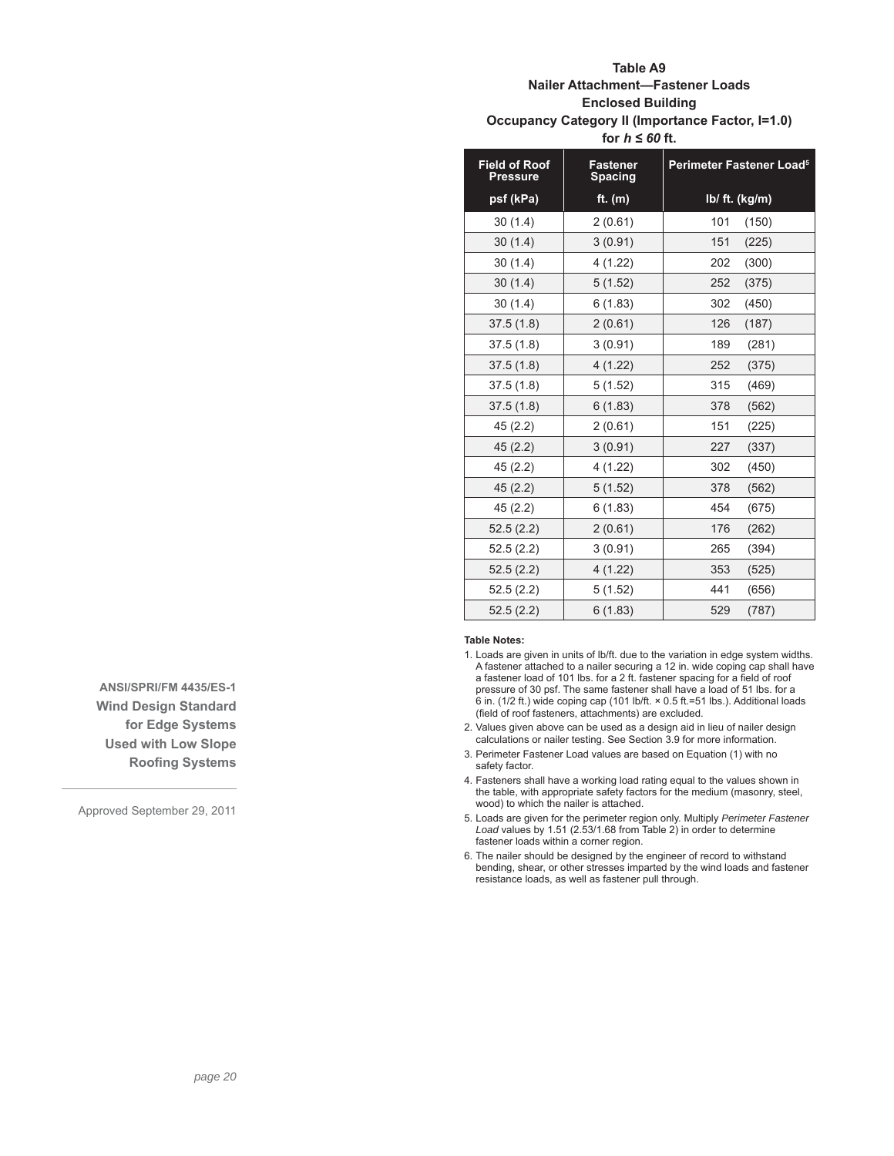# **Table A9 Nailer Attachment—Fastener Loads Enclosed Building Occupancy Category II (Importance Factor, I=1.0)** for  $h \leq 60$  ft.

| <b>Field of Roof</b><br><b>Pressure</b> | <b>Fastener</b><br><b>Spacing</b> | Perimeter Fastener Load <sup>5</sup> |  |  |
|-----------------------------------------|-----------------------------------|--------------------------------------|--|--|
| psf (kPa)                               | ft. $(m)$                         | lb/ ft. (kg/m)                       |  |  |
| 30(1.4)                                 | 2(0.61)                           | 101<br>(150)                         |  |  |
| 30(1.4)                                 | 3(0.91)                           | 151<br>(225)                         |  |  |
| 30(1.4)                                 | 4(1.22)                           | 202<br>(300)                         |  |  |
| 30(1.4)                                 | 5(1.52)                           | 252<br>(375)                         |  |  |
| 30(1.4)                                 | 6(1.83)                           | 302<br>(450)                         |  |  |
| 37.5(1.8)                               | 2(0.61)                           | 126<br>(187)                         |  |  |
| 37.5(1.8)                               | 3(0.91)                           | 189<br>(281)                         |  |  |
| 37.5(1.8)                               | 4(1.22)                           | 252<br>(375)                         |  |  |
| 37.5(1.8)                               | 5(1.52)                           | 315<br>(469)                         |  |  |
| 37.5(1.8)                               | 6(1.83)                           | 378<br>(562)                         |  |  |
| 45 (2.2)                                | 2(0.61)                           | 151<br>(225)                         |  |  |
| 45(2.2)                                 | 3(0.91)                           | 227<br>(337)                         |  |  |
| 45 (2.2)                                | 4 (1.22)                          | 302<br>(450)                         |  |  |
| 45(2.2)                                 | 5(1.52)                           | 378<br>(562)                         |  |  |
| 45 (2.2)                                | 6(1.83)                           | 454<br>(675)                         |  |  |
| 52.5(2.2)                               | 2(0.61)                           | 176<br>(262)                         |  |  |
| 52.5(2.2)                               | 3(0.91)                           | 265<br>(394)                         |  |  |
| 52.5(2.2)                               | 4 (1.22)                          | 353<br>(525)                         |  |  |
| 52.5(2.2)                               | 5(1.52)                           | 441<br>(656)                         |  |  |
| 52.5(2.2)                               | 6(1.83)                           | 529<br>(787)                         |  |  |

#### **Table Notes:**

1. Loads are given in units of lb/ft. due to the variation in edge system widths. A fastener attached to a nailer securing a 12 in. wide coping cap shall have a fastener load of 101 lbs. for a 2 ft. fastener spacing for a field of roof pressure of 30 psf. The same fastener shall have a load of 51 lbs. for a 6 in. (1/2 ft.) wide coping cap (101 lb/ft. × 0.5 ft.=51 lbs.). Additional loads (field of roof fasteners, attachments) are excluded.

2. Values given above can be used as a design aid in lieu of nailer design calculations or nailer testing. See Section 3.9 for more information.

- 3. Perimeter Fastener Load values are based on Equation (1) with no safety factor.
- 4. Fasteners shall have a working load rating equal to the values shown in the table, with appropriate safety factors for the medium (masonry, steel, wood) to which the nailer is attached.
- 5. Loads are given for the perimeter region only. Multiply *Perimeter Fastener Load* values by 1.51 (2.53/1.68 from Table 2) in order to determine fastener loads within a corner region.
- 6. The nailer should be designed by the engineer of record to withstand bending, shear, or other stresses imparted by the wind loads and fastener resistance loads, as well as fastener pull through.

**ANSI/SPRI/FM 4435/ES-1 Wind Design Standard for Edge Systems Used with Low Slope Roofing Systems**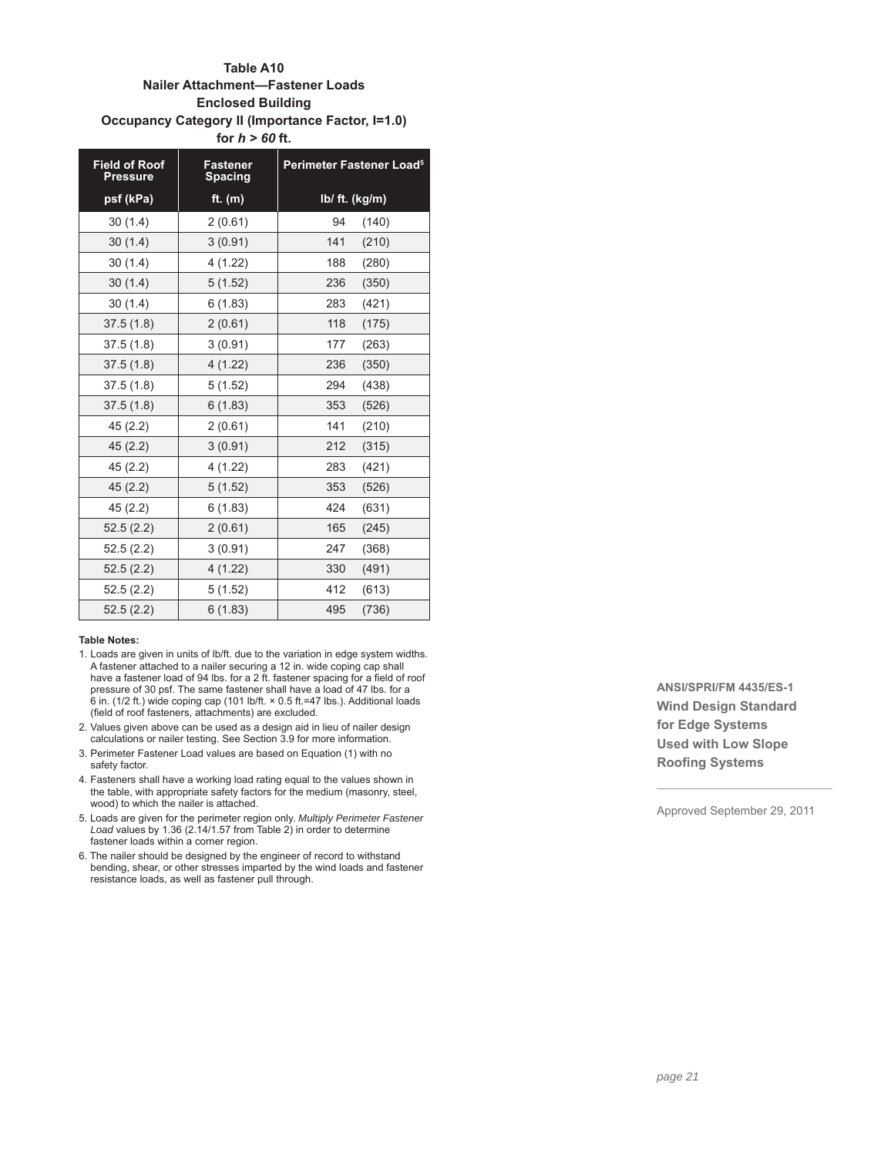# **Table A10 Nailer Attachment—Fastener Loads Enclosed Building Occupancy Category II (Importance Factor, I=1.0) for** *h > 60* **ft.**

| <b>Field of Roof</b><br><b>Pressure</b> | <b>Fastener</b><br><b>Spacing</b> | Perimeter Fastener Load <sup>5</sup> |  |  |
|-----------------------------------------|-----------------------------------|--------------------------------------|--|--|
| psf (kPa)                               | ft. $(m)$                         | Ib/ ft. (kg/m)                       |  |  |
| 30(1.4)                                 | 2(0.61)                           | 94<br>(140)                          |  |  |
| 30(1.4)                                 | 3(0.91)                           | 141<br>(210)                         |  |  |
| 30(1.4)                                 | 4(1.22)                           | 188<br>(280)                         |  |  |
| 30(1.4)                                 | 5(1.52)                           | 236<br>(350)                         |  |  |
| 30(1.4)                                 | 6(1.83)                           | 283<br>(421)                         |  |  |
| 37.5(1.8)                               | 2(0.61)                           | 118<br>(175)                         |  |  |
| 37.5(1.8)                               | 3(0.91)                           | 177<br>(263)                         |  |  |
| 37.5(1.8)                               | 4(1.22)                           | 236<br>(350)                         |  |  |
| 37.5(1.8)                               | 5(1.52)                           | 294<br>(438)                         |  |  |
| 37.5(1.8)                               | 6(1.83)                           | 353<br>(526)                         |  |  |
| 45(2.2)                                 | 2(0.61)                           | 141<br>(210)                         |  |  |
| 45(2.2)                                 | 3(0.91)                           | 212<br>(315)                         |  |  |
| 45(2.2)                                 | 4(1.22)                           | 283<br>(421)                         |  |  |
| 45(2.2)                                 | 5(1.52)                           | 353<br>(526)                         |  |  |
| 45(2.2)                                 | 6(1.83)                           | 424<br>(631)                         |  |  |
| 52.5(2.2)                               | 2(0.61)                           | 165<br>(245)                         |  |  |
| 52.5(2.2)                               | 3(0.91)                           | 247<br>(368)                         |  |  |
| 52.5(2.2)                               | 4(1.22)                           | 330<br>(491)                         |  |  |
| 52.5(2.2)                               | 5(1.52)                           | 412<br>(613)                         |  |  |
| 52.5(2.2)                               | 6(1.83)                           | 495<br>(736)                         |  |  |

#### **Table Notes:**

- 1. Loads are given in units of lb/ft. due to the variation in edge system widths. A fastener attached to a nailer securing a 12 in. wide coping cap shall have a fastener load of 94 lbs. for a 2 ft. fastener spacing for a field of roof pressure of 30 psf. The same fastener shall have a load of 47 lbs. for a 6 in. (1/2 ft.) wide coping cap (101 lb/ft.  $\times$  0.5 ft. = 47 lbs.). Additional loads (field of roof fasteners, attachments) are excluded.
- 2. Values given above can be used as a design aid in lieu of nailer design calculations or nailer testing. See Section 3.9 for more information.
- 3. Perimeter Fastener Load values are based on Equation (1) with no safety factor.
- 4. Fasteners shall have a working load rating equal to the values shown in the table, with appropriate safety factors for the medium (masonry, steel, wood) to which the nailer is attached.
- 5. Loads are given for the perimeter region only. *Multiply Perimeter Fastener Load* values by 1.36 (2.14/1.57 from Table 2) in order to determine fastener loads within a corner region.
- 6. The nailer should be designed by the engineer of record to withstand bending, shear, or other stresses imparted by the wind loads and fastener resistance loads, as well as fastener pull through.

**ANSI/SPRI/FM 4435/ES-1 Wind Design Standard for Edge Systems Used with Low Slope Roofing Systems**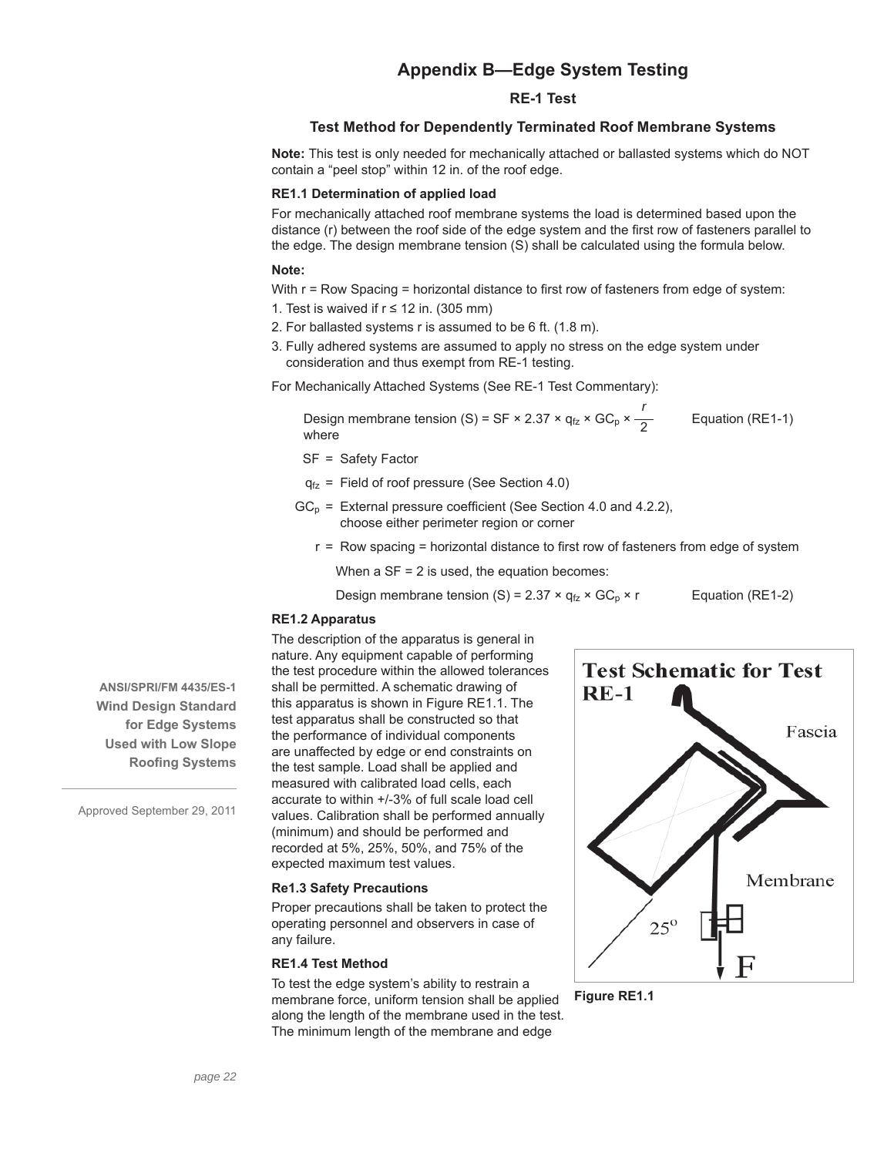# **Appendix B—Edge System Testing**

### **RE-1 Test**

# **Test Method for Dependently Terminated Roof Membrane Systems**

**Note:** This test is only needed for mechanically attached or ballasted systems which do NOT contain a "peel stop" within 12 in. of the roof edge.

# **RE1.1 Determination of applied load**

For mechanically attached roof membrane systems the load is determined based upon the distance (r) between the roof side of the edge system and the first row of fasteners parallel to the edge. The design membrane tension (S) shall be calculated using the formula below.

### **Note:**

With  $r = Row$  Spacing = horizontal distance to first row of fasteners from edge of system:

- 1. Test is waived if  $r \le 12$  in. (305 mm)
- 2. For ballasted systems r is assumed to be 6 ft. (1.8 m).
- 3. Fully adhered systems are assumed to apply no stress on the edge system under consideration and thus exempt from RE-1 testing.

For Mechanically Attached Systems (See RE-1 Test Commentary):

Design membrane tension (S) = SF × 2.37 ×  $q_{fz}$  × GC<sub>p</sub> × *r* Equation (RE1-1) where

- SF = Safety Factor
- $q_{fz}$  = Field of roof pressure (See Section 4.0)
- $GC_p$  = External pressure coefficient (See Section 4.0 and 4.2.2), choose either perimeter region or corner
	- $r = Row spacing = horizontal distance to first row of fasteners from edge of system$

When  $a$  SF = 2 is used, the equation becomes:

Design membrane tension (S) =  $2.37 \times q_{fz} \times GC_p \times r$  Equation (RE1-2)

# **RE1.2 Apparatus**

The description of the apparatus is general in nature. Any equipment capable of performing the test procedure within the allowed tolerances shall be permitted. A schematic drawing of this apparatus is shown in Figure RE1.1. The test apparatus shall be constructed so that the performance of individual components are unaffected by edge or end constraints on the test sample. Load shall be applied and measured with calibrated load cells, each accurate to within +/-3% of full scale load cell values. Calibration shall be performed annually (minimum) and should be performed and recorded at 5%, 25%, 50%, and 75% of the expected maximum test values.

# **Re1.3 Safety Precautions**

Proper precautions shall be taken to protect the operating personnel and observers in case of any failure.

# **RE1.4 Test Method**

To test the edge system's ability to restrain a membrane force, uniform tension shall be applied along the length of the membrane used in the test. The minimum length of the membrane and edge



**Figure RE1.1**

**ANSI/SPRI/FM 4435/ES-1 Wind Design Standard for Edge Systems Used with Low Slope Roofing Systems**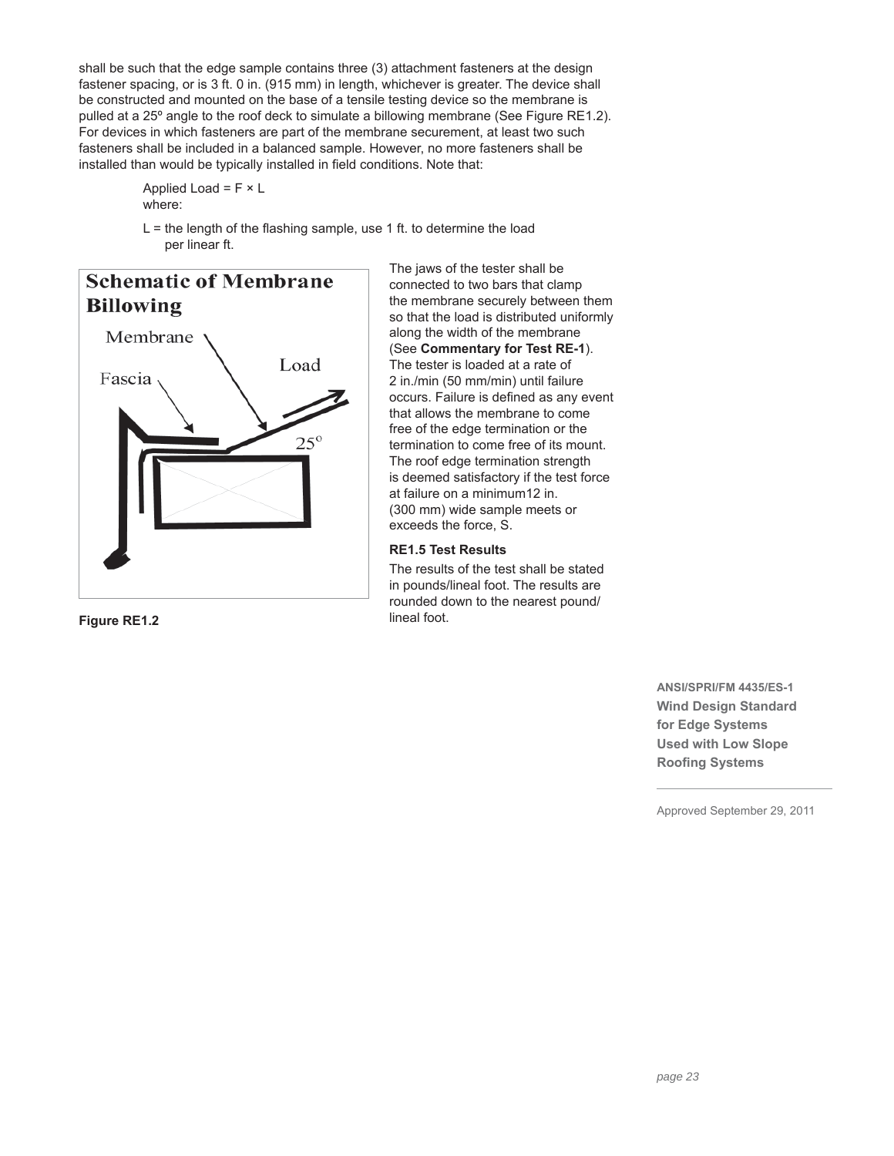shall be such that the edge sample contains three (3) attachment fasteners at the design fastener spacing, or is 3 ft. 0 in. (915 mm) in length, whichever is greater. The device shall be constructed and mounted on the base of a tensile testing device so the membrane is pulled at a 25º angle to the roof deck to simulate a billowing membrane (See Figure RE1.2). For devices in which fasteners are part of the membrane securement, at least two such fasteners shall be included in a balanced sample. However, no more fasteners shall be installed than would be typically installed in field conditions. Note that:

> Applied Load =  $F \times L$ where:

 $L =$  the length of the flashing sample, use 1 ft. to determine the load per linear ft.



**Figure RE1.2** lineal foot.

The jaws of the tester shall be connected to two bars that clamp the membrane securely between them so that the load is distributed uniformly along the width of the membrane (See **Commentary for Test RE-1**). The tester is loaded at a rate of 2 in./min (50 mm/min) until failure occurs. Failure is defined as any event that allows the membrane to come free of the edge termination or the termination to come free of its mount. The roof edge termination strength is deemed satisfactory if the test force at failure on a minimum12 in. (300 mm) wide sample meets or exceeds the force, S.

# **RE1.5 Test Results**

The results of the test shall be stated in pounds/lineal foot. The results are rounded down to the nearest pound/

> **ANSI/SPRI/FM 4435/ES-1 Wind Design Standard for Edge Systems Used with Low Slope Roofing Systems**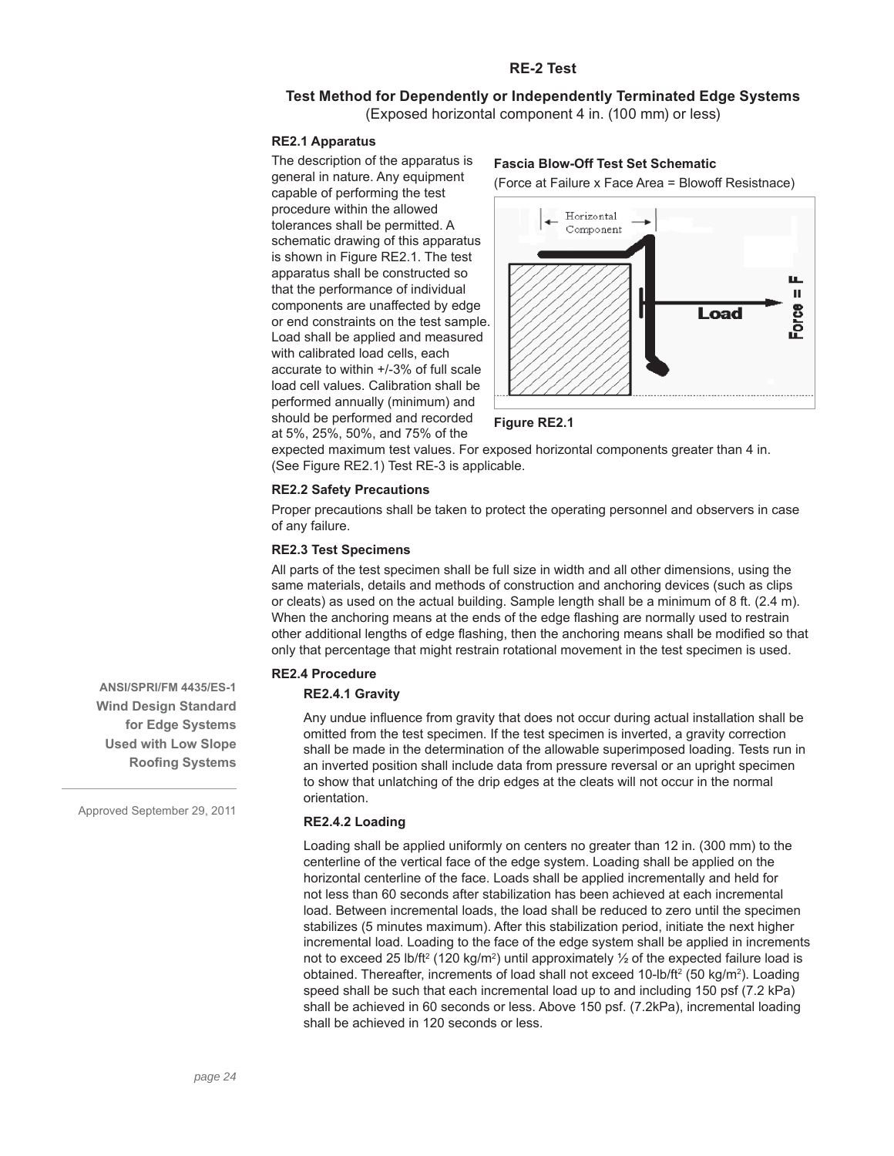# **RE-2 Test**

# **Test Method for Dependently or Independently Terminated Edge Systems** (Exposed horizontal component 4 in. (100 mm) or less)

### **RE2.1 Apparatus**

The description of the apparatus is general in nature. Any equipment capable of performing the test procedure within the allowed tolerances shall be permitted. A schematic drawing of this apparatus is shown in Figure RE2.1. The test apparatus shall be constructed so that the performance of individual components are unaffected by edge or end constraints on the test sample. Load shall be applied and measured with calibrated load cells, each accurate to within +/-3% of full scale load cell values. Calibration shall be performed annually (minimum) and should be performed and recorded at 5%, 25%, 50%, and 75% of the

# **Fascia Blow-Off Test Set Schematic**

(Force at Failure x Face Area = Blowoff Resistnace)





expected maximum test values. For exposed horizontal components greater than 4 in. (See Figure RE2.1) Test RE-3 is applicable.

### **RE2.2 Safety Precautions**

Proper precautions shall be taken to protect the operating personnel and observers in case of any failure.

#### **RE2.3 Test Specimens**

All parts of the test specimen shall be full size in width and all other dimensions, using the same materials, details and methods of construction and anchoring devices (such as clips or cleats) as used on the actual building. Sample length shall be a minimum of 8 ft. (2.4 m). When the anchoring means at the ends of the edge flashing are normally used to restrain other additional lengths of edge flashing, then the anchoring means shall be modified so that only that percentage that might restrain rotational movement in the test specimen is used.

# **RE2.4 Procedure**

# **RE2.4.1 Gravity**

Any undue influence from gravity that does not occur during actual installation shall be omitted from the test specimen. If the test specimen is inverted, a gravity correction shall be made in the determination of the allowable superimposed loading. Tests run in an inverted position shall include data from pressure reversal or an upright specimen to show that unlatching of the drip edges at the cleats will not occur in the normal orientation.

# **RE2.4.2 Loading**

Loading shall be applied uniformly on centers no greater than 12 in. (300 mm) to the centerline of the vertical face of the edge system. Loading shall be applied on the horizontal centerline of the face. Loads shall be applied incrementally and held for not less than 60 seconds after stabilization has been achieved at each incremental load. Between incremental loads, the load shall be reduced to zero until the specimen stabilizes (5 minutes maximum). After this stabilization period, initiate the next higher incremental load. Loading to the face of the edge system shall be applied in increments not to exceed 25 lb/ft<sup>2</sup> (120 kg/m<sup>2</sup>) until approximately  $\frac{1}{2}$  of the expected failure load is obtained. Thereafter, increments of load shall not exceed 10-lb/ft<sup>2</sup> (50 kg/m<sup>2</sup>). Loading speed shall be such that each incremental load up to and including 150 psf (7.2 kPa) shall be achieved in 60 seconds or less. Above 150 psf. (7.2kPa), incremental loading shall be achieved in 120 seconds or less.

**ANSI/SPRI/FM 4435/ES-1 Wind Design Standard for Edge Systems Used with Low Slope Roofing Systems**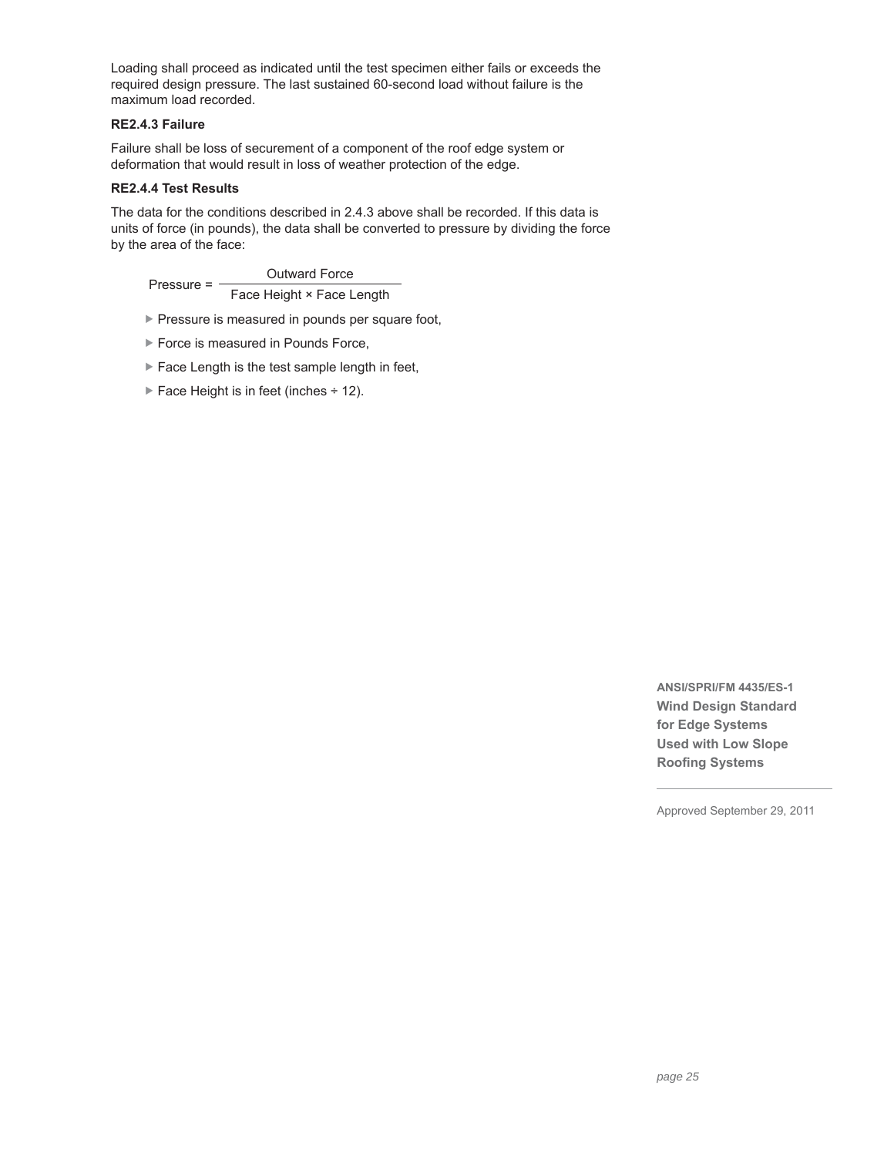Loading shall proceed as indicated until the test specimen either fails or exceeds the required design pressure. The last sustained 60-second load without failure is the maximum load recorded.

# **RE2.4.3 Failure**

Failure shall be loss of securement of a component of the roof edge system or deformation that would result in loss of weather protection of the edge.

# **RE2.4.4 Test Results**

The data for the conditions described in 2.4.3 above shall be recorded. If this data is units of force (in pounds), the data shall be converted to pressure by dividing the force by the area of the face:

Pressure = -Outward Force Face Height × Face Length

- **Pressure is measured in pounds per square foot,**
- ▶ Force is measured in Pounds Force,
- $\blacktriangleright$  Face Length is the test sample length in feet,
- Face Height is in feet (inches  $\div$  12).

**ANSI/SPRI/FM 4435/ES-1 Wind Design Standard for Edge Systems Used with Low Slope Roofing Systems**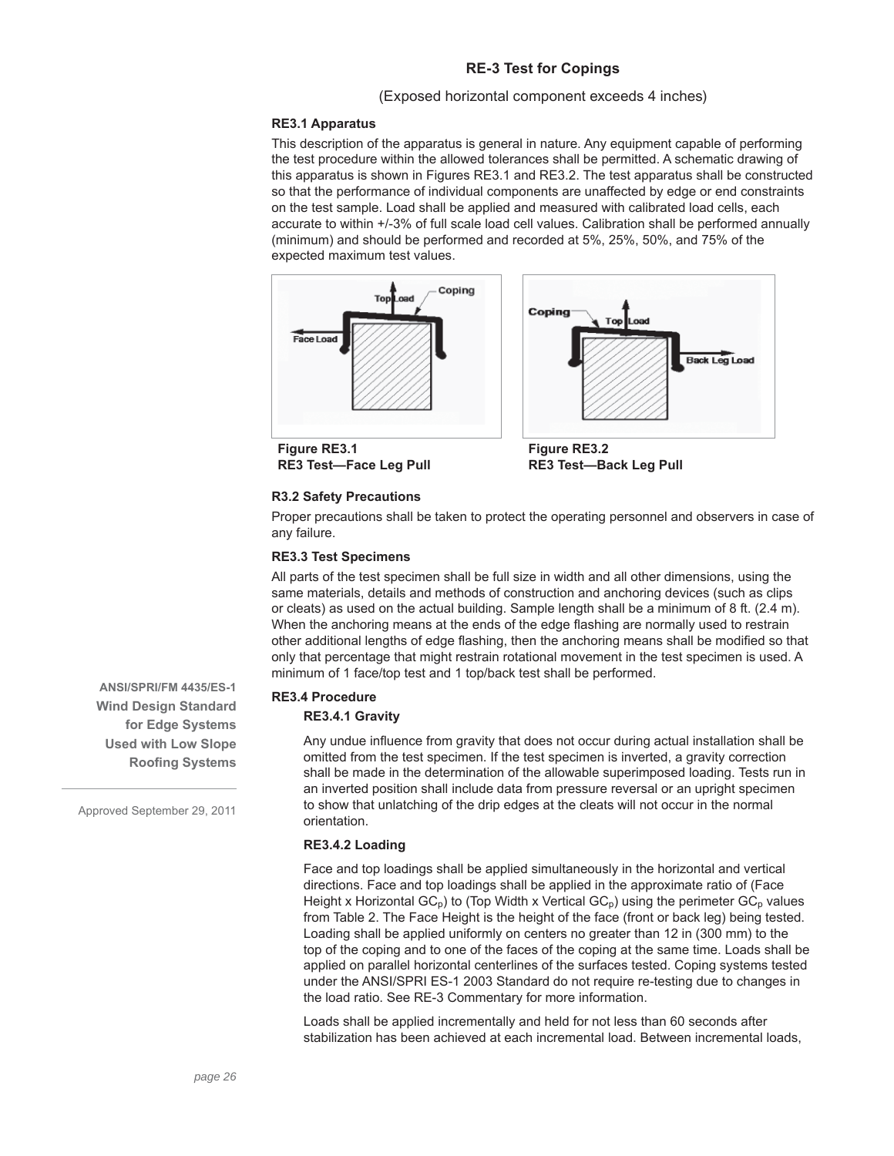# **RE-3 Test for Copings**

# (Exposed horizontal component exceeds 4 inches)

### **RE3.1 Apparatus**

This description of the apparatus is general in nature. Any equipment capable of performing the test procedure within the allowed tolerances shall be permitted. A schematic drawing of this apparatus is shown in Figures RE3.1 and RE3.2. The test apparatus shall be constructed so that the performance of individual components are unaffected by edge or end constraints on the test sample. Load shall be applied and measured with calibrated load cells, each accurate to within +/-3% of full scale load cell values. Calibration shall be performed annually (minimum) and should be performed and recorded at 5%, 25%, 50%, and 75% of the expected maximum test values.





**Figure RE3.1 RE3 Test—Face Leg Pull**

**Figure RE3.2 RE3 Test—Back Leg Pull**

### **R3.2 Safety Precautions**

Proper precautions shall be taken to protect the operating personnel and observers in case of any failure.

### **RE3.3 Test Specimens**

All parts of the test specimen shall be full size in width and all other dimensions, using the same materials, details and methods of construction and anchoring devices (such as clips or cleats) as used on the actual building. Sample length shall be a minimum of 8 ft. (2.4 m). When the anchoring means at the ends of the edge flashing are normally used to restrain other additional lengths of edge flashing, then the anchoring means shall be modified so that only that percentage that might restrain rotational movement in the test specimen is used. A minimum of 1 face/top test and 1 top/back test shall be performed.

#### **RE3.4 Procedure**

#### **RE3.4.1 Gravity**

Any undue influence from gravity that does not occur during actual installation shall be omitted from the test specimen. If the test specimen is inverted, a gravity correction shall be made in the determination of the allowable superimposed loading. Tests run in an inverted position shall include data from pressure reversal or an upright specimen to show that unlatching of the drip edges at the cleats will not occur in the normal orientation.

# **RE3.4.2 Loading**

Face and top loadings shall be applied simultaneously in the horizontal and vertical directions. Face and top loadings shall be applied in the approximate ratio of (Face Height x Horizontal  $GC_p$ ) to (Top Width x Vertical  $GC_p$ ) using the perimeter  $GC_p$  values from Table 2. The Face Height is the height of the face (front or back leg) being tested. Loading shall be applied uniformly on centers no greater than 12 in (300 mm) to the top of the coping and to one of the faces of the coping at the same time. Loads shall be applied on parallel horizontal centerlines of the surfaces tested. Coping systems tested under the ANSI/SPRI ES-1 2003 Standard do not require re-testing due to changes in the load ratio. See RE-3 Commentary for more information.

Loads shall be applied incrementally and held for not less than 60 seconds after stabilization has been achieved at each incremental load. Between incremental loads,

**ANSI/SPRI/FM 4435/ES-1 Wind Design Standard for Edge Systems Used with Low Slope Roofing Systems**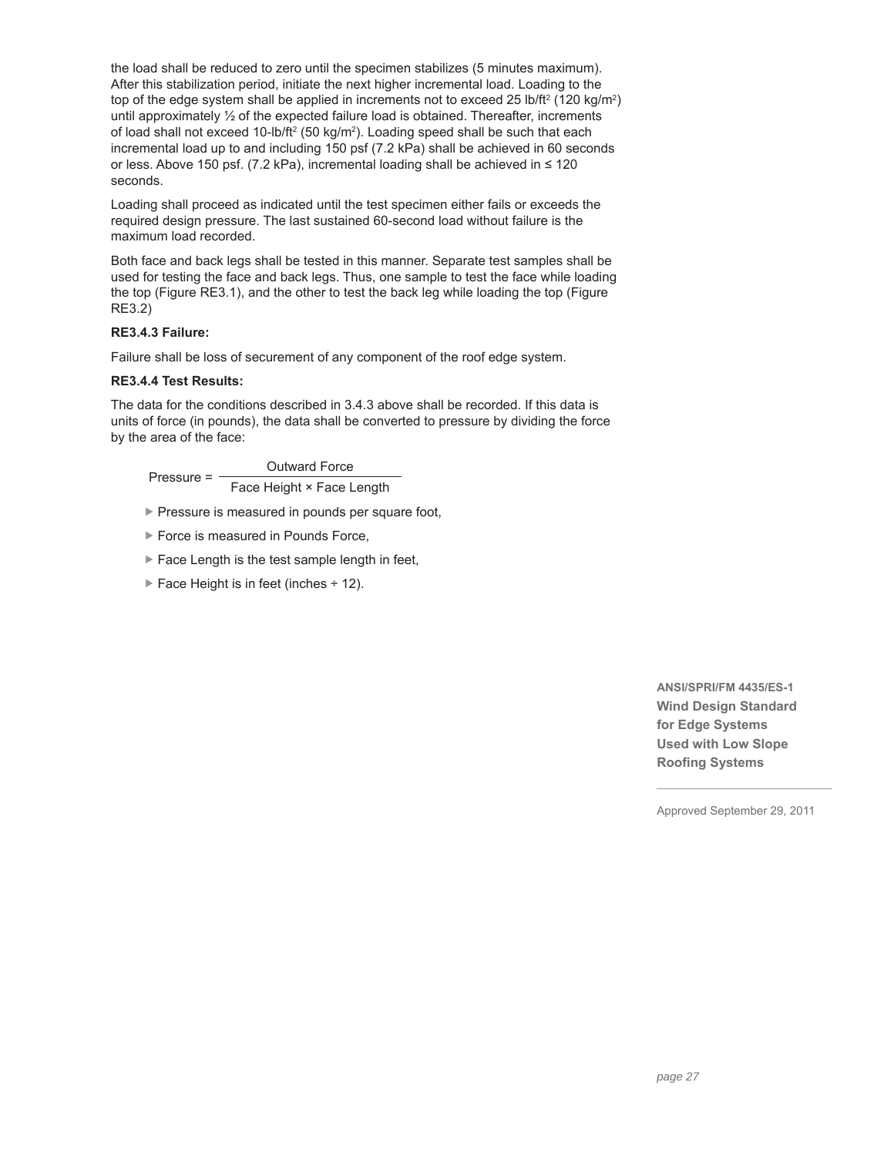the load shall be reduced to zero until the specimen stabilizes (5 minutes maximum). After this stabilization period, initiate the next higher incremental load. Loading to the top of the edge system shall be applied in increments not to exceed 25 lb/ft<sup>2</sup> (120 kg/m<sup>2</sup>) until approximately  $\frac{1}{2}$  of the expected failure load is obtained. Thereafter, increments of load shall not exceed 10-lb/ft<sup>2</sup> (50 kg/m<sup>2</sup>). Loading speed shall be such that each incremental load up to and including 150 psf (7.2 kPa) shall be achieved in 60 seconds or less. Above 150 psf. (7.2 kPa), incremental loading shall be achieved in ≤ 120 seconds.

Loading shall proceed as indicated until the test specimen either fails or exceeds the required design pressure. The last sustained 60-second load without failure is the maximum load recorded.

Both face and back legs shall be tested in this manner. Separate test samples shall be used for testing the face and back legs. Thus, one sample to test the face while loading the top (Figure RE3.1), and the other to test the back leg while loading the top (Figure RE3.2)

# **RE3.4.3 Failure:**

Failure shall be loss of securement of any component of the roof edge system.

# **RE3.4.4 Test Results:**

The data for the conditions described in 3.4.3 above shall be recorded. If this data is units of force (in pounds), the data shall be converted to pressure by dividing the force by the area of the face:

Pressure  $=$   $-$ Outward Force Face Height × Face Length

- $\blacktriangleright$  Pressure is measured in pounds per square foot,
- ▶ Force is measured in Pounds Force,
- ▶ Face Length is the test sample length in feet,
- Face Height is in feet (inches  $\div$  12).

**ANSI/SPRI/FM 4435/ES-1 Wind Design Standard for Edge Systems Used with Low Slope Roofing Systems**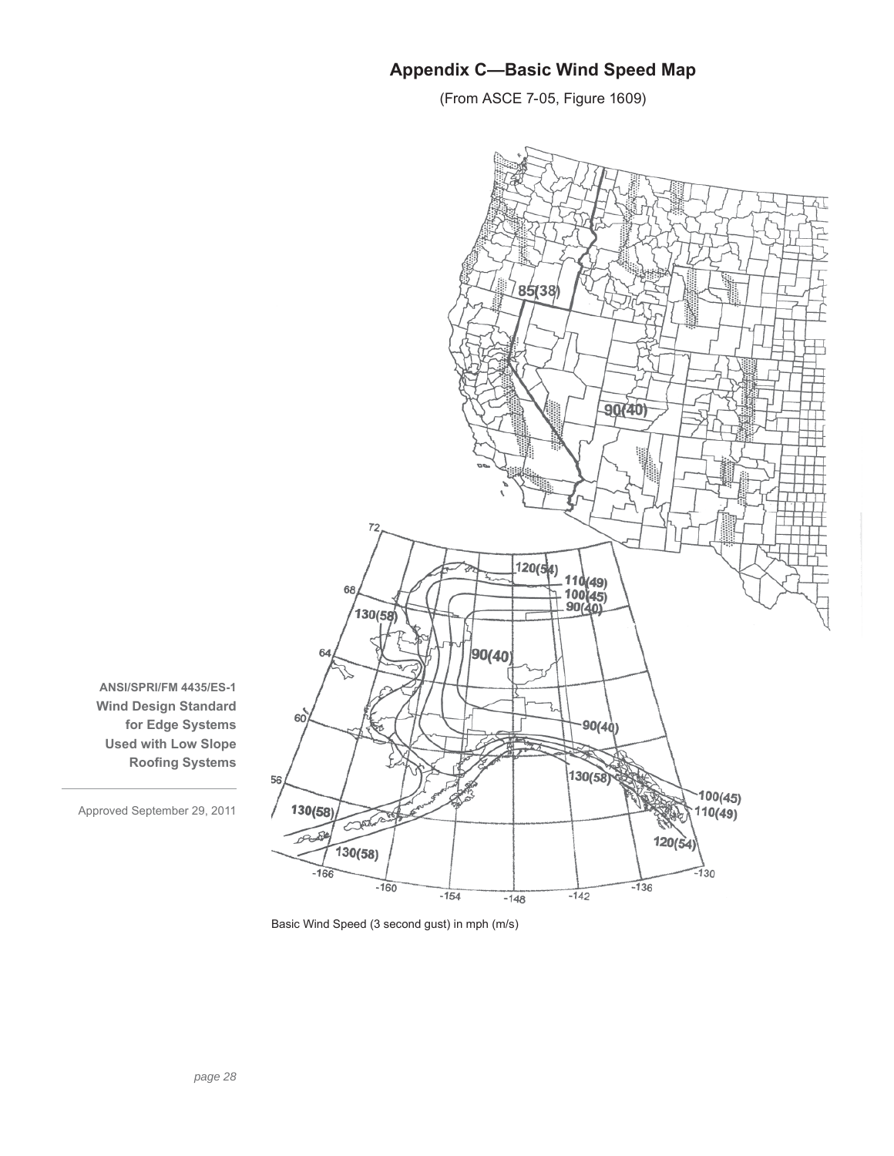# **Appendix C—Basic Wind Speed Map**

(From ASCE 7-05, Figure 1609)



**ANSI/SPRI/FM 4435/ES-1 Wind Design Standard for Edge Systems Used with Low Slope Roofing Systems** 

Basic Wind Speed (3 second gust) in mph (m/s)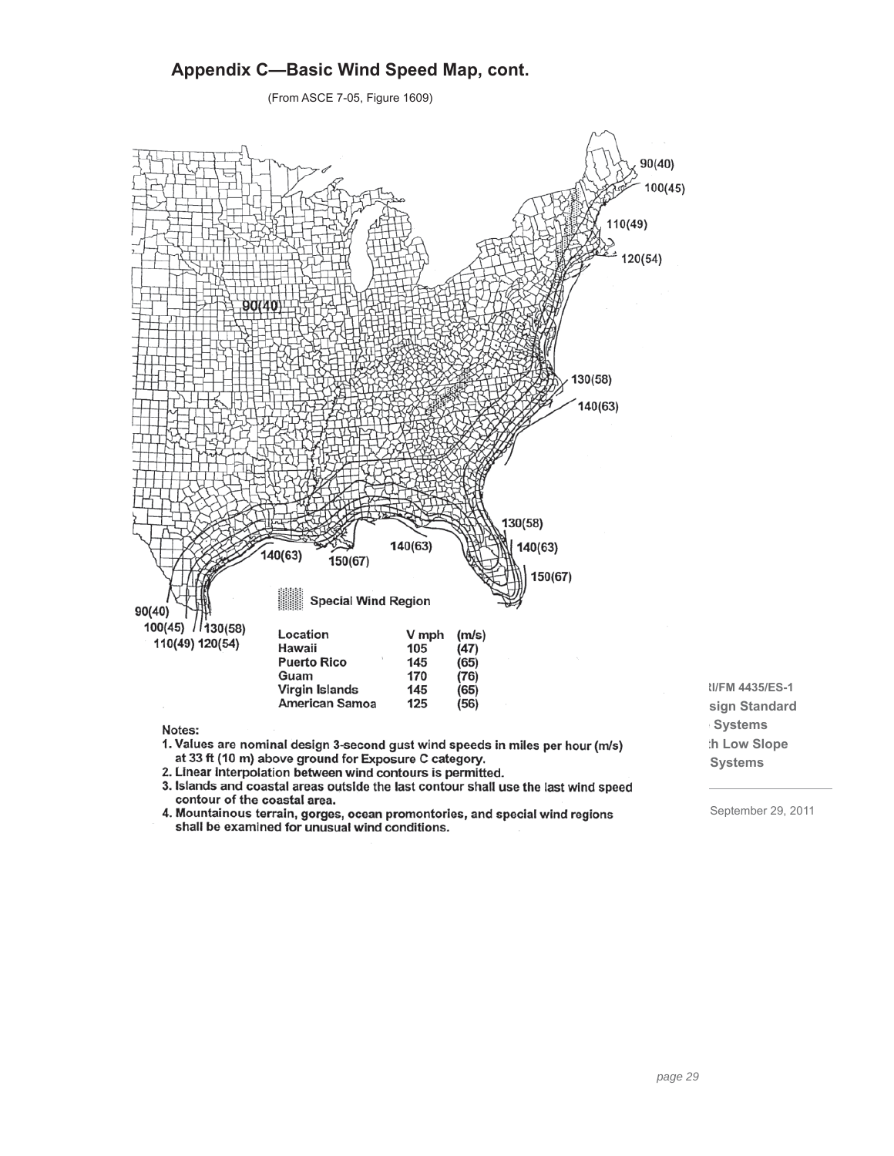# **Appendix C—Basic Wind Speed Map, cont.**

(From ASCE 7-05, Figure 1609)



Notes:

- 1. Values are nominal design 3-second gust wind speeds in miles per hour (m/s) at 33 ft (10 m) above ground for Exposure C category.
- 2. Linear interpolation between wind contours is permitted.
- 3. Islands and coastal areas outside the last contour shall use the last wind speed contour of the coastal area.
- 4. Mountainous terrain, gorges, ocean promontories, and special wind regions shall be examined for unusual wind conditions.
- **ANSI/SPRI/FM 4435/ES-1 sign Standard for Edge Systems th Low Slope Systems**

September 29, 2011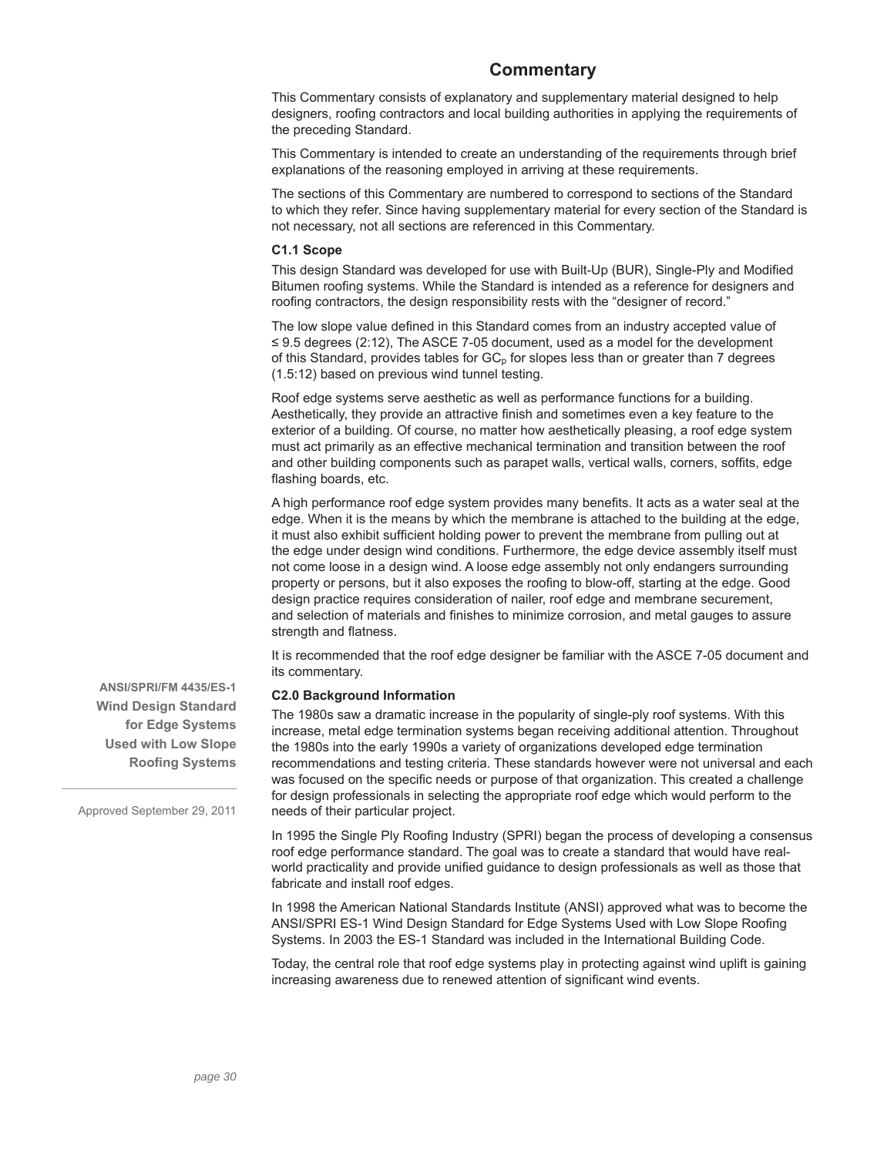# **Commentary**

This Commentary consists of explanatory and supplementary material designed to help designers, roofing contractors and local building authorities in applying the requirements of the preceding Standard.

This Commentary is intended to create an understanding of the requirements through brief explanations of the reasoning employed in arriving at these requirements.

The sections of this Commentary are numbered to correspond to sections of the Standard to which they refer. Since having supplementary material for every section of the Standard is not necessary, not all sections are referenced in this Commentary.

### **C1.1 Scope**

This design Standard was developed for use with Built-Up (BUR), Single-Ply and Modified Bitumen roofing systems. While the Standard is intended as a reference for designers and roofing contractors, the design responsibility rests with the "designer of record."

The low slope value defined in this Standard comes from an industry accepted value of ≤ 9.5 degrees (2:12), The ASCE 7-05 document, used as a model for the development of this Standard, provides tables for  $GC<sub>p</sub>$  for slopes less than or greater than 7 degrees (1.5:12) based on previous wind tunnel testing.

Roof edge systems serve aesthetic as well as performance functions for a building. Aesthetically, they provide an attractive finish and sometimes even a key feature to the exterior of a building. Of course, no matter how aesthetically pleasing, a roof edge system must act primarily as an effective mechanical termination and transition between the roof and other building components such as parapet walls, vertical walls, corners, soffits, edge flashing boards, etc.

A high performance roof edge system provides many benefits. It acts as a water seal at the edge. When it is the means by which the membrane is attached to the building at the edge, it must also exhibit sufficient holding power to prevent the membrane from pulling out at the edge under design wind conditions. Furthermore, the edge device assembly itself must not come loose in a design wind. A loose edge assembly not only endangers surrounding property or persons, but it also exposes the roofing to blow-off, starting at the edge. Good design practice requires consideration of nailer, roof edge and membrane securement, and selection of materials and finishes to minimize corrosion, and metal gauges to assure strength and flatness.

It is recommended that the roof edge designer be familiar with the ASCE 7-05 document and its commentary.

# **C2.0 Background Information**

The 1980s saw a dramatic increase in the popularity of single-ply roof systems. With this increase, metal edge termination systems began receiving additional attention. Throughout the 1980s into the early 1990s a variety of organizations developed edge termination recommendations and testing criteria. These standards however were not universal and each was focused on the specific needs or purpose of that organization. This created a challenge for design professionals in selecting the appropriate roof edge which would perform to the needs of their particular project.

In 1995 the Single Ply Roofing Industry (SPRI) began the process of developing a consensus roof edge performance standard. The goal was to create a standard that would have realworld practicality and provide unified guidance to design professionals as well as those that fabricate and install roof edges.

In 1998 the American National Standards Institute (ANSI) approved what was to become the ANSI/SPRI ES-1 Wind Design Standard for Edge Systems Used with Low Slope Roofing Systems. In 2003 the ES-1 Standard was included in the International Building Code.

Today, the central role that roof edge systems play in protecting against wind uplift is gaining increasing awareness due to renewed attention of significant wind events.

**ANSI/SPRI/FM 4435/ES-1 Wind Design Standard for Edge Systems Used with Low Slope Roofing Systems**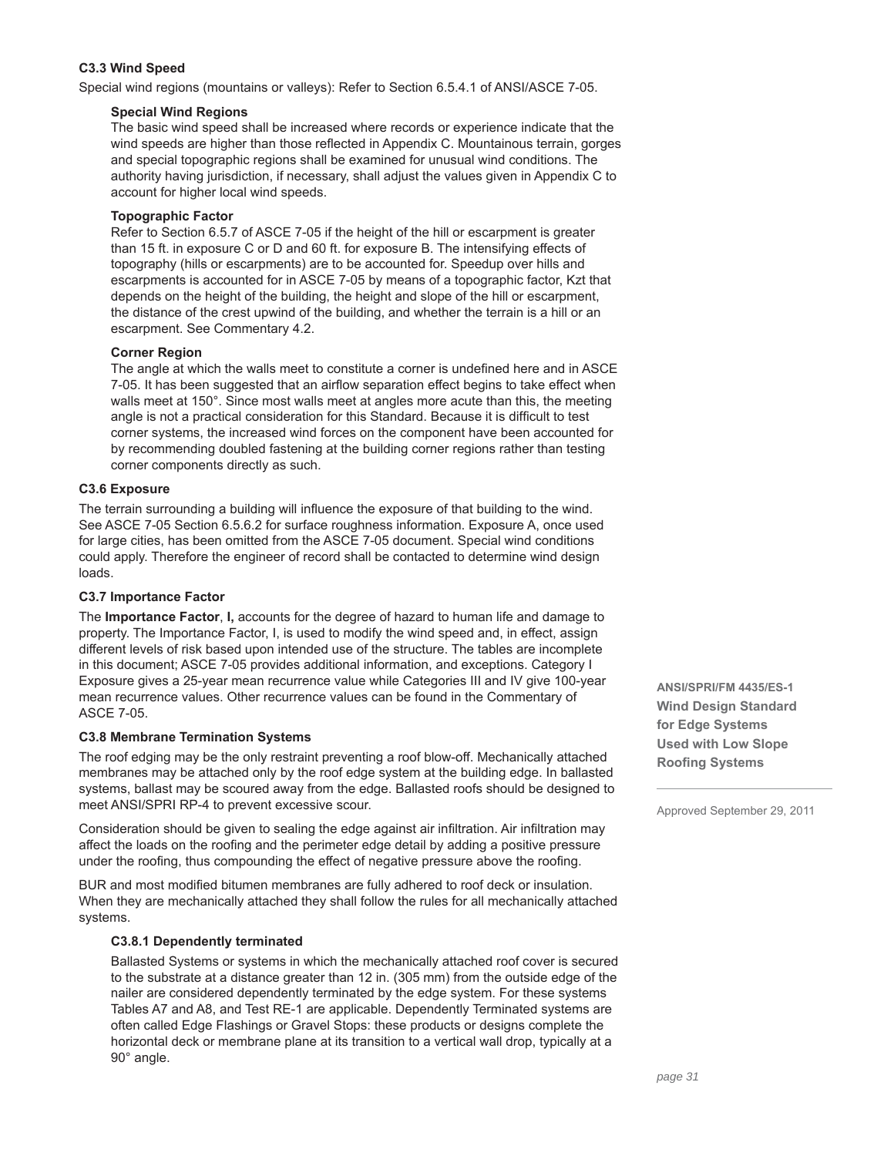# **C3.3 Wind Speed**

Special wind regions (mountains or valleys): Refer to Section 6.5.4.1 of ANSI/ASCE 7-05.

### **Special Wind Regions**

The basic wind speed shall be increased where records or experience indicate that the wind speeds are higher than those reflected in Appendix C. Mountainous terrain, gorges and special topographic regions shall be examined for unusual wind conditions. The authority having jurisdiction, if necessary, shall adjust the values given in Appendix C to account for higher local wind speeds.

### **Topographic Factor**

Refer to Section 6.5.7 of ASCE 7-05 if the height of the hill or escarpment is greater than 15 ft. in exposure C or D and 60 ft. for exposure B. The intensifying effects of topography (hills or escarpments) are to be accounted for. Speedup over hills and escarpments is accounted for in ASCE 7-05 by means of a topographic factor, Kzt that depends on the height of the building, the height and slope of the hill or escarpment, the distance of the crest upwind of the building, and whether the terrain is a hill or an escarpment. See Commentary 4.2.

# **Corner Region**

The angle at which the walls meet to constitute a corner is undefined here and in ASCE 7-05. It has been suggested that an airflow separation effect begins to take effect when walls meet at 150°. Since most walls meet at angles more acute than this, the meeting angle is not a practical consideration for this Standard. Because it is difficult to test corner systems, the increased wind forces on the component have been accounted for by recommending doubled fastening at the building corner regions rather than testing corner components directly as such.

### **C3.6 Exposure**

The terrain surrounding a building will influence the exposure of that building to the wind. See ASCE 7-05 Section 6.5.6.2 for surface roughness information. Exposure A, once used for large cities, has been omitted from the ASCE 7-05 document. Special wind conditions could apply. Therefore the engineer of record shall be contacted to determine wind design loads.

# **C3.7 Importance Factor**

The **Importance Factor**, **I,** accounts for the degree of hazard to human life and damage to property. The Importance Factor, I, is used to modify the wind speed and, in effect, assign different levels of risk based upon intended use of the structure. The tables are incomplete in this document; ASCE 7-05 provides additional information, and exceptions. Category I Exposure gives a 25-year mean recurrence value while Categories III and IV give 100-year mean recurrence values. Other recurrence values can be found in the Commentary of ASCE 7-05.

# **C3.8 Membrane Termination Systems**

The roof edging may be the only restraint preventing a roof blow-off. Mechanically attached membranes may be attached only by the roof edge system at the building edge. In ballasted systems, ballast may be scoured away from the edge. Ballasted roofs should be designed to meet ANSI/SPRI RP-4 to prevent excessive scour.

Consideration should be given to sealing the edge against air infiltration. Air infiltration may affect the loads on the roofing and the perimeter edge detail by adding a positive pressure under the roofing, thus compounding the effect of negative pressure above the roofing.

BUR and most modified bitumen membranes are fully adhered to roof deck or insulation. When they are mechanically attached they shall follow the rules for all mechanically attached systems.

# **C3.8.1 Dependently terminated**

Ballasted Systems or systems in which the mechanically attached roof cover is secured to the substrate at a distance greater than 12 in. (305 mm) from the outside edge of the nailer are considered dependently terminated by the edge system. For these systems Tables A7 and A8, and Test RE-1 are applicable. Dependently Terminated systems are often called Edge Flashings or Gravel Stops: these products or designs complete the horizontal deck or membrane plane at its transition to a vertical wall drop, typically at a 90° angle.

**ANSI/SPRI/FM 4435/ES-1 Wind Design Standard for Edge Systems Used with Low Slope Roofing Systems**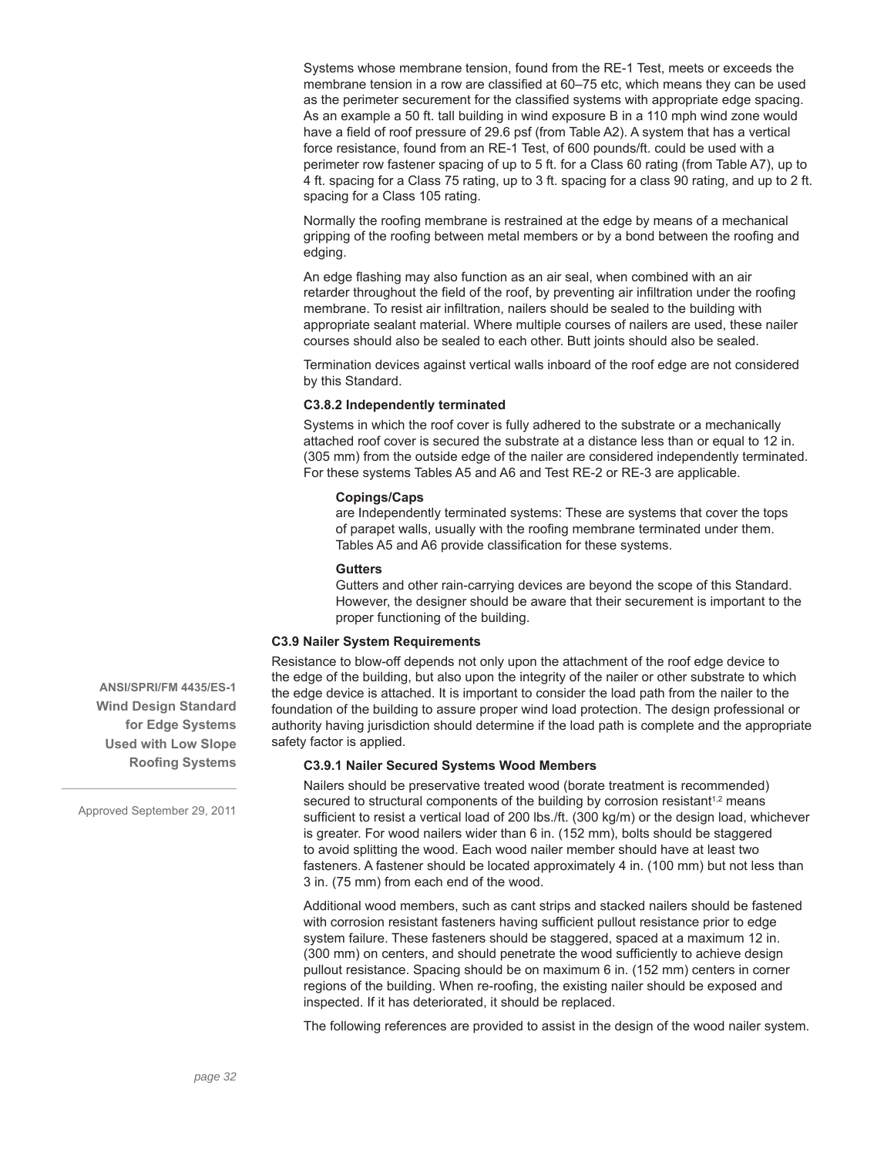Systems whose membrane tension, found from the RE-1 Test, meets or exceeds the membrane tension in a row are classified at 60–75 etc, which means they can be used as the perimeter securement for the classified systems with appropriate edge spacing. As an example a 50 ft. tall building in wind exposure B in a 110 mph wind zone would have a field of roof pressure of 29.6 psf (from Table A2). A system that has a vertical force resistance, found from an RE-1 Test, of 600 pounds/ft. could be used with a perimeter row fastener spacing of up to 5 ft. for a Class 60 rating (from Table A7), up to 4 ft. spacing for a Class 75 rating, up to 3 ft. spacing for a class 90 rating, and up to 2 ft. spacing for a Class 105 rating.

Normally the roofing membrane is restrained at the edge by means of a mechanical gripping of the roofing between metal members or by a bond between the roofing and edging.

An edge flashing may also function as an air seal, when combined with an air retarder throughout the field of the roof, by preventing air infiltration under the roofing membrane. To resist air infiltration, nailers should be sealed to the building with appropriate sealant material. Where multiple courses of nailers are used, these nailer courses should also be sealed to each other. Butt joints should also be sealed.

Termination devices against vertical walls inboard of the roof edge are not considered by this Standard.

# **C3.8.2 Independently terminated**

Systems in which the roof cover is fully adhered to the substrate or a mechanically attached roof cover is secured the substrate at a distance less than or equal to 12 in. (305 mm) from the outside edge of the nailer are considered independently terminated. For these systems Tables A5 and A6 and Test RE-2 or RE-3 are applicable.

### **Copings/Caps**

are Independently terminated systems: These are systems that cover the tops of parapet walls, usually with the roofing membrane terminated under them. Tables A5 and A6 provide classification for these systems.

#### **Gutters**

Gutters and other rain-carrying devices are beyond the scope of this Standard. However, the designer should be aware that their securement is important to the proper functioning of the building.

# **C3.9 Nailer System Requirements**

Resistance to blow-off depends not only upon the attachment of the roof edge device to the edge of the building, but also upon the integrity of the nailer or other substrate to which the edge device is attached. It is important to consider the load path from the nailer to the foundation of the building to assure proper wind load protection. The design professional or authority having jurisdiction should determine if the load path is complete and the appropriate safety factor is applied.

# **C3.9.1 Nailer Secured Systems Wood Members**

Nailers should be preservative treated wood (borate treatment is recommended) secured to structural components of the building by corrosion resistant<sup>1,2</sup> means sufficient to resist a vertical load of 200 lbs./ft. (300 kg/m) or the design load, whichever is greater. For wood nailers wider than 6 in. (152 mm), bolts should be staggered to avoid splitting the wood. Each wood nailer member should have at least two fasteners. A fastener should be located approximately 4 in. (100 mm) but not less than 3 in. (75 mm) from each end of the wood.

Additional wood members, such as cant strips and stacked nailers should be fastened with corrosion resistant fasteners having sufficient pullout resistance prior to edge system failure. These fasteners should be staggered, spaced at a maximum 12 in. (300 mm) on centers, and should penetrate the wood sufficiently to achieve design pullout resistance. Spacing should be on maximum 6 in. (152 mm) centers in corner regions of the building. When re-roofing, the existing nailer should be exposed and inspected. If it has deteriorated, it should be replaced.

The following references are provided to assist in the design of the wood nailer system.

**ANSI/SPRI/FM 4435/ES-1 Wind Design Standard for Edge Systems Used with Low Slope Roofing Systems**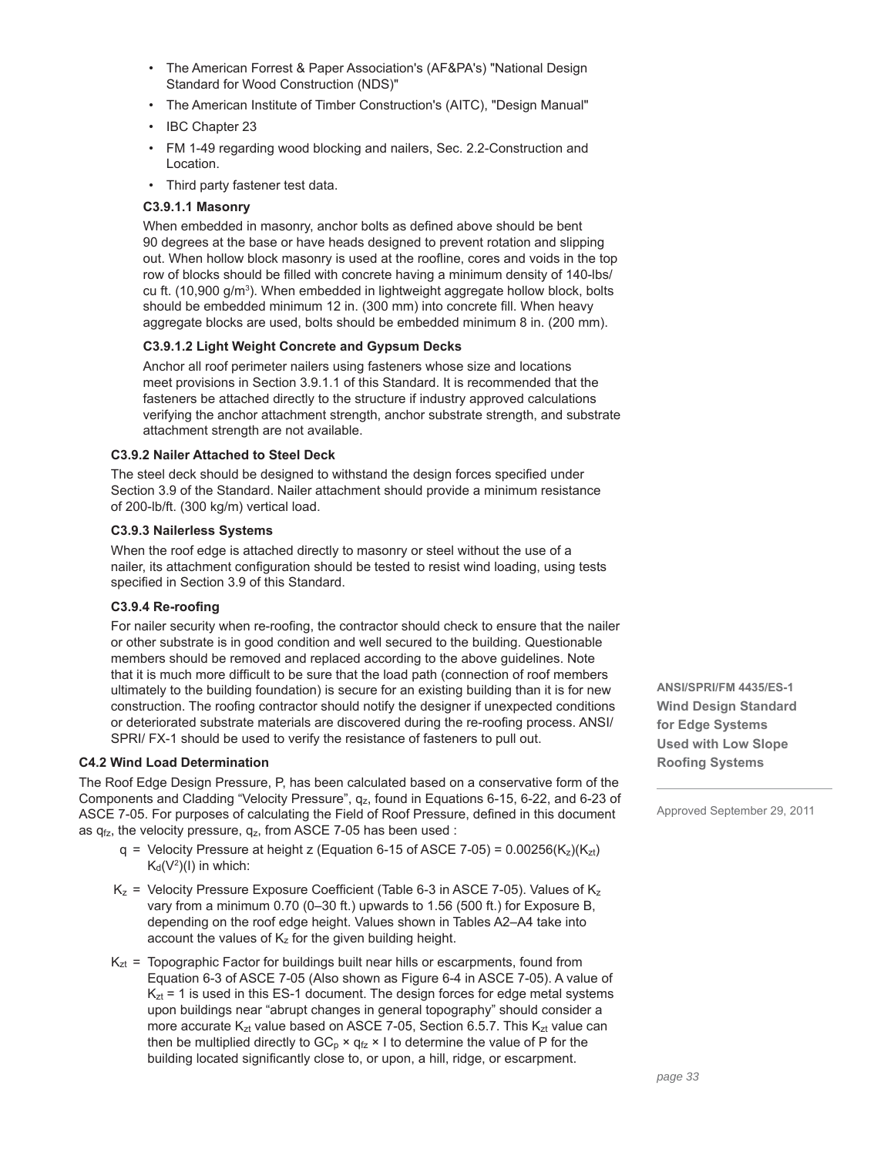- The American Forrest & Paper Association's (AF&PA's) "National Design Standard for Wood Construction (NDS)"
- The American Institute of Timber Construction's (AITC), "Design Manual"
- IBC Chapter 23
- FM 1-49 regarding wood blocking and nailers, Sec. 2.2-Construction and Location.
- Third party fastener test data.

# **C3.9.1.1 Masonry**

When embedded in masonry, anchor bolts as defined above should be bent 90 degrees at the base or have heads designed to prevent rotation and slipping out. When hollow block masonry is used at the roofline, cores and voids in the top row of blocks should be filled with concrete having a minimum density of 140-lbs/ cu ft. (10,900 g/m<sup>3</sup>). When embedded in lightweight aggregate hollow block, bolts should be embedded minimum 12 in. (300 mm) into concrete fill. When heavy aggregate blocks are used, bolts should be embedded minimum 8 in. (200 mm).

# **C3.9.1.2 Light Weight Concrete and Gypsum Decks**

Anchor all roof perimeter nailers using fasteners whose size and locations meet provisions in Section 3.9.1.1 of this Standard. It is recommended that the fasteners be attached directly to the structure if industry approved calculations verifying the anchor attachment strength, anchor substrate strength, and substrate attachment strength are not available.

# **C3.9.2 Nailer Attached to Steel Deck**

The steel deck should be designed to withstand the design forces specified under Section 3.9 of the Standard. Nailer attachment should provide a minimum resistance of 200-lb/ft. (300 kg/m) vertical load.

# **C3.9.3 Nailerless Systems**

When the roof edge is attached directly to masonry or steel without the use of a nailer, its attachment configuration should be tested to resist wind loading, using tests specified in Section 3.9 of this Standard.

# **C3.9.4 Re-roofing**

For nailer security when re-roofing, the contractor should check to ensure that the nailer or other substrate is in good condition and well secured to the building. Questionable members should be removed and replaced according to the above guidelines. Note that it is much more difficult to be sure that the load path (connection of roof members ultimately to the building foundation) is secure for an existing building than it is for new construction. The roofing contractor should notify the designer if unexpected conditions or deteriorated substrate materials are discovered during the re-roofing process. ANSI/ SPRI/ FX-1 should be used to verify the resistance of fasteners to pull out.

# **C4.2 Wind Load Determination**

The Roof Edge Design Pressure, P, has been calculated based on a conservative form of the Components and Cladding "Velocity Pressure", qz, found in Equations 6-15, 6-22, and 6-23 of ASCE 7-05. For purposes of calculating the Field of Roof Pressure, defined in this document as  $q_{fz}$ , the velocity pressure,  $q_{z}$ , from ASCE 7-05 has been used :

- $q =$  Velocity Pressure at height z (Equation 6-15 of ASCE 7-05) = 0.00256(Kz)(Kzt)  $K_d(V^2)(I)$  in which:
- $K_z$  = Velocity Pressure Exposure Coefficient (Table 6-3 in ASCE 7-05). Values of  $K_z$ vary from a minimum 0.70 (0–30 ft.) upwards to 1.56 (500 ft.) for Exposure B, depending on the roof edge height. Values shown in Tables A2–A4 take into account the values of  $K_z$  for the given building height.
- $K<sub>zt</sub>$  = Topographic Factor for buildings built near hills or escarpments, found from Equation 6-3 of ASCE 7-05 (Also shown as Figure 6-4 in ASCE 7-05). A value of  $K<sub>zt</sub> = 1$  is used in this ES-1 document. The design forces for edge metal systems upon buildings near "abrupt changes in general topography" should consider a more accurate  $K_{zt}$  value based on ASCE 7-05, Section 6.5.7. This  $K_{zt}$  value can then be multiplied directly to  $GC_p \times q_{fz} \times I$  to determine the value of P for the building located significantly close to, or upon, a hill, ridge, or escarpment.

**ANSI/SPRI/FM 4435/ES-1 Wind Design Standard for Edge Systems Used with Low Slope Roofing Systems**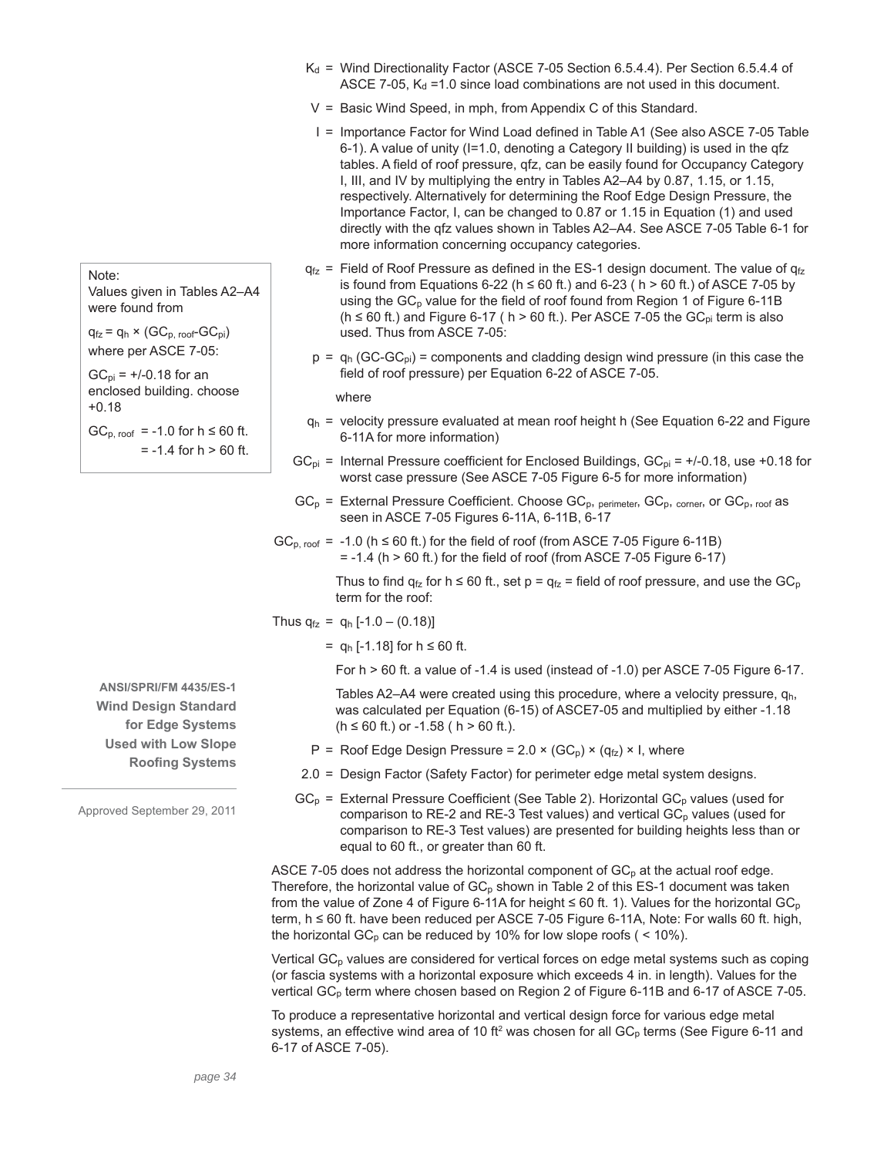- $K_d$  = Wind Directionality Factor (ASCE 7-05 Section 6.5.4.4). Per Section 6.5.4.4 of ASCE 7-05,  $K_d$  =1.0 since load combinations are not used in this document.
- V = Basic Wind Speed, in mph, from Appendix C of this Standard.
- I = Importance Factor for Wind Load defined in Table A1 (See also ASCE 7-05 Table 6-1). A value of unity (I=1.0, denoting a Category II building) is used in the qfz tables. A field of roof pressure, qfz, can be easily found for Occupancy Category I, III, and IV by multiplying the entry in Tables A2–A4 by 0.87, 1.15, or 1.15, respectively. Alternatively for determining the Roof Edge Design Pressure, the Importance Factor, I, can be changed to 0.87 or 1.15 in Equation (1) and used directly with the qfz values shown in Tables A2–A4. See ASCE 7-05 Table 6-1 for more information concerning occupancy categories.
- $q_{fz}$  = Field of Roof Pressure as defined in the ES-1 design document. The value of  $q_{fz}$ is found from Equations 6-22 (h  $\leq$  60 ft.) and 6-23 (h > 60 ft.) of ASCE 7-05 by using the  $GC<sub>p</sub>$  value for the field of roof found from Region 1 of Figure 6-11B (h  $\leq$  60 ft.) and Figure 6-17 ( h  $>$  60 ft.). Per ASCE 7-05 the GC<sub>pi</sub> term is also used. Thus from ASCE 7-05:
- $p = q_h (GC-GC_p)$  = components and cladding design wind pressure (in this case the field of roof pressure) per Equation 6-22 of ASCE 7-05.

where

- $q_h$  = velocity pressure evaluated at mean roof height h (See Equation 6-22 and Figure 6-11A for more information)
- $GC_{pi}$  = Internal Pressure coefficient for Enclosed Buildings,  $GC_{pi}$  = +/-0.18, use +0.18 for worst case pressure (See ASCE 7-05 Figure 6-5 for more information)
- $GC_p$  = External Pressure Coefficient. Choose  $GC_p$ , perimeter,  $GC_p$ , corner, or  $GC_p$ , roof as seen in ASCE 7-05 Figures 6-11A, 6-11B, 6-17
- $GC_{p, root}$  = -1.0 (h  $\leq$  60 ft.) for the field of roof (from ASCE 7-05 Figure 6-11B)  $= -1.4$  (h  $> 60$  ft.) for the field of roof (from ASCE 7-05 Figure 6-17)

Thus to find  $q_{fz}$  for h  $\leq 60$  ft., set p =  $q_{fz}$  = field of roof pressure, and use the GC<sub>p</sub> term for the roof:

Thus  $q_{fz} = q_h [-1.0 - (0.18)]$ 

 $=$  q<sub>h</sub> [-1.18] for h ≤ 60 ft.

For h > 60 ft. a value of -1.4 is used (instead of -1.0) per ASCE 7-05 Figure 6-17.

Tables A2–A4 were created using this procedure, where a velocity pressure,  $q_h$ , was calculated per Equation (6-15) of ASCE7-05 and multiplied by either -1.18  $(h ≤ 60 ft.)$  or  $-1.58$  ( h > 60 ft.).

- P = Roof Edge Design Pressure =  $2.0 \times (GC<sub>D</sub>) \times (q<sub>fz</sub>) \times I$ , where
- 2.0 = Design Factor (Safety Factor) for perimeter edge metal system designs.
- $GC_p$  = External Pressure Coefficient (See Table 2). Horizontal  $GC_p$  values (used for comparison to RE-2 and RE-3 Test values) and vertical  $GC_p$  values (used for comparison to RE-3 Test values) are presented for building heights less than or equal to 60 ft., or greater than 60 ft.

ASCE 7-05 does not address the horizontal component of  $GC_p$  at the actual roof edge. Therefore, the horizontal value of  $GC_p$  shown in Table 2 of this ES-1 document was taken from the value of Zone 4 of Figure 6-11A for height  $\leq 60$  ft. 1). Values for the horizontal GC<sub>p</sub> term, h ≤ 60 ft. have been reduced per ASCE 7-05 Figure 6-11A, Note: For walls 60 ft. high, the horizontal  $GC_p$  can be reduced by 10% for low slope roofs ( < 10%).

Vertical GC<sub>p</sub> values are considered for vertical forces on edge metal systems such as coping (or fascia systems with a horizontal exposure which exceeds 4 in. in length). Values for the vertical GC<sub>p</sub> term where chosen based on Region 2 of Figure 6-11B and 6-17 of ASCE 7-05.

To produce a representative horizontal and vertical design force for various edge metal systems, an effective wind area of 10 ft<sup>2</sup> was chosen for all GC<sub>p</sub> terms (See Figure 6-11 and 6-17 of ASCE 7-05).

Values given in Tables A2–A4 were found from  $q_{fz} = q_h \times (GC_{p, root} - GC_{pi})$ 

Note:

where per ASCE 7-05:

 $GC_{pi}$  = +/-0.18 for an enclosed building. choose +0.18

 $GC<sub>p. root</sub> = -1.0$  for  $h \le 60$  ft.  $= -1.4$  for  $h > 60$  ft.

**ANSI/SPRI/FM 4435/ES-1 Wind Design Standard for Edge Systems Used with Low Slope Roofing Systems**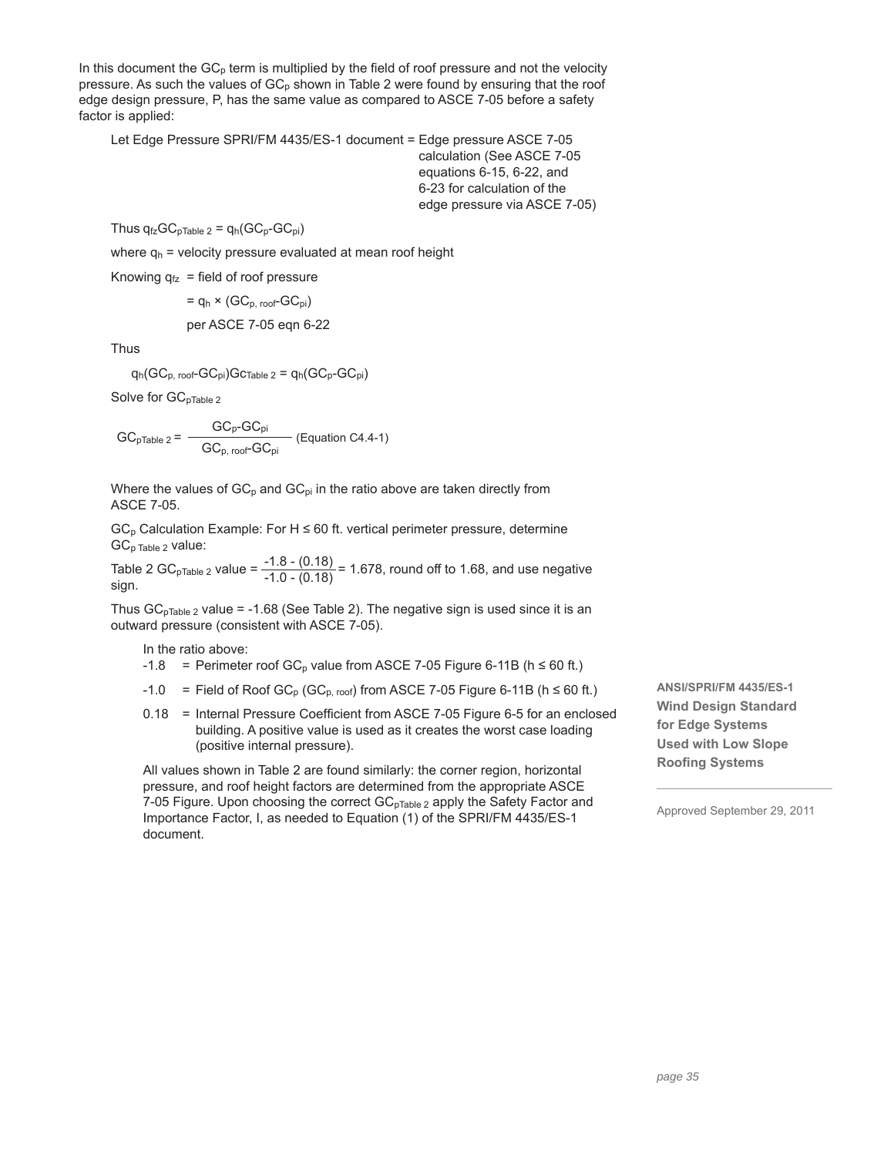In this document the  $GC<sub>p</sub>$  term is multiplied by the field of roof pressure and not the velocity pressure. As such the values of  $GC<sub>p</sub>$  shown in Table 2 were found by ensuring that the roof edge design pressure, P, has the same value as compared to ASCE 7-05 before a safety factor is applied:

Let Edge Pressure SPRI/FM 4435/ES-1 document = Edge pressure ASCE 7-05 calculation (See ASCE 7-05 equations 6-15, 6-22, and 6-23 for calculation of the edge pressure via ASCE 7-05)

Thus  $q_{fz}GC_{pTable 2} = q_h(GC_p-GC_{pi})$ 

where  $q_h$  = velocity pressure evaluated at mean roof height

Knowing  $q_{fz}$  = field of roof pressure

$$
= q_h \times (GC_{p, \text{ roof}}-GC_{pi})
$$

per ASCE 7-05 eqn 6-22

Thus

$$
q_h(GC_{p,\text{ roof}}-GC_{pi})Gc_{Table 2} = q_h(GC_{p}-GC_{pi})
$$

Solve for GC<sub>pTable 2</sub>

$$
GC_{pTable 2} = \frac{GC_{p}\text{-}GC_{pi}}{GC_{p, \text{ roof}}\text{-}GC_{pi}} \text{ (Equation C4.4-1)}
$$

Where the values of  $GC_p$  and  $GC_{pi}$  in the ratio above are taken directly from ASCE 7-05.

 $GC_p$  Calculation Example: For H  $\leq$  60 ft. vertical perimeter pressure, determine GC<sub>p Table 2</sub> value:

Table 2 GC<sub>pTable 2</sub> value =  $\frac{-1.8 - (0.18)}{-1.0 - (0.18)}$  = 1.678, round off to 1.68, and use negative sign.

Thus  $GC<sub>pTable 2</sub>$  value = -1.68 (See Table 2). The negative sign is used since it is an outward pressure (consistent with ASCE 7-05).

In the ratio above:

- $-1.8$  = Perimeter roof GC<sub>p</sub> value from ASCE 7-05 Figure 6-11B (h  $\leq 60$  ft.)
- -1.0 = Field of Roof  $GC_p$  (G $C_p$ , roof) from ASCE 7-05 Figure 6-11B (h  $\leq 60$  ft.)
- 0.18 = Internal Pressure Coefficient from ASCE 7-05 Figure 6-5 for an enclosed building. A positive value is used as it creates the worst case loading (positive internal pressure).

All values shown in Table 2 are found similarly: the corner region, horizontal pressure, and roof height factors are determined from the appropriate ASCE 7-05 Figure. Upon choosing the correct GC<sub>pTable 2</sub> apply the Safety Factor and Importance Factor, I, as needed to Equation (1) of the SPRI/FM 4435/ES-1 document.

**ANSI/SPRI/FM 4435/ES-1 Wind Design Standard for Edge Systems Used with Low Slope Roofing Systems**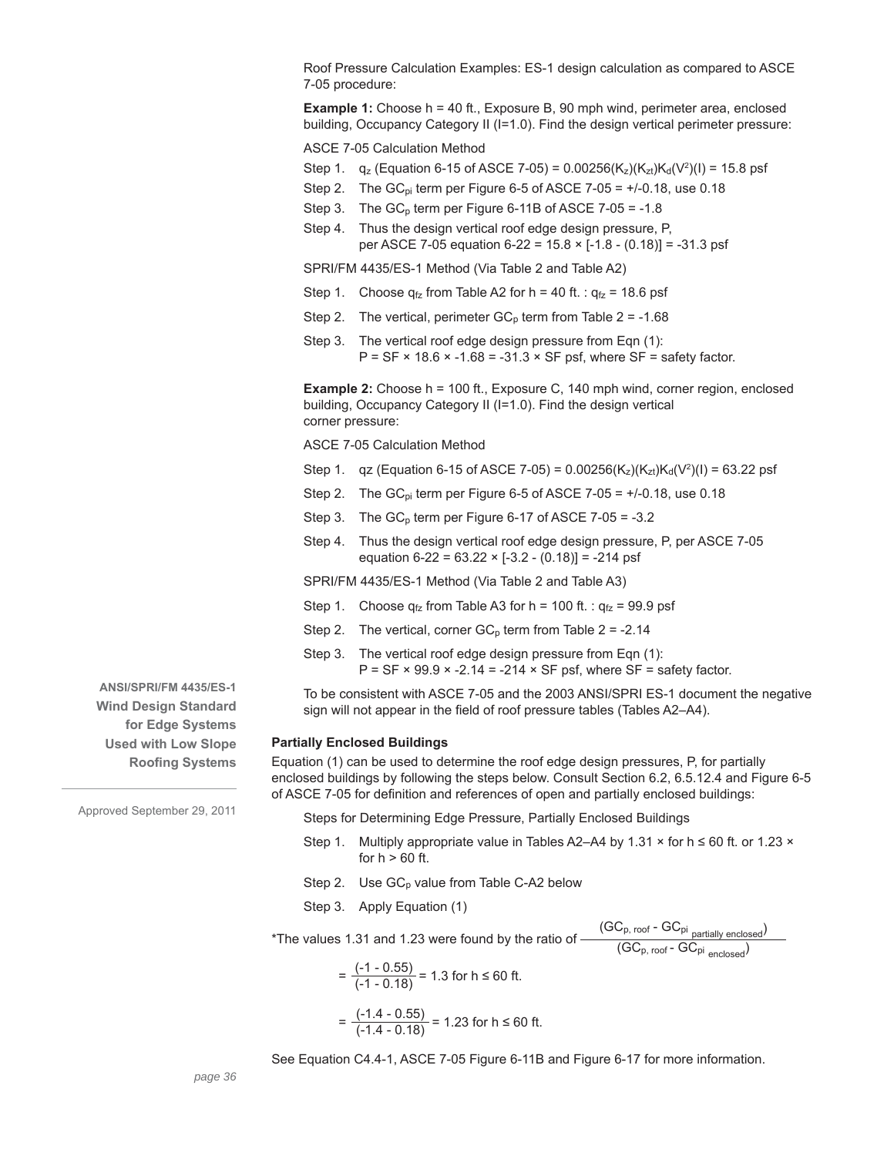Roof Pressure Calculation Examples: ES-1 design calculation as compared to ASCE 7-05 procedure:

**Example 1:** Choose h = 40 ft., Exposure B, 90 mph wind, perimeter area, enclosed building, Occupancy Category II (I=1.0). Find the design vertical perimeter pressure:

ASCE 7-05 Calculation Method

- Step 1.  $q_z$  (Equation 6-15 of ASCE 7-05) = 0.00256(K<sub>z</sub>)(K<sub>zt</sub>)K<sub>d</sub>(V<sup>2</sup>)(I) = 15.8 psf
- Step 2. The GC<sub>pi</sub> term per Figure 6-5 of ASCE 7-05 =  $+/0.18$ , use 0.18
- Step 3. The  $GC_p$  term per Figure 6-11B of ASCE 7-05 = -1.8
- Step 4. Thus the design vertical roof edge design pressure, P, per ASCE 7-05 equation 6-22 = 15.8 × [-1.8 - (0.18)] = -31.3 psf

SPRI/FM 4435/ES-1 Method (Via Table 2 and Table A2)

- Step 1. Choose  $q_{fz}$  from Table A2 for h = 40 ft. :  $q_{fz}$  = 18.6 psf
- Step 2. The vertical, perimeter  $GC<sub>p</sub>$  term from Table 2 = -1.68
- Step 3. The vertical roof edge design pressure from Eqn (1):  $P = SF \times 18.6 \times -1.68 = -31.3 \times SF$  psf, where SF = safety factor.

**Example 2:** Choose h = 100 ft., Exposure C, 140 mph wind, corner region, enclosed building, Occupancy Category II (I=1.0). Find the design vertical corner pressure:

- ASCE 7-05 Calculation Method
- Step 1. qz (Equation 6-15 of ASCE 7-05) = 0.00256(K<sub>z</sub>)(K<sub>zt</sub>)K<sub>d</sub>(V<sup>2</sup>)(I) = 63.22 psf
- Step 2. The  $GC_{pi}$  term per Figure 6-5 of ASCE 7-05 =  $+/0.18$ , use 0.18
- Step 3. The  $GC_p$  term per Figure 6-17 of ASCE 7-05 = -3.2
- Step 4. Thus the design vertical roof edge design pressure, P, per ASCE 7-05 equation  $6-22 = 63.22 \times [-3.2 - (0.18)] = -214$  psf

SPRI/FM 4435/ES-1 Method (Via Table 2 and Table A3)

- Step 1. Choose  $q_{fz}$  from Table A3 for h = 100 ft. :  $q_{fz}$  = 99.9 psf
- Step 2. The vertical, corner  $GC_p$  term from Table 2 = -2.14
- Step 3. The vertical roof edge design pressure from Eqn (1):  $P = SF \times 99.9 \times -2.14 = -214 \times SF$  psf, where SF = safety factor.

To be consistent with ASCE 7-05 and the 2003 ANSI/SPRI ES-1 document the negative sign will not appear in the field of roof pressure tables (Tables A2–A4).

#### **Partially Enclosed Buildings**

Equation (1) can be used to determine the roof edge design pressures, P, for partially enclosed buildings by following the steps below. Consult Section 6.2, 6.5.12.4 and Figure 6-5 of ASCE 7-05 for definition and references of open and partially enclosed buildings:

Steps for Determining Edge Pressure, Partially Enclosed Buildings

- Step 1. Multiply appropriate value in Tables A2–A4 by 1.31  $\times$  for h  $\leq 60$  ft. or 1.23  $\times$ for  $h > 60$  ft.
- Step 2. Use  $GC_p$  value from Table C-A2 below
- Step 3. Apply Equation (1)

\*The values 1.31 and 1.23 were found by the ratio of  $\frac{\left(\text{GC}_{\text{p, root}} - \text{GC}_{\text{pi}}\right)}{\left(\text{GC}_{\text{max}} - \text{GC}_{\text{max}}\right)}$  $(\mathsf{GC}_{\mathsf{p},\;\mathsf{root}}\text{-}\mathsf{GC}_{\mathsf{pi}\;\mathsf{enclosed}})$ 

$$
= \frac{(-1 - 0.55)}{(-1 - 0.18)} = 1.3 \text{ for } h \le 60 \text{ ft.}
$$

$$
= \frac{(-1.4 - 0.55)}{(-1.4 - 0.18)} = 1.23 \text{ for } h \le 60 \text{ ft.}
$$

See Equation C4.4-1, ASCE 7-05 Figure 6-11B and Figure 6-17 for more information.

**ANSI/SPRI/FM 4435/ES-1 Wind Design Standard for Edge Systems Used with Low Slope Roofing Systems**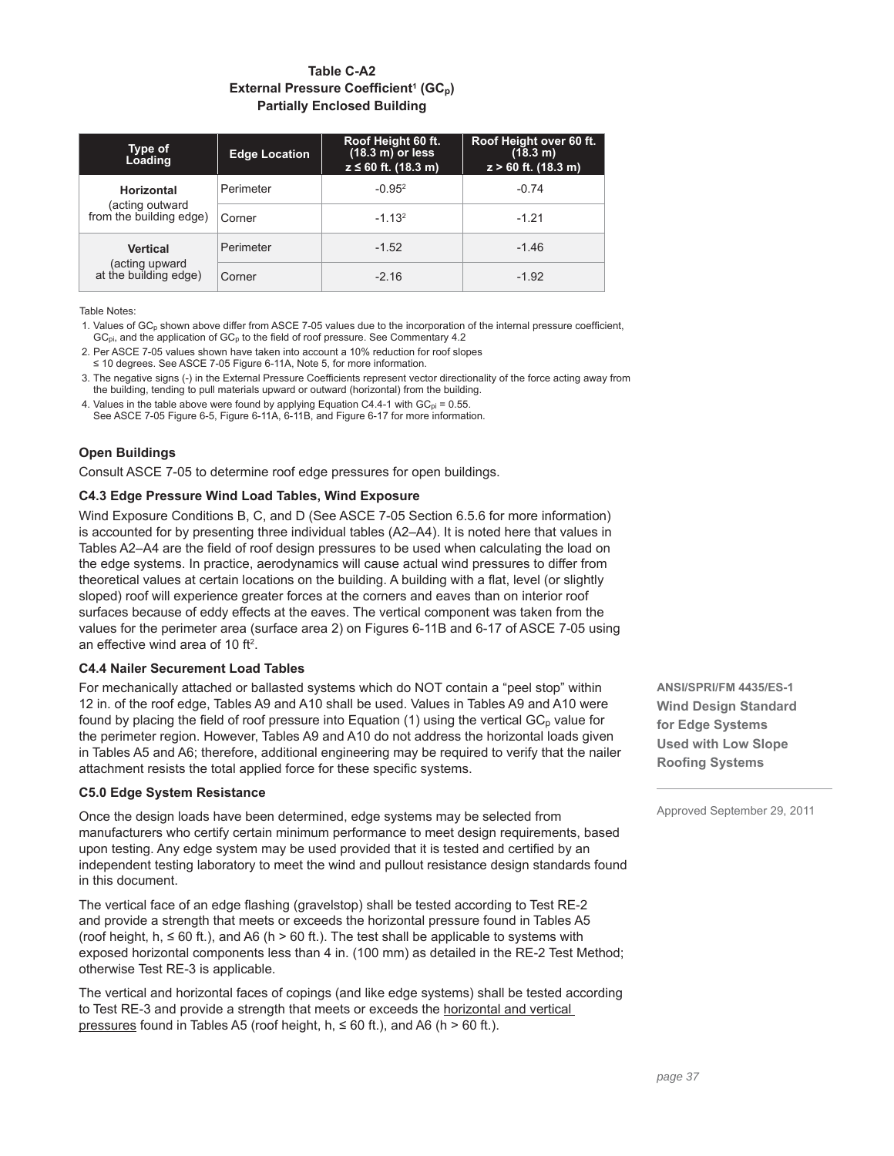# **Table C-A2 External Pressure Coefficient<sup>1</sup> (GC<sub>p</sub>) Partially Enclosed Building**

| Type of<br>Loading                         | <b>Edge Location</b> | Roof Height 60 ft.<br>$(18.3 \text{ m})$ or less<br>$z \le 60$ ft. (18.3 m) | Roof Height over 60 ft.<br>(18.3 m)<br>$z > 60$ ft. (18.3 m) |
|--------------------------------------------|----------------------|-----------------------------------------------------------------------------|--------------------------------------------------------------|
| <b>Horizontal</b>                          | Perimeter            | $-0.952$                                                                    | $-0.74$                                                      |
| (acting outward<br>from the building edge) | Corner               | $-1.132$                                                                    | $-1.21$                                                      |
| <b>Vertical</b>                            | Perimeter            | $-1.52$                                                                     | $-1.46$                                                      |
| (acting upward<br>at the building edge)    | Corner               | $-2.16$                                                                     | $-1.92$                                                      |

Table Notes:

1. Values of  $GC_p$  shown above differ from ASCE 7-05 values due to the incorporation of the internal pressure coefficient,  $GC_{pi}$ , and the application of  $GC_{p}$  to the field of roof pressure. See Commentary 4.2

2. Per ASCE 7-05 values shown have taken into account a 10% reduction for roof slopes ≤ 10 degrees. See ASCE 7-05 Figure 6-11A, Note 5, for more information.

3. The negative signs (-) in the External Pressure Coefficients represent vector directionality of the force acting away from the building, tending to pull materials upward or outward (horizontal) from the building.

4. Values in the table above were found by applying Equation C4.4-1 with  $GC_{pi} = 0.55$ . See ASCE 7-05 Figure 6-5, Figure 6-11A, 6-11B, and Figure 6-17 for more information.

# **Open Buildings**

Consult ASCE 7-05 to determine roof edge pressures for open buildings.

# **C4.3 Edge Pressure Wind Load Tables, Wind Exposure**

Wind Exposure Conditions B, C, and D (See ASCE 7-05 Section 6.5.6 for more information) is accounted for by presenting three individual tables (A2–A4). It is noted here that values in Tables A2–A4 are the field of roof design pressures to be used when calculating the load on the edge systems. In practice, aerodynamics will cause actual wind pressures to differ from theoretical values at certain locations on the building. A building with a flat, level (or slightly sloped) roof will experience greater forces at the corners and eaves than on interior roof surfaces because of eddy effects at the eaves. The vertical component was taken from the values for the perimeter area (surface area 2) on Figures 6-11B and 6-17 of ASCE 7-05 using an effective wind area of 10 ft<sup>2</sup>.

# **C4.4 Nailer Securement Load Tables**

For mechanically attached or ballasted systems which do NOT contain a "peel stop" within 12 in. of the roof edge, Tables A9 and A10 shall be used. Values in Tables A9 and A10 were found by placing the field of roof pressure into Equation (1) using the vertical  $GC<sub>p</sub>$  value for the perimeter region. However, Tables A9 and A10 do not address the horizontal loads given in Tables A5 and A6; therefore, additional engineering may be required to verify that the nailer attachment resists the total applied force for these specific systems.

# **C5.0 Edge System Resistance**

Once the design loads have been determined, edge systems may be selected from manufacturers who certify certain minimum performance to meet design requirements, based upon testing. Any edge system may be used provided that it is tested and certified by an independent testing laboratory to meet the wind and pullout resistance design standards found in this document.

The vertical face of an edge flashing (gravelstop) shall be tested according to Test RE-2 and provide a strength that meets or exceeds the horizontal pressure found in Tables A5 (roof height,  $h, \leq 60$  ft.), and A6 (h > 60 ft.). The test shall be applicable to systems with exposed horizontal components less than 4 in. (100 mm) as detailed in the RE-2 Test Method; otherwise Test RE-3 is applicable.

The vertical and horizontal faces of copings (and like edge systems) shall be tested according to Test RE-3 and provide a strength that meets or exceeds the horizontal and vertical pressures found in Tables A5 (roof height,  $h$ ,  $\leq 60$  ft.), and A6 (h  $> 60$  ft.).

**ANSI/SPRI/FM 4435/ES-1 Wind Design Standard for Edge Systems Used with Low Slope Roofing Systems**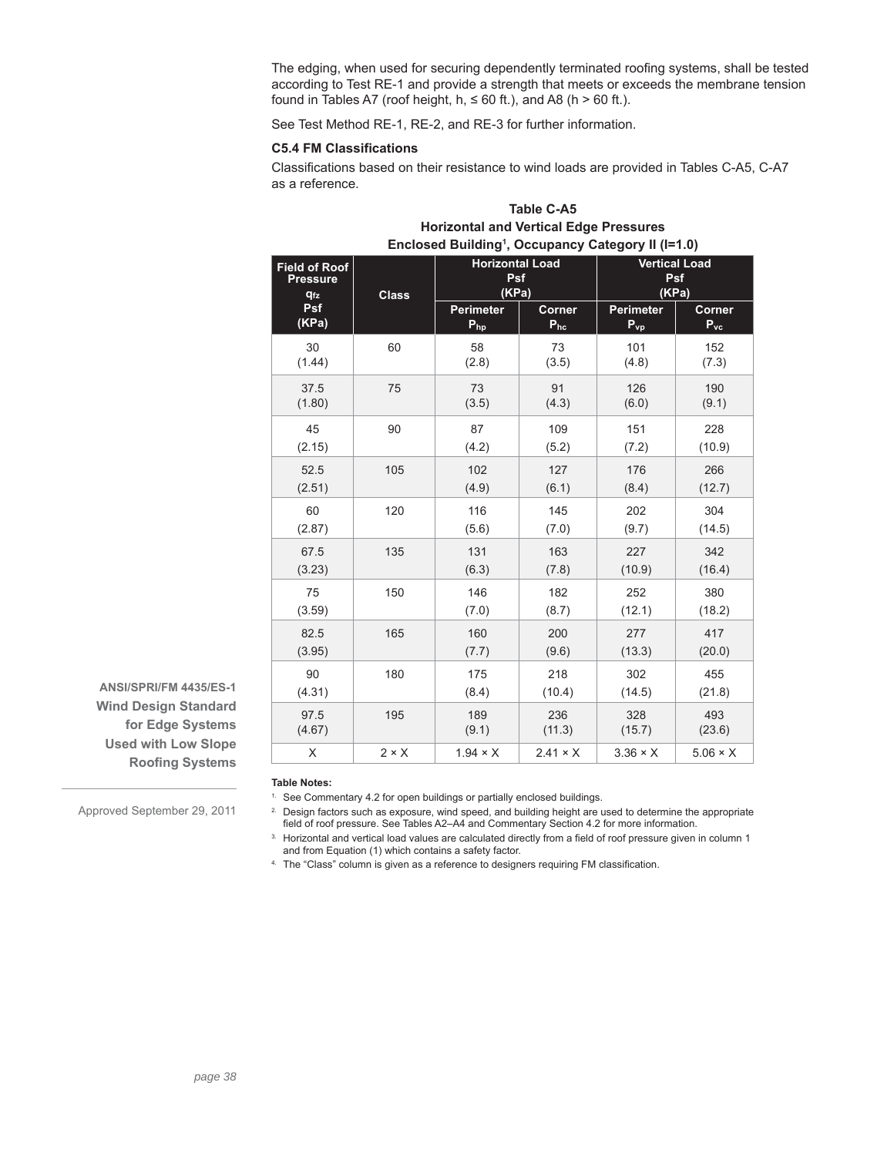The edging, when used for securing dependently terminated roofing systems, shall be tested according to Test RE-1 and provide a strength that meets or exceeds the membrane tension found in Tables A7 (roof height,  $h, \leq 60$  ft.), and A8 (h > 60 ft.).

See Test Method RE-1, RE-2, and RE-3 for further information.

### **C5.4 FM Classifications**

Classifications based on their resistance to wind loads are provided in Tables C-A5, C-A7 as a reference.

| Enclosed Building <sup>1</sup> , Occupancy Category II (I=1.0) |                                 |                        |                 |                      |                 |  |
|----------------------------------------------------------------|---------------------------------|------------------------|-----------------|----------------------|-----------------|--|
| <b>Field of Roof</b>                                           | <b>Class</b>                    | <b>Horizontal Load</b> |                 | <b>Vertical Load</b> |                 |  |
| <b>Pressure</b>                                                |                                 | Psf                    |                 | Psf                  |                 |  |
| <b>q<sub>fz</sub></b>                                          |                                 | (KPa)                  |                 | (KPa)                |                 |  |
| Psf                                                            |                                 | <b>Perimeter</b>       | Corner          | <b>Perimeter</b>     | Corner          |  |
| (KPa)                                                          |                                 | $P_{hp}$               | $P_{hc}$        | $P_{vp}$             | $P_{\rm vc}$    |  |
| 30                                                             | 60                              | 58                     | 73              | 101                  | 152             |  |
| (1.44)                                                         |                                 | (2.8)                  | (3.5)           | (4.8)                | (7.3)           |  |
| 37.5                                                           | 75                              | 73                     | 91              | 126                  | 190             |  |
| (1.80)                                                         |                                 | (3.5)                  | (4.3)           | (6.0)                | (9.1)           |  |
| 45                                                             | 90                              | 87                     | 109             | 151                  | 228             |  |
| (2.15)                                                         |                                 | (4.2)                  | (5.2)           | (7.2)                | (10.9)          |  |
| 105<br>52.5<br>(2.51)<br>60<br>120<br>(2.87)                   |                                 | 102<br>(4.9)           | 127<br>(6.1)    | 176<br>(8.4)         | 266<br>(12.7)   |  |
|                                                                |                                 | 116<br>(5.6)           | 145<br>(7.0)    | 202<br>(9.7)         | 304<br>(14.5)   |  |
| 67.5                                                           | 135                             | 131                    | 163             | 227                  | 342             |  |
| (3.23)                                                         |                                 | (6.3)                  | (7.8)           | (10.9)               | (16.4)          |  |
| 75                                                             | 150                             | 146                    | 182             | 252                  | 380             |  |
| (3.59)                                                         |                                 | (7.0)                  | (8.7)           | (12.1)               | (18.2)          |  |
| 82.5                                                           | 165                             | 160                    | 200             | 277                  | 417             |  |
| (3.95)                                                         |                                 | (7.7)                  | (9.6)           | (13.3)               | (20.0)          |  |
| 90                                                             | 180                             | 175                    | 218             | 302                  | 455             |  |
| (4.31)                                                         |                                 | (8.4)                  | (10.4)          | (14.5)               | (21.8)          |  |
| 97.5                                                           | 195                             | 189                    | 236             | 328                  | 493             |  |
| (4.67)                                                         |                                 | (9.1)                  | (11.3)          | (15.7)               | (23.6)          |  |
| X                                                              | $2 \times X$<br>$1.94 \times X$ |                        | $2.41 \times X$ | $3.36 \times X$      | $5.06 \times X$ |  |

| Table C-A5                                                     |
|----------------------------------------------------------------|
| <b>Horizontal and Vertical Edge Pressures</b>                  |
| Enclosed Building <sup>1</sup> , Occupancy Category II (1=1.0) |

**ANSI/SPRI/FM 4435/ES-1 Wind Design Standard for Edge Systems Used with Low Slope Roofing Systems** 

**Table Notes:**

<sup>1.</sup> See Commentary 4.2 for open buildings or partially enclosed buildings.

<sup>2.</sup> Design factors such as exposure, wind speed, and building height are used to determine the appropriate field of roof pressure. See Tables A2-A4 and Commentary Section 4.2 for more information.

3. Horizontal and vertical load values are calculated directly from a field of roof pressure given in column 1 and from Equation (1) which contains a safety factor.

<sup>4.</sup> The "Class" column is given as a reference to designers requiring FM classification.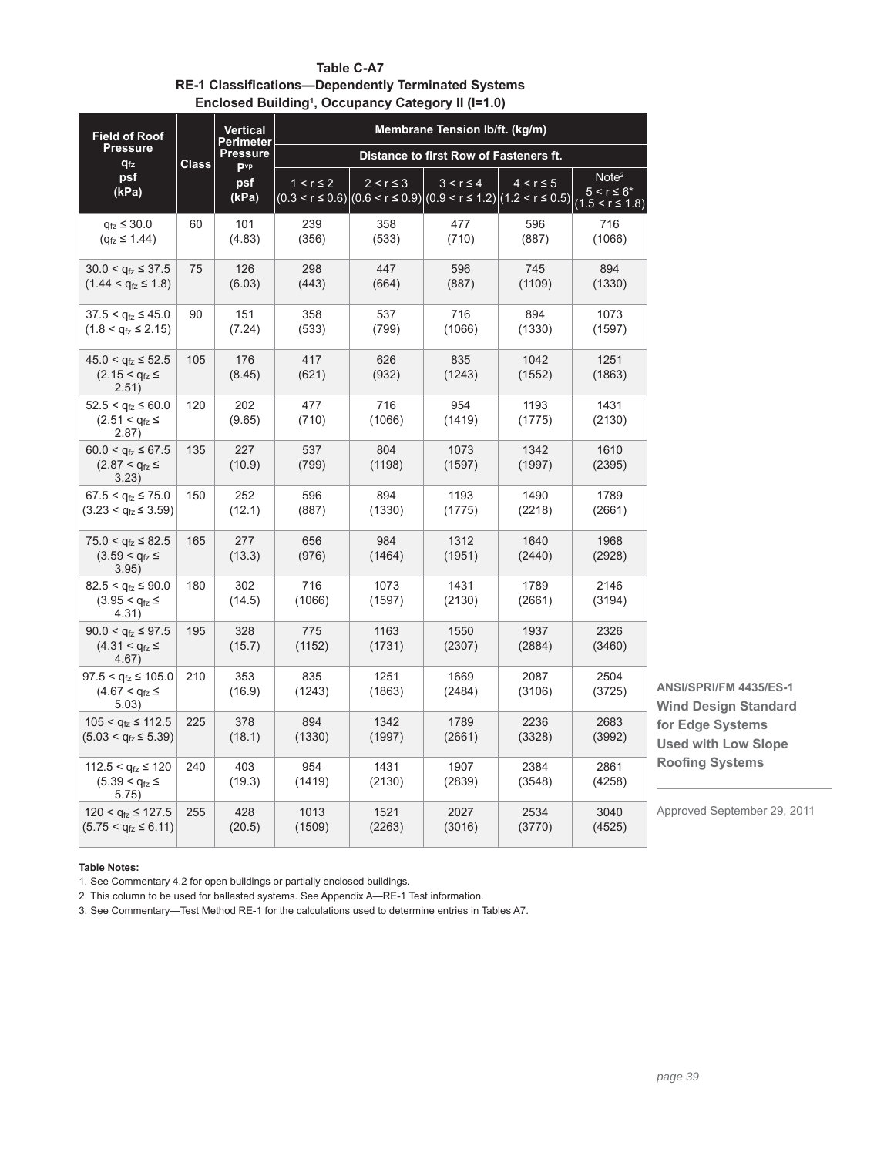|                                                                       |              |                                           |                                        |                | namg , occapancy oatogory n (1990) |                                                                                              |                                                            |                                                       |
|-----------------------------------------------------------------------|--------------|-------------------------------------------|----------------------------------------|----------------|------------------------------------|----------------------------------------------------------------------------------------------|------------------------------------------------------------|-------------------------------------------------------|
| <b>Field of Roof</b><br><b>Pressure</b>                               |              | <b>Vertical</b><br>Perimeter              | Membrane Tension Ib/ft. (kg/m)         |                |                                    |                                                                                              |                                                            |                                                       |
| $q_{fz}$                                                              | <b>Class</b> | <b>Pressure</b><br><b>P</b> <sup>vp</sup> | Distance to first Row of Fasteners ft. |                |                                    |                                                                                              |                                                            |                                                       |
| psf<br>(kPa)                                                          |              | psf<br>(kPa)                              | $1 < r \leq 2$                         | $2 < r \leq 3$ | $3 < r \leq 4$                     | $4 < r \leq 5$<br>$(0.3 < r \le 0.6)  (0.6 < r \le 0.9) (0.9 < r \le 1.2) (1.2 < r \le 0.5)$ | Note <sup>2</sup><br>$5 < r \le 6*$<br>$(1.5 < r \le 1.8)$ |                                                       |
| $q_{\text{fz}} \leq 30.0$<br>$(q_{\text{fz}} \leq 1.44)$              | 60           | 101<br>(4.83)                             | 239<br>(356)                           | 358<br>(533)   | 477<br>(710)                       | 596<br>(887)                                                                                 | 716<br>(1066)                                              |                                                       |
| $30.0 < q_{tz} \leq 37.5$<br>$(1.44 < q_{\text{fz}} \le 1.8)$         | 75           | 126<br>(6.03)                             | 298<br>(443)                           | 447<br>(664)   | 596<br>(887)                       | 745<br>(1109)                                                                                | 894<br>(1330)                                              |                                                       |
| $37.5 < q_{\text{fz}} \leq 45.0$<br>$(1.8 < q_{\text{fz}} \leq 2.15)$ | 90           | 151<br>(7.24)                             | 358<br>(533)                           | 537<br>(799)   | 716<br>(1066)                      | 894<br>(1330)                                                                                | 1073<br>(1597)                                             |                                                       |
| $45.0 < q_{\text{fz}} \le 52.5$<br>$(2.15 < q_{fz} \le$<br>2.51)      | 105          | 176<br>(8.45)                             | 417<br>(621)                           | 626<br>(932)   | 835<br>(1243)                      | 1042<br>(1552)                                                                               | 1251<br>(1863)                                             |                                                       |
| $52.5 < q_{fz} \le 60.0$<br>$(2.51 < q_{1z} \le$<br>2.87)             | 120          | 202<br>(9.65)                             | 477<br>(710)                           | 716<br>(1066)  | 954<br>(1419)                      | 1193<br>(1775)                                                                               | 1431<br>(2130)                                             |                                                       |
| $60.0 < q_{\text{fz}} \leq 67.5$<br>$(2.87 < q_{fz}$ ≤<br>3.23)       | 135          | 227<br>(10.9)                             | 537<br>(799)                           | 804<br>(1198)  | 1073<br>(1597)                     | 1342<br>(1997)                                                                               | 1610<br>(2395)                                             |                                                       |
| $67.5 < q_{\text{fz}} \leq 75.0$<br>$(3.23 < q_{fz} \leq 3.59)$       | 150          | 252<br>(12.1)                             | 596<br>(887)                           | 894<br>(1330)  | 1193<br>(1775)                     | 1490<br>(2218)                                                                               | 1789<br>(2661)                                             |                                                       |
| $75.0 < q_{\text{fz}} \leq 82.5$<br>$(3.59 < q_{fz} \le$<br>3.95)     | 165          | 277<br>(13.3)                             | 656<br>(976)                           | 984<br>(1464)  | 1312<br>(1951)                     | 1640<br>(2440)                                                                               | 1968<br>(2928)                                             |                                                       |
| $82.5 < q_{tz} \leq 90.0$<br>$(3.95 < q_{fz} \le$<br>4.31)            | 180          | 302<br>(14.5)                             | 716<br>(1066)                          | 1073<br>(1597) | 1431<br>(2130)                     | 1789<br>(2661)                                                                               | 2146<br>(3194)                                             |                                                       |
| $90.0 < q_{\text{fz}} \leq 97.5$<br>$(4.31 < q_{fz} \le$<br>4.67)     | 195          | 328<br>(15.7)                             | 775<br>(1152)                          | 1163<br>(1731) | 1550<br>(2307)                     | 1937<br>(2884)                                                                               | 2326<br>(3460)                                             |                                                       |
| $97.5 < q_{\text{fz}} \le 105.0$<br>$(4.67 < q_{fz} \le$<br>5.03)     | 210          | 353<br>(16.9)                             | 835<br>(1243)                          | 1251<br>(1863) | 1669<br>(2484)                     | 2087<br>(3106)                                                                               | 2504<br>(3725)                                             | ANSI/SPRI/FM 4435/ES-1<br><b>Wind Design Standard</b> |
| $105 < q_{fz} \le 112.5$<br>$(5.03 < q_{fz} \le 5.39)$                | 225          | 378<br>(18.1)                             | 894<br>(1330)                          | 1342<br>(1997) | 1789<br>(2661)                     | 2236<br>(3328)                                                                               | 2683<br>(3992)                                             | for Edge Systems<br><b>Used with Low Slope</b>        |
| $112.5 < q_{\text{fz}} \leq 120$<br>$(5.39 < q_{1z} \le$<br>5.75)     | 240          | 403<br>(19.3)                             | 954<br>(1419)                          | 1431<br>(2130) | 1907<br>(2839)                     | 2384<br>(3548)                                                                               | 2861<br>(4258)                                             | <b>Roofing Systems</b>                                |
| $120 < q_{fz} \le 127.5$<br>$(5.75 < q_{fz} \le 6.11)$                | 255          | 428<br>(20.5)                             | 1013<br>(1509)                         | 1521<br>(2263) | 2027<br>(3016)                     | 2534<br>(3770)                                                                               | 3040<br>(4525)                                             | Approved September 29, 2011                           |

**Table C-A7 RE-1 Classifications-Dependently Terminated Systems Enclosed Building1 , Occupancy Category II (I=1.0)**

**Table Notes:**

1. See Commentary 4.2 for open buildings or partially enclosed buildings.

2. This column to be used for ballasted systems. See Appendix A—RE-1 Test information.

3. See Commentary—Test Method RE-1 for the calculations used to determine entries in Tables A7.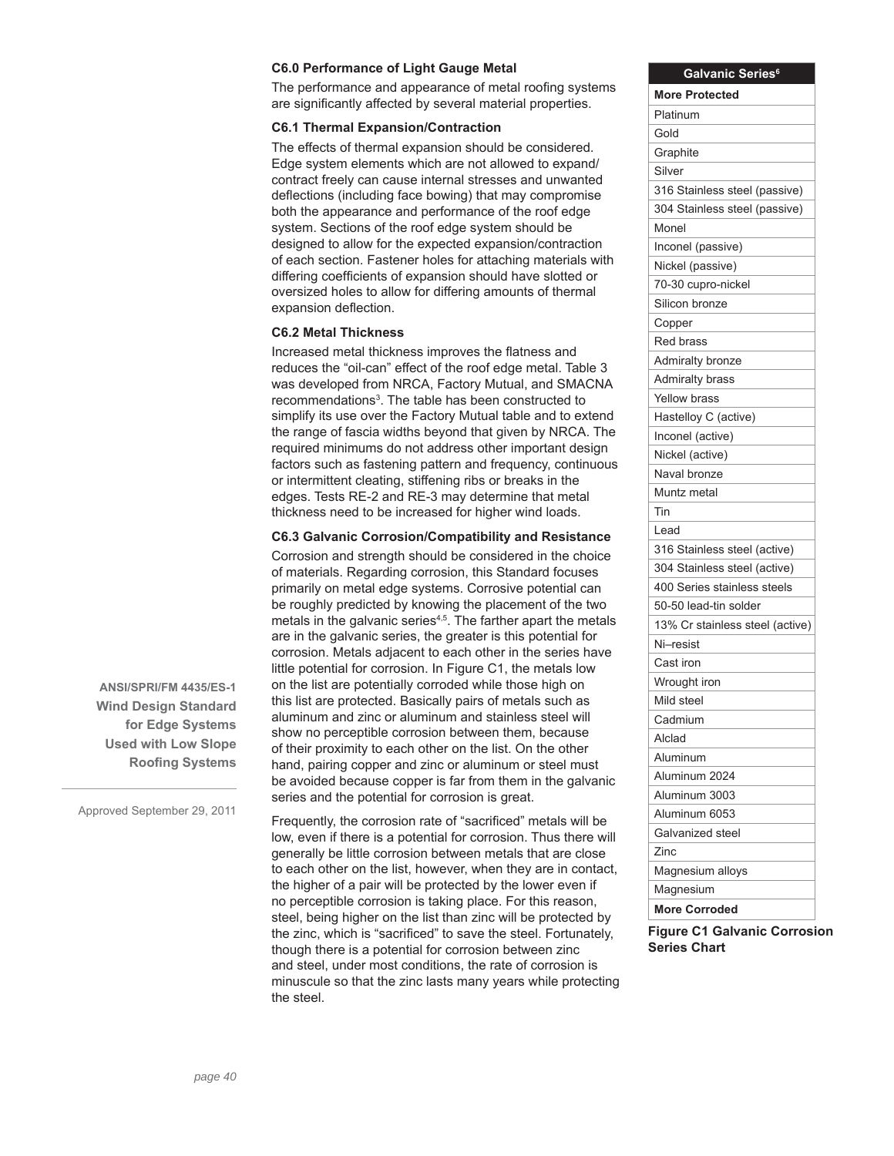#### **C6.0 Performance of Light Gauge Metal**

The performance and appearance of metal roofing systems are significantly affected by several material properties.

#### **C6.1 Thermal Expansion/Contraction**

The effects of thermal expansion should be considered. Edge system elements which are not allowed to expand/ contract freely can cause internal stresses and unwanted deflections (including face bowing) that may compromise both the appearance and performance of the roof edge system. Sections of the roof edge system should be designed to allow for the expected expansion/contraction of each section. Fastener holes for attaching materials with differing coefficients of expansion should have slotted or oversized holes to allow for differing amounts of thermal expansion deflection.

### **C6.2 Metal Thickness**

Increased metal thickness improves the flatness and reduces the "oil-can" effect of the roof edge metal. Table 3 was developed from NRCA, Factory Mutual, and SMACNA recommendations<sup>3</sup>. The table has been constructed to simplify its use over the Factory Mutual table and to extend the range of fascia widths beyond that given by NRCA. The required minimums do not address other important design factors such as fastening pattern and frequency, continuous or intermittent cleating, stiffening ribs or breaks in the edges. Tests RE-2 and RE-3 may determine that metal thickness need to be increased for higher wind loads.

#### **C6.3 Galvanic Corrosion/Compatibility and Resistance**

Corrosion and strength should be considered in the choice of materials. Regarding corrosion, this Standard focuses primarily on metal edge systems. Corrosive potential can be roughly predicted by knowing the placement of the two metals in the galvanic series<sup>4,5</sup>. The farther apart the metals are in the galvanic series, the greater is this potential for corrosion. Metals adjacent to each other in the series have little potential for corrosion. In Figure C1, the metals low on the list are potentially corroded while those high on this list are protected. Basically pairs of metals such as aluminum and zinc or aluminum and stainless steel will show no perceptible corrosion between them, because of their proximity to each other on the list. On the other hand, pairing copper and zinc or aluminum or steel must be avoided because copper is far from them in the galvanic series and the potential for corrosion is great.

Frequently, the corrosion rate of "sacrificed" metals will be low, even if there is a potential for corrosion. Thus there will generally be little corrosion between metals that are close to each other on the list, however, when they are in contact, the higher of a pair will be protected by the lower even if no perceptible corrosion is taking place. For this reason, steel, being higher on the list than zinc will be protected by the zinc, which is "sacrificed" to save the steel. Fortunately, though there is a potential for corrosion between zinc and steel, under most conditions, the rate of corrosion is minuscule so that the zinc lasts many years while protecting the steel.

| Galvanic Series <sup>6</sup>    |
|---------------------------------|
| <b>More Protected</b>           |
| Platinum                        |
| Gold                            |
| Graphite                        |
| Silver                          |
| 316 Stainless steel (passive)   |
| 304 Stainless steel (passive)   |
| Monel                           |
| Inconel (passive)               |
| Nickel (passive)                |
| 70-30 cupro-nickel              |
| Silicon bronze                  |
| Copper                          |
| Red brass                       |
| <b>Admiralty bronze</b>         |
| <b>Admiralty brass</b>          |
| Yellow brass                    |
| Hastelloy C (active)            |
| Inconel (active)                |
| Nickel (active)                 |
| Naval bronze                    |
| Muntz metal                     |
| Tin                             |
| Lead                            |
| 316 Stainless steel (active)    |
| 304 Stainless steel (active)    |
| 400 Series stainless steels     |
| 50-50 lead-tin solder           |
| 13% Cr stainless steel (active) |
| Ni–resist                       |
| Cast iron                       |
| Wrought iron                    |
| Mild steel                      |
| Cadmium                         |
| Alclad                          |
| Aluminum                        |
| Aluminum 2024                   |
| Aluminum 3003                   |
| Aluminum 6053                   |
| Galvanized steel                |
| Zinc                            |
| Magnesium alloys                |
| Magnesium                       |
| <b>More Corroded</b>            |

**Figure C1 Galvanic Corrosion Series Chart**

**ANSI/SPRI/FM 4435/ES-1 Wind Design Standard for Edge Systems Used with Low Slope Roofing Systems**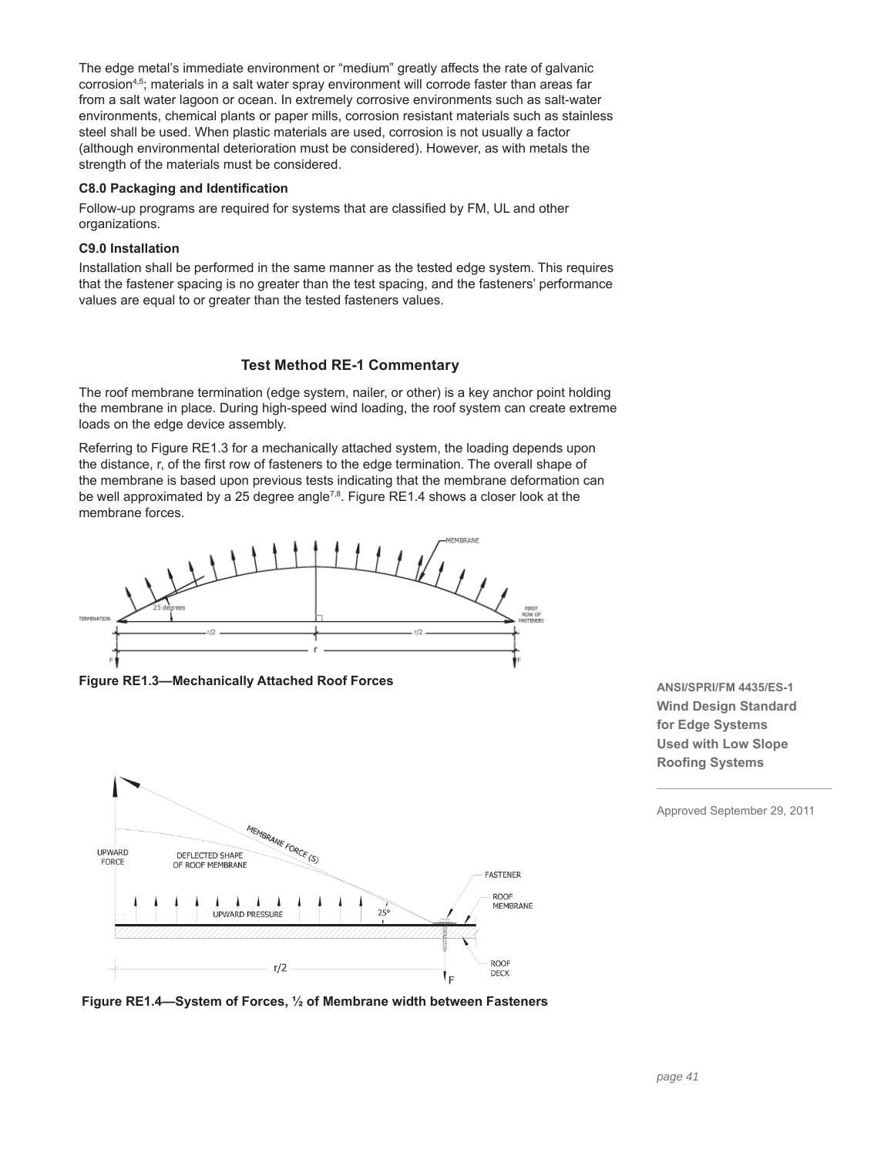The edge metal's immediate environment or "medium" greatly affects the rate of galvanic corrosion4,5; materials in a salt water spray environment will corrode faster than areas far from a salt water lagoon or ocean. In extremely corrosive environments such as salt-water environments, chemical plants or paper mills, corrosion resistant materials such as stainless steel shall be used. When plastic materials are used, corrosion is not usually a factor (although environmental deterioration must be considered). However, as with metals the strength of the materials must be considered.

### **C8.0 Packaging and Identification**

Follow-up programs are required for systems that are classified by FM, UL and other organizations.

# **C9.0 Installation**

Installation shall be performed in the same manner as the tested edge system. This requires that the fastener spacing is no greater than the test spacing, and the fasteners' performance values are equal to or greater than the tested fasteners values.

# **Test Method RE-1 Commentary**

The roof membrane termination (edge system, nailer, or other) is a key anchor point holding the membrane in place. During high-speed wind loading, the roof system can create extreme loads on the edge device assembly.

Referring to Figure RE1.3 for a mechanically attached system, the loading depends upon the distance, r, of the first row of fasteners to the edge termination. The overall shape of the membrane is based upon previous tests indicating that the membrane deformation can be well approximated by a 25 degree angle<sup> $7,8$ </sup>. Figure RE1.4 shows a closer look at the membrane forces.



**Figure RE1.3—Mechanically Attached Roof Forces**



**ANSI/SPRI/FM 4435/ES-1 Wind Design Standard for Edge Systems Used with Low Slope Roofing Systems** 

**Figure RE1.4—System of Forces, ½ of Membrane width between Fasteners**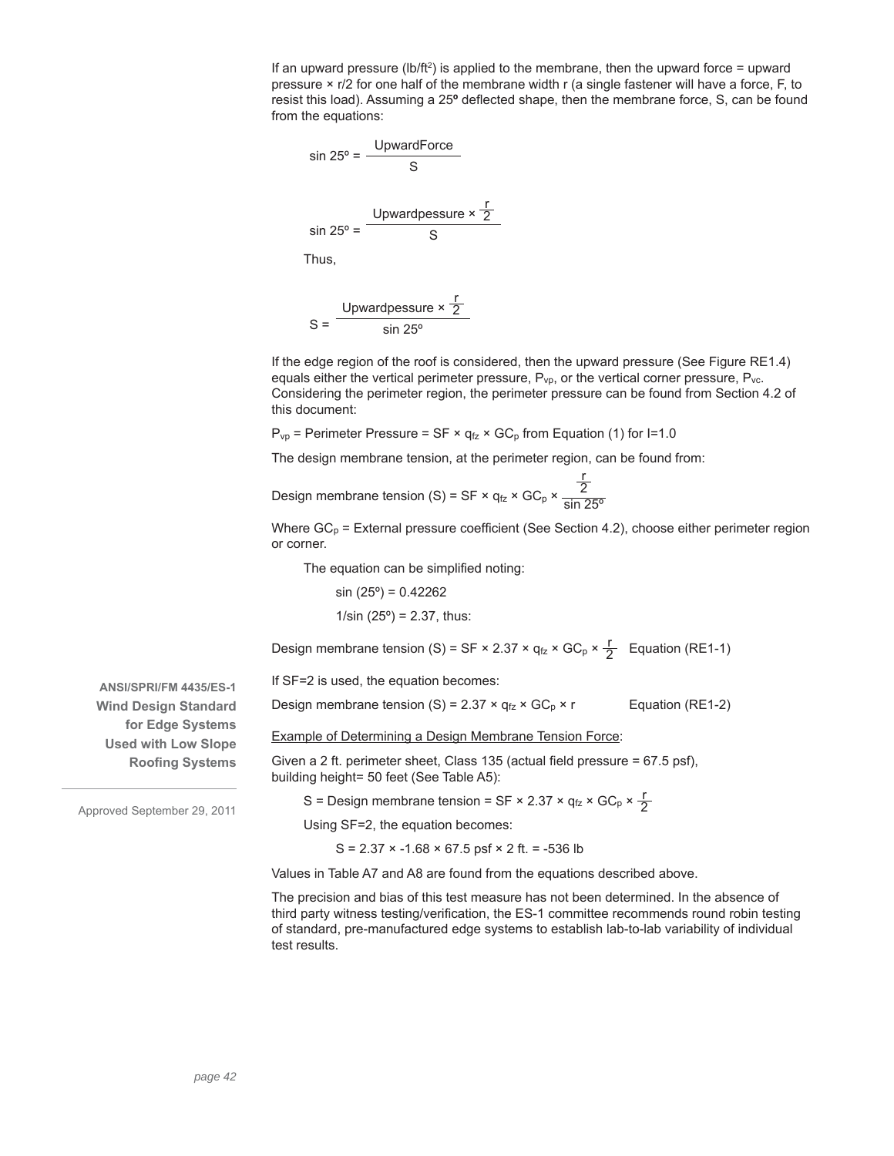If an upward pressure ( $\frac{1}{2}$ ) is applied to the membrane, then the upward force = upward pressure  $\times$  r/2 for one half of the membrane width r (a single fastener will have a force, F, to resist this load). Assuming a 25<sup>°</sup> deflected shape, then the membrane force, S, can be found from the equations:

$$
\sin 25^\circ = \frac{\text{UpwardForce}}{\text{S}}
$$
\n
$$
\sin 25^\circ = \frac{\text{Upward pressure} \times \frac{\text{F}}{2}}{\text{S}}
$$
\nThus,

$$
S = \frac{Upward \text{pessure} \times \frac{r}{2}}{\sin 25^{\circ}}
$$

If the edge region of the roof is considered, then the upward pressure (See Figure RE1.4) equals either the vertical perimeter pressure,  $P_{vp}$ , or the vertical corner pressure,  $P_{vc}$ . Considering the perimeter region, the perimeter pressure can be found from Section 4.2 of this document:

 $P_{vp}$  = Perimeter Pressure = SF ×  $q_{fz}$  × GC<sub>p</sub> from Equation (1) for I=1.0

The design membrane tension, at the perimeter region, can be found from:

Design membrane tension (S) = SF  $\times$  q<sub>fz</sub>  $\times$  GC<sub>p</sub>  $\times$ r 2 sin 25º

Where  $GC_p$  = External pressure coefficient (See Section 4.2), choose either perimeter region or corner.

The equation can be simplified noting:

 $sin(25°) = 0.42262$  $1/\sin(25^\circ) = 2.37$ , thus:

Design membrane tension (S) = SF × 2.37 ×  $q_{fz}$  × GC<sub>p</sub> ×  $\frac{r}{2}$  Equation (RE1-1)

If SF=2 is used, the equation becomes:

Design membrane tension (S) =  $2.37 \times q_{fz} \times GC_p \times r$  Equation (RE1-2)

Example of Determining a Design Membrane Tension Force:

Given a 2 ft. perimeter sheet, Class 135 (actual field pressure =  $67.5$  psf), building height= 50 feet (See Table A5):

S = Design membrane tension = SF × 2.37 ×  $q_{fz}$  × GC<sub>p</sub> ×  $\frac{r}{2}$ 

Using SF=2, the equation becomes:

 $S = 2.37 \times -1.68 \times 67.5$  psf  $\times 2$  ft. = -536 lb

Values in Table A7 and A8 are found from the equations described above.

The precision and bias of this test measure has not been determined. In the absence of third party witness testing/verification, the ES-1 committee recommends round robin testing of standard, pre-manufactured edge systems to establish lab-to-lab variability of individual test results.

**ANSI/SPRI/FM 4435/ES-1 Wind Design Standard for Edge Systems Used with Low Slope Roofing Systems**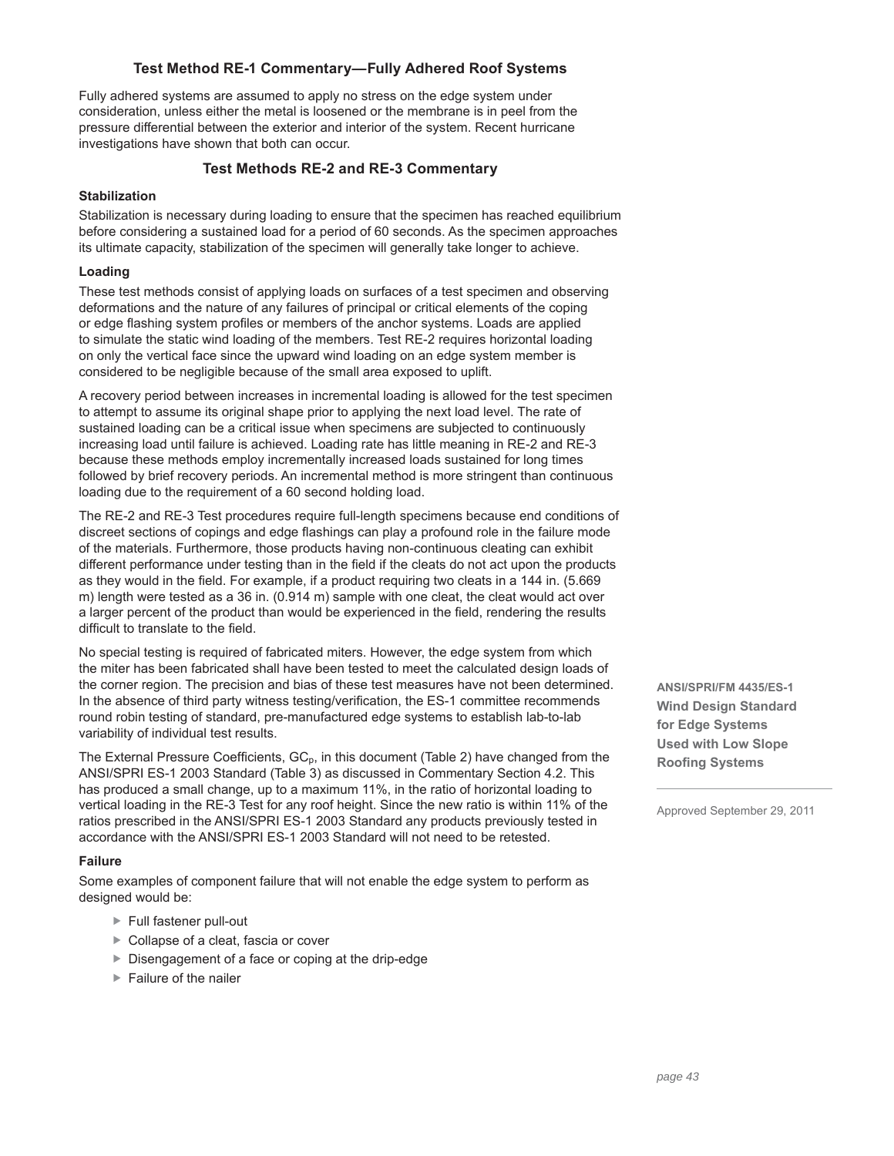# **Test Method RE-1 Commentary—Fully Adhered Roof Systems**

Fully adhered systems are assumed to apply no stress on the edge system under consideration, unless either the metal is loosened or the membrane is in peel from the pressure differential between the exterior and interior of the system. Recent hurricane investigations have shown that both can occur.

# **Test Methods RE-2 and RE-3 Commentary**

# **Stabilization**

Stabilization is necessary during loading to ensure that the specimen has reached equilibrium before considering a sustained load for a period of 60 seconds. As the specimen approaches its ultimate capacity, stabilization of the specimen will generally take longer to achieve.

### **Loading**

These test methods consist of applying loads on surfaces of a test specimen and observing deformations and the nature of any failures of principal or critical elements of the coping or edge flashing system profiles or members of the anchor systems. Loads are applied to simulate the static wind loading of the members. Test RE-2 requires horizontal loading on only the vertical face since the upward wind loading on an edge system member is considered to be negligible because of the small area exposed to uplift.

A recovery period between increases in incremental loading is allowed for the test specimen to attempt to assume its original shape prior to applying the next load level. The rate of sustained loading can be a critical issue when specimens are subjected to continuously increasing load until failure is achieved. Loading rate has little meaning in RE-2 and RE-3 because these methods employ incrementally increased loads sustained for long times followed by brief recovery periods. An incremental method is more stringent than continuous loading due to the requirement of a 60 second holding load.

The RE-2 and RE-3 Test procedures require full-length specimens because end conditions of discreet sections of copings and edge flashings can play a profound role in the failure mode of the materials. Furthermore, those products having non-continuous cleating can exhibit different performance under testing than in the field if the cleats do not act upon the products as they would in the field. For example, if a product requiring two cleats in a 144 in. (5.669 m) length were tested as a 36 in. (0.914 m) sample with one cleat, the cleat would act over a larger percent of the product than would be experienced in the field, rendering the results difficult to translate to the field.

No special testing is required of fabricated miters. However, the edge system from which the miter has been fabricated shall have been tested to meet the calculated design loads of the corner region. The precision and bias of these test measures have not been determined. In the absence of third party witness testing/verification, the ES-1 committee recommends round robin testing of standard, pre-manufactured edge systems to establish lab-to-lab variability of individual test results.

The External Pressure Coefficients,  $GC_p$ , in this document (Table 2) have changed from the ANSI/SPRI ES-1 2003 Standard (Table 3) as discussed in Commentary Section 4.2. This has produced a small change, up to a maximum 11%, in the ratio of horizontal loading to vertical loading in the RE-3 Test for any roof height. Since the new ratio is within 11% of the ratios prescribed in the ANSI/SPRI ES-1 2003 Standard any products previously tested in accordance with the ANSI/SPRI ES-1 2003 Standard will not need to be retested.

#### **Failure**

Some examples of component failure that will not enable the edge system to perform as designed would be:

- ▶ Full fastener pull-out
- ▶ Collapse of a cleat, fascia or cover
- Disengagement of a face or coping at the drip-edge
- $\blacktriangleright$  Failure of the nailer

**ANSI/SPRI/FM 4435/ES-1 Wind Design Standard for Edge Systems Used with Low Slope Roofing Systems**